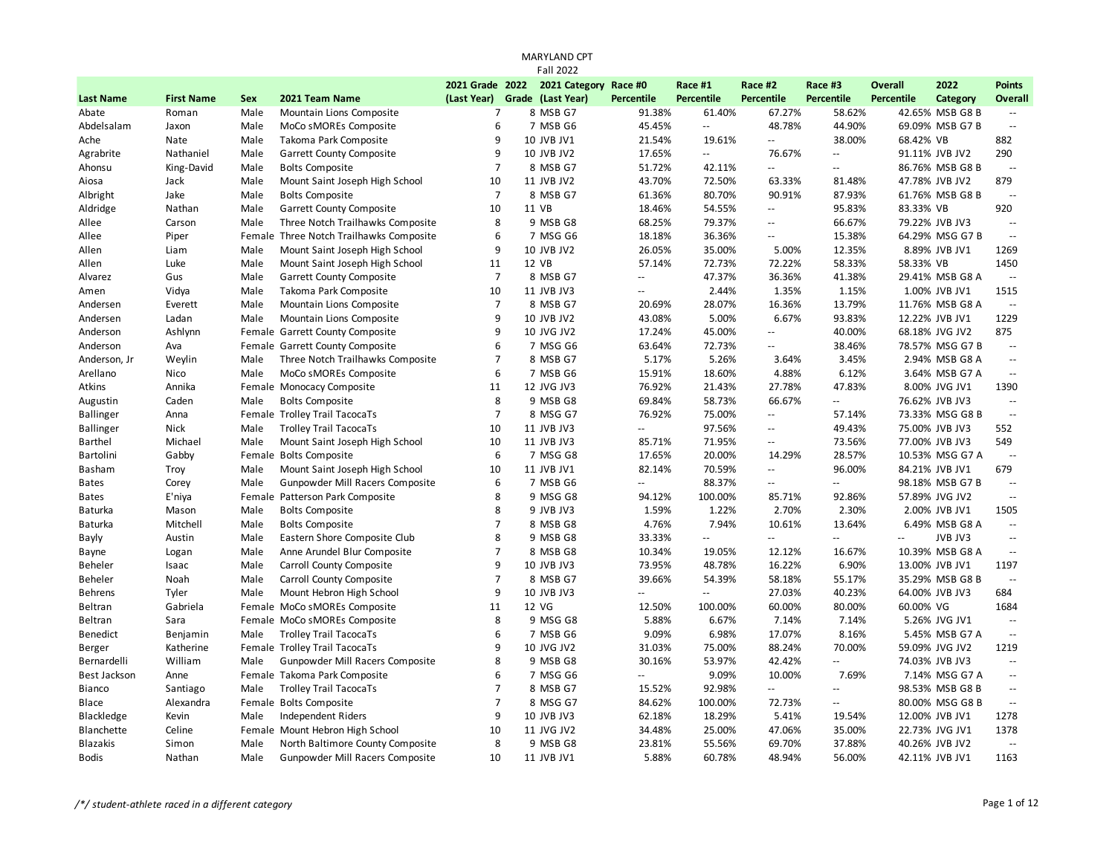| 2021 Category Race #0<br>2022<br>2021 Grade 2022<br>Race #1<br>Race #2<br>Race #3<br>Overall<br><b>Percentile</b><br><b>Percentile</b><br>(Last Year)<br>Grade (Last Year)<br><b>Percentile</b><br><b>Percentile</b><br>Percentile<br><b>Last Name</b><br><b>First Name</b><br><b>Sex</b><br>2021 Team Name<br>Category<br>8 MSB G7<br>67.27%<br>58.62%<br>Abate<br>Male<br>Mountain Lions Composite<br>$\overline{7}$<br>91.38%<br>61.40%<br>42.65% MSB G8 B<br>Roman | <b>Points</b><br>Overall |
|------------------------------------------------------------------------------------------------------------------------------------------------------------------------------------------------------------------------------------------------------------------------------------------------------------------------------------------------------------------------------------------------------------------------------------------------------------------------|--------------------------|
|                                                                                                                                                                                                                                                                                                                                                                                                                                                                        |                          |
|                                                                                                                                                                                                                                                                                                                                                                                                                                                                        |                          |
|                                                                                                                                                                                                                                                                                                                                                                                                                                                                        |                          |
| 6<br>44.90%<br>Abdelsalam<br>MoCo sMOREs Composite<br>7 MSB G6<br>45.45%<br>÷.<br>48.78%<br>69.09% MSB G7 B<br>Jaxon<br>Male                                                                                                                                                                                                                                                                                                                                           | $\sim$                   |
| 9<br>21.54%<br>38.00%<br>68.42% VB<br>Nate<br>Male<br>Takoma Park Composite<br>10 JVB JV1<br>19.61%<br>Ξ.<br>Ache                                                                                                                                                                                                                                                                                                                                                      | 882                      |
| 9<br>Agrabrite<br>Nathaniel<br>Male<br>Garrett County Composite<br>10 JVB JV2<br>17.65%<br>÷.<br>76.67%<br>91.11% JVB JV2<br>$\mathbf{u}$                                                                                                                                                                                                                                                                                                                              | 290                      |
| $\overline{7}$<br>Ahonsu<br>King-David<br>Male<br><b>Bolts Composite</b><br>8 MSB G7<br>51.72%<br>42.11%<br>44<br>86.76% MSB G8 B<br>$\mathbb{Z}^{\mathbb{Z}}$                                                                                                                                                                                                                                                                                                         | $\sim$                   |
| Jack<br>Male<br>Mount Saint Joseph High School<br>10<br>11 JVB JV2<br>43.70%<br>72.50%<br>63.33%<br>81.48%<br>47.78% JVB JV2<br>Aiosa                                                                                                                                                                                                                                                                                                                                  | 879                      |
| $\overline{7}$<br>Albright<br>Jake<br>Male<br><b>Bolts Composite</b><br>8 MSB G7<br>61.36%<br>80.70%<br>90.91%<br>87.93%<br>61.76% MSB G8 B                                                                                                                                                                                                                                                                                                                            | $\sim$                   |
| 10<br>Aldridge<br>Nathan<br>Male<br>Garrett County Composite<br>11 VB<br>18.46%<br>54.55%<br>95.83%<br>83.33% VB<br>Ξ.                                                                                                                                                                                                                                                                                                                                                 | 920                      |
| 8<br>9 MSB G8<br>68.25%<br>79.37%<br>66.67%<br>Allee<br>Carson<br>Male<br>Three Notch Trailhawks Composite<br>79.22% JVB JV3<br>--                                                                                                                                                                                                                                                                                                                                     | $\sim$                   |
| 6<br>15.38%<br>Piper<br>Female Three Notch Trailhawks Composite<br>7 MSG G6<br>18.18%<br>36.36%<br>64.29% MSG G7 B<br>Allee<br>$\overline{\phantom{a}}$                                                                                                                                                                                                                                                                                                                | $\sim$                   |
| 9<br>Male<br>Mount Saint Joseph High School<br>10 JVB JV2<br>26.05%<br>35.00%<br>5.00%<br>12.35%<br>8.89% JVB JV1<br>Allen<br>Liam                                                                                                                                                                                                                                                                                                                                     | 1269                     |
| 11<br>12 VB<br>57.14%<br>58.33%<br>Allen<br>Luke<br>Male<br>Mount Saint Joseph High School<br>72.73%<br>72.22%<br>58.33% VB                                                                                                                                                                                                                                                                                                                                            | 1450                     |
| $\overline{7}$<br>Gus<br>Male<br>Garrett County Composite<br>8 MSB G7<br>47.37%<br>36.36%<br>41.38%<br>29.41% MSB G8 A<br>Alvarez<br>$\mathbb{L}^{\mathbb{L}}$                                                                                                                                                                                                                                                                                                         | $\sim$                   |
| Takoma Park Composite<br>10<br>Vidya<br>Male<br>11 JVB JV3<br>2.44%<br>1.35%<br>1.15%<br>1.00% JVB JV1<br>Amen<br>$\overline{\phantom{a}}$                                                                                                                                                                                                                                                                                                                             | 1515                     |
| $\overline{7}$<br>Male<br>Mountain Lions Composite<br>8 MSB G7<br>28.07%<br>16.36%<br>13.79%<br>Andersen<br>Everett<br>20.69%<br>11.76% MSB G8 A                                                                                                                                                                                                                                                                                                                       | $\mathbb{Z}^2$           |
| 9<br>43.08%<br>5.00%<br>6.67%<br>93.83%<br>Andersen<br>Ladan<br>Male<br>Mountain Lions Composite<br>10 JVB JV2<br>12.22% JVB JV1                                                                                                                                                                                                                                                                                                                                       | 1229                     |
| 9<br>40.00%<br>Ashlynn<br>Female Garrett County Composite<br>10 JVG JV2<br>17.24%<br>45.00%<br>68.18% JVG JV2<br>Anderson<br>$\overline{a}$                                                                                                                                                                                                                                                                                                                            | 875                      |
| 6<br>Female Garrett County Composite<br>72.73%<br>38.46%<br>Anderson<br>Ava<br>7 MSG G6<br>63.64%<br>78.57% MSG G7 B<br>--                                                                                                                                                                                                                                                                                                                                             | $\sim$                   |
| $\overline{7}$<br>3.45%<br>Anderson, Jr<br>Weylin<br>Male<br>Three Notch Trailhawks Composite<br>8 MSB G7<br>5.17%<br>5.26%<br>3.64%<br>2.94% MSB G8 A                                                                                                                                                                                                                                                                                                                 | $\sim$                   |
| 6<br>7 MSB G6<br>15.91%<br>4.88%<br>6.12%<br>Arellano<br>Nico<br>Male<br>MoCo sMOREs Composite<br>18.60%<br>3.64% MSB G7 A                                                                                                                                                                                                                                                                                                                                             | $\sim$                   |
| 11<br>Atkins<br>Annika<br>Female Monocacy Composite<br>12 JVG JV3<br>76.92%<br>21.43%<br>27.78%<br>47.83%<br>8.00% JVG JV1                                                                                                                                                                                                                                                                                                                                             | 1390                     |
| 8<br><b>Bolts Composite</b><br>9 MSB G8<br>69.84%<br>58.73%<br>66.67%<br>Augustin<br>Caden<br>Male<br>76.62% JVB JV3<br>$\mathbb{Z}^{\mathbb{Z}}$                                                                                                                                                                                                                                                                                                                      | $\sim$ $\sim$            |
| $\overline{7}$<br>76.92%<br><b>Ballinger</b><br>Female Trolley Trail TacocaTs<br>8 MSG G7<br>75.00%<br>57.14%<br>73.33% MSG G8 B<br>Anna<br>--                                                                                                                                                                                                                                                                                                                         | $\sim$                   |
| <b>Trolley Trail TacocaTs</b><br>10<br>11 JVB JV3<br>97.56%<br>49.43%<br>75.00% JVB JV3<br><b>Ballinger</b><br>Nick<br>Male<br>$\sim$ $\sim$<br>--                                                                                                                                                                                                                                                                                                                     | 552                      |
| Michael<br>Male<br>10<br>11 JVB JV3<br>85.71%<br>71.95%<br>73.56%<br>77.00% JVB JV3<br><b>Barthel</b><br>Mount Saint Joseph High School<br>$\overline{\phantom{a}}$                                                                                                                                                                                                                                                                                                    | 549                      |
| 6<br>28.57%<br>Bartolini<br>Gabby<br>Female Bolts Composite<br>7 MSG G8<br>17.65%<br>20.00%<br>14.29%<br>10.53% MSG G7 A                                                                                                                                                                                                                                                                                                                                               | $\sim$                   |
| 10<br>11 JVB JV1<br>82.14%<br>70.59%<br>96.00%<br>Basham<br>Troy<br>Male<br>Mount Saint Joseph High School<br>Ξ.<br>84.21% JVB JV1                                                                                                                                                                                                                                                                                                                                     | 679                      |
| 6<br>Corey<br>Male<br>Gunpowder Mill Racers Composite<br>7 MSB G6<br>$\mathbb{Z}^2$<br>88.37%<br>98.18% MSB G7 B<br><b>Bates</b><br>--<br>$\overline{\phantom{a}}$                                                                                                                                                                                                                                                                                                     | $\sim$                   |
| 8<br>Female Patterson Park Composite<br>9 MSG G8<br>100.00%<br>92.86%<br><b>Bates</b><br>E'niya<br>94.12%<br>85.71%<br>57.89% JVG JV2                                                                                                                                                                                                                                                                                                                                  | $\sim$                   |
| 8<br>1.59%<br>1.22%<br>2.70%<br>2.30%<br><b>Baturka</b><br>Male<br><b>Bolts Composite</b><br>9 JVB JV3<br>2.00% JVB JV1<br>Mason                                                                                                                                                                                                                                                                                                                                       | 1505                     |
| $\overline{7}$<br>7.94%<br>Mitchell<br>Male<br><b>Bolts Composite</b><br>8 MSB G8<br>4.76%<br>10.61%<br>13.64%<br>6.49% MSB G8 A<br>Baturka                                                                                                                                                                                                                                                                                                                            | $\mathbb{Z}^2$           |
| 8<br>33.33%<br>JVB JV3<br>Austin<br>Male<br>Eastern Shore Composite Club<br>9 MSB G8<br>Ξ.<br>Ξ.<br>$\mathbb{L}^2$<br>Bayly<br>$\overline{\phantom{a}}$                                                                                                                                                                                                                                                                                                                | $\sim$                   |
| $\overline{7}$<br>Male<br>Anne Arundel Blur Composite<br>8 MSB G8<br>10.34%<br>19.05%<br>12.12%<br>16.67%<br>10.39% MSB G8 A<br>Logan<br>Bayne                                                                                                                                                                                                                                                                                                                         | $\mathbb{Z}^2$           |
| 9<br>Male<br>Carroll County Composite<br>73.95%<br>48.78%<br>6.90%<br>13.00% JVB JV1<br><b>Beheler</b><br>Isaac<br>10 JVB JV3<br>16.22%                                                                                                                                                                                                                                                                                                                                | 1197                     |
| $\overline{7}$<br>Noah<br>Male<br>Carroll County Composite<br>8 MSB G7<br>39.66%<br>54.39%<br>58.18%<br>55.17%<br>35.29% MSB G8 B<br><b>Beheler</b>                                                                                                                                                                                                                                                                                                                    | $\sim$                   |
| 9<br>Male<br>Mount Hebron High School<br>10 JVB JV3<br>40.23%<br><b>Behrens</b><br>Tyler<br>ωü,<br>27.03%<br>64.00% JVB JV3<br>$\sim$ $\sim$                                                                                                                                                                                                                                                                                                                           | 684                      |
| 11<br>80.00%<br>Gabriela<br>Female MoCo sMOREs Composite<br>12 VG<br>12.50%<br>100.00%<br>60.00%<br>60.00% VG<br>Beltran                                                                                                                                                                                                                                                                                                                                               | 1684                     |
| 8<br>Female MoCo sMOREs Composite<br>9 MSG G8<br>5.88%<br>7.14%<br>5.26% JVG JV1<br>Beltran<br>Sara<br>6.67%<br>7.14%                                                                                                                                                                                                                                                                                                                                                  | $\sim$                   |
| 6<br>7 MSB G6<br>9.09%<br>6.98%<br>17.07%<br>8.16%<br><b>Benedict</b><br>Male<br><b>Trolley Trail TacocaTs</b><br>5.45% MSB G7 A<br>Benjamin                                                                                                                                                                                                                                                                                                                           | $\sim$                   |
| 9<br>Katherine<br>Female Trolley Trail TacocaTs<br>10 JVG JV2<br>31.03%<br>75.00%<br>88.24%<br>70.00%<br>59.09% JVG JV2<br>Berger                                                                                                                                                                                                                                                                                                                                      | 1219                     |
| 8<br>William<br>9 MSB G8<br>30.16%<br>53.97%<br>42.42%<br>Bernardelli<br>Male<br>Gunpowder Mill Racers Composite<br>74.03% JVB JV3<br>$\mathbb{L}^{\mathbb{L}}$                                                                                                                                                                                                                                                                                                        | $\sim$                   |
| 6<br>Best Jackson<br>Anne<br>Female Takoma Park Composite<br>7 MSG G6<br>$\mathbb{Z}^2$<br>9.09%<br>10.00%<br>7.69%<br>7.14% MSG G7 A                                                                                                                                                                                                                                                                                                                                  | $\sim$                   |
| $\overline{7}$<br><b>Trolley Trail TacocaTs</b><br>92.98%<br><b>Bianco</b><br>Santiago<br>Male<br>8 MSB G7<br>15.52%<br>44<br>98.53% MSB G8 B<br>$\mathbb{Z}^{\mathbb{Z}}$                                                                                                                                                                                                                                                                                             | $\sim$                   |
| $\overline{7}$<br>Blace<br>Alexandra<br>Female Bolts Composite<br>8 MSG G7<br>84.62%<br>100.00%<br>72.73%<br>80.00% MSG G8 B<br>$\overline{\phantom{a}}$                                                                                                                                                                                                                                                                                                               | $\sim$                   |
| 9<br>Kevin<br><b>Independent Riders</b><br>10 JVB JV3<br>62.18%<br>18.29%<br>5.41%<br>19.54%<br>12.00% JVB JV1<br>Blackledge<br>Male                                                                                                                                                                                                                                                                                                                                   | 1278                     |
| 10<br>47.06%<br>Blanchette<br>Celine<br>Female Mount Hebron High School<br>11 JVG JV2<br>34.48%<br>25.00%<br>35.00%<br>22.73% JVG JV1                                                                                                                                                                                                                                                                                                                                  | 1378                     |
| 8<br>Blazakis<br>Male<br>North Baltimore County Composite<br>9 MSB G8<br>23.81%<br>55.56%<br>69.70%<br>37.88%<br>40.26% JVB JV2<br>Simon                                                                                                                                                                                                                                                                                                                               | $\sim$                   |
| 10<br>5.88%<br>60.78%<br>48.94%<br>56.00%<br><b>Bodis</b><br>Nathan<br>Male<br>Gunpowder Mill Racers Composite<br>11 JVB JV1<br>42.11% JVB JV1                                                                                                                                                                                                                                                                                                                         | 1163                     |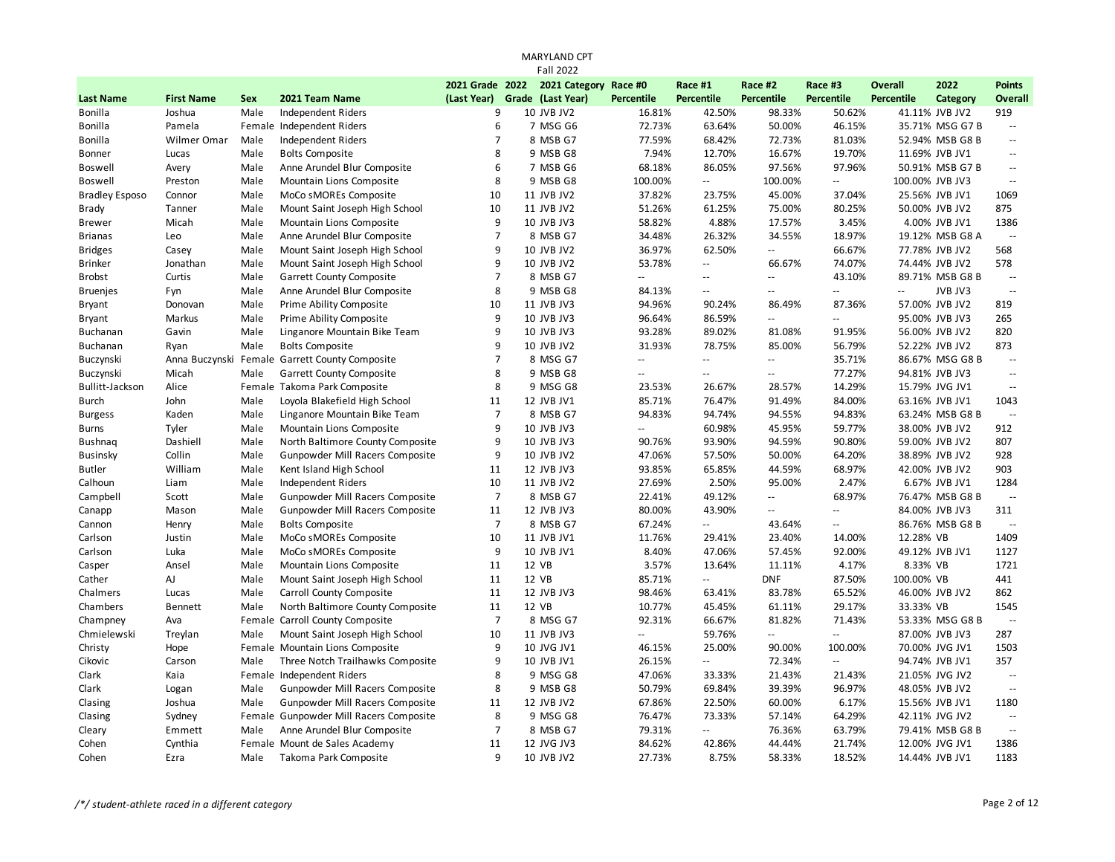| 2021 Grade 2022<br>2021 Category Race #0<br><b>Overall</b><br>2022<br>Race #1<br>Race #2<br>Race #3<br><b>Points</b><br>(Last Year) Grade (Last Year)<br><b>Percentile</b><br><b>Percentile</b><br><b>Percentile</b><br><b>Last Name</b><br><b>First Name</b><br><b>Sex</b><br>2021 Team Name<br>Percentile<br>Percentile<br>Category<br><b>Overall</b><br>Joshua<br>Male<br>9<br>10 JVB JV2<br>16.81%<br>42.50%<br>98.33%<br>50.62%<br>41.11% JVB JV2<br>919<br>Bonilla<br>Independent Riders<br>6<br>Female Independent Riders<br>7 MSG G6<br>72.73%<br>63.64%<br>50.00%<br>46.15%<br>35.71% MSG G7 B<br>Bonilla<br>Pamela<br>$\sim$<br>Male<br><b>Independent Riders</b><br>$\overline{7}$<br>8 MSB G7<br>77.59%<br>68.42%<br>72.73%<br>81.03%<br>Bonilla<br>Wilmer Omar<br>52.94% MSB G8 B<br>$\mathord{\hspace{1pt}\text{--}\hspace{1pt}}$<br>8<br>Male<br>7.94%<br>19.70%<br>Lucas<br><b>Bolts Composite</b><br>9 MSB G8<br>12.70%<br>16.67%<br>11.69% JVB JV1<br>Bonner<br>$\mathord{\hspace{1pt}\text{--}\hspace{1pt}}$<br>6<br>68.18%<br>97.56%<br>97.96%<br>Male<br>Anne Arundel Blur Composite<br>7 MSB G6<br>86.05%<br>50.91% MSB G7 B<br>Boswell<br>Avery<br>$\mathord{\hspace{1pt}\text{--}\hspace{1pt}}$<br>8<br>Male<br>100.00%<br>100.00%<br>100.00% JVB JV3<br>Boswell<br>Preston<br>Mountain Lions Composite<br>9 MSB G8<br>u.<br>u.<br>$\mathbb{L}^{\mathbb{L}}$<br>10<br><b>Bradley Esposo</b><br>Connor<br>Male<br>MoCo sMOREs Composite<br>11 JVB JV2<br>37.82%<br>23.75%<br>45.00%<br>37.04%<br>25.56% JVB JV1<br>1069<br>10<br>Tanner<br>Male<br>Mount Saint Joseph High School<br>11 JVB JV2<br>51.26%<br>61.25%<br>75.00%<br>80.25%<br>50.00% JVB JV2<br>875<br><b>Brady</b><br>9<br>Micah<br>Male<br>Mountain Lions Composite<br>10 JVB JV3<br>58.82%<br>4.88%<br>17.57%<br>3.45%<br>1386<br><b>Brewer</b><br>4.00% JVB JV1<br>$\overline{7}$<br>34.48%<br>18.97%<br>Male<br>Anne Arundel Blur Composite<br>8 MSB G7<br>26.32%<br>34.55%<br>19.12% MSB G8 A<br>$\overline{\phantom{a}}$<br><b>Brianas</b><br>Leo<br>9<br>36.97%<br>66.67%<br>Male<br>Mount Saint Joseph High School<br>10 JVB JV2<br>62.50%<br>μ.<br>77.78% JVB JV2<br>568<br><b>Bridges</b><br>Casey<br>9<br>53.78%<br>74.07%<br>578<br><b>Brinker</b><br>Jonathan<br>Male<br>Mount Saint Joseph High School<br>10 JVB JV2<br>66.67%<br>74.44% JVB JV2<br>$\mathbb{L}^{\mathbb{L}}$<br>$\overline{7}$<br>Curtis<br>Male<br>Garrett County Composite<br>8 MSB G7<br>43.10%<br>89.71% MSB G8 B<br><b>Brobst</b><br>Ξ.<br>Ξ.<br>$\overline{\phantom{a}}$<br>$\mathord{\hspace{1pt}\text{--}\hspace{1pt}}$<br>8<br>Male<br>Anne Arundel Blur Composite<br>9 MSB G8<br>84.13%<br>$\overline{\phantom{a}}$<br>JVB JV3<br>$\Box$<br><b>Bruenjes</b><br>Fyn<br>$\mathbb{L}^2$<br>Ξ.<br>$\overline{\phantom{a}}$<br>10<br>Male<br>Prime Ability Composite<br>11 JVB JV3<br>94.96%<br>90.24%<br>86.49%<br>87.36%<br>57.00% JVB JV2<br>819<br><b>Bryant</b><br>Donovan<br>9<br>Markus<br>Male<br>Prime Ability Composite<br>10 JVB JV3<br>96.64%<br>86.59%<br>95.00% JVB JV3<br>265<br><b>Bryant</b><br>Ξ.<br>$\sim$<br>9<br>Gavin<br>Male<br>Linganore Mountain Bike Team<br>10 JVB JV3<br>93.28%<br>89.02%<br>81.08%<br>91.95%<br>56.00% JVB JV2<br>820<br>Buchanan<br>9<br>31.93%<br>873<br>Buchanan<br>Male<br><b>Bolts Composite</b><br>10 JVB JV2<br>78.75%<br>85.00%<br>56.79%<br>52.22% JVB JV2<br>Ryan<br>$\overline{7}$<br>Buczynski<br>Anna Buczynski Female Garrett County Composite<br>8 MSG G7<br>35.71%<br>86.67% MSG G8 B<br>Ξ.<br>$\mathbb{L}^{\mathbb{L}}$<br>Ξ.<br>$\mathbb{L}^{\mathbb{L}}$<br>8<br>Buczynski<br>Micah<br>Male<br>Garrett County Composite<br>9 MSB G8<br>77.27%<br>94.81% JVB JV3<br>Ξ.<br>$\mathbb{L}^{\mathbb{L}}$<br>Ξ.<br>$\overline{\phantom{a}}$<br>8<br>14.29%<br><b>Bullitt-Jackson</b><br>Alice<br>Female Takoma Park Composite<br>9 MSG G8<br>23.53%<br>28.57%<br>15.79% JVG JV1<br>26.67%<br>$\overline{\phantom{a}}$<br>84.00%<br><b>Burch</b><br>John<br>Male<br>Loyola Blakefield High School<br>11<br>12 JVB JV1<br>85.71%<br>76.47%<br>91.49%<br>63.16% JVB JV1<br>1043<br>$\overline{7}$<br>Kaden<br>Male<br>Linganore Mountain Bike Team<br>8 MSB G7<br>94.83%<br>94.74%<br>94.55%<br>94.83%<br>63.24% MSB G8 B<br><b>Burgess</b><br>$\mathbb{L}^{\mathbb{L}}$<br>9<br>Tyler<br>Male<br>Mountain Lions Composite<br>60.98%<br>45.95%<br>59.77%<br>38.00% JVB JV2<br>912<br>Burns<br>10 JVB JV3<br>$\mathcal{L} =$<br>9<br>Dashiell<br>90.80%<br>807<br><b>Bushnaq</b><br>Male<br>North Baltimore County Composite<br>10 JVB JV3<br>90.76%<br>93.90%<br>94.59%<br>59.00% JVB JV2<br>9<br>Collin<br>Male<br>Gunpowder Mill Racers Composite<br>10 JVB JV2<br>47.06%<br>57.50%<br>64.20%<br>928<br><b>Businsky</b><br>50.00%<br>38.89% JVB JV2<br>11<br>903<br>William<br>Male<br>Kent Island High School<br>12 JVB JV3<br>93.85%<br>65.85%<br>44.59%<br>68.97%<br>42.00% JVB JV2<br><b>Butler</b><br>Male<br>10<br>11 JVB JV2<br>27.69%<br>2.50%<br>95.00%<br>2.47%<br>1284<br>Calhoun<br>Liam<br><b>Independent Riders</b><br>6.67% JVB JV1<br>$\overline{7}$<br>Campbell<br>Male<br>Gunpowder Mill Racers Composite<br>8 MSB G7<br>22.41%<br>49.12%<br>68.97%<br>Scott<br>Ξ.<br>76.47% MSB G8 B<br>$\overline{\phantom{a}}$<br>Gunpowder Mill Racers Composite<br>11<br>80.00%<br>43.90%<br>311<br>Mason<br>Male<br>12 JVB JV3<br>84.00% JVB JV3<br>Canapp<br>$\overline{\phantom{a}}$<br>$\overline{\phantom{a}}$<br>$\overline{7}$<br>Male<br>8 MSB G7<br>67.24%<br>86.76% MSB G8 B<br><b>Bolts Composite</b><br>$\mathbf{u}$<br>43.64%<br>$\overline{\phantom{a}}$<br>Cannon<br>Henry<br>$\overline{\phantom{a}}$<br>10<br>11.76%<br>12.28% VB<br>1409<br>Carlson<br>Justin<br>Male<br>MoCo sMOREs Composite<br>11 JVB JV1<br>29.41%<br>23.40%<br>14.00%<br>9<br>Male<br>10 JVB JV1<br>1127<br>Carlson<br>Luka<br>MoCo sMOREs Composite<br>8.40%<br>47.06%<br>57.45%<br>92.00%<br>49.12% JVB JV1<br>11<br>12 VB<br>4.17%<br>1721<br>Ansel<br>Male<br>Mountain Lions Composite<br>3.57%<br>13.64%<br>11.11%<br>8.33% VB<br>Casper<br>AJ<br>Male<br>11<br>12 VB<br>85.71%<br><b>DNF</b><br>87.50%<br>100.00% VB<br>441<br>Cather<br>Mount Saint Joseph High School<br>$\mathbb{L}^{\mathbb{L}}$<br>Male<br>Carroll County Composite<br>11<br>98.46%<br>65.52%<br>46.00% JVB JV2<br>862<br>Chalmers<br>Lucas<br>12 JVB JV3<br>63.41%<br>83.78%<br>Chambers<br>11<br>12 VB<br>10.77%<br>29.17%<br>33.33% VB<br>1545<br><b>Bennett</b><br>Male<br>North Baltimore County Composite<br>45.45%<br>61.11%<br>$\overline{7}$<br>Female Carroll County Composite<br>92.31%<br>81.82%<br>71.43%<br>Champney<br>Ava<br>8 MSG G7<br>66.67%<br>53.33% MSG G8 B<br>$\overline{\phantom{a}}$<br>Mount Saint Joseph High School<br>10<br>59.76%<br>87.00% JVB JV3<br>287<br>Chmielewski<br>Treylan<br>Male<br>11 JVB JV3<br>$\sim$<br>Ξ.<br>÷.<br>9<br>1503<br>Christy<br>Hope<br>Female Mountain Lions Composite<br>10 JVG JV1<br>46.15%<br>25.00%<br>90.00%<br>100.00%<br>70.00% JVG JV1<br>9<br>357<br>Cikovic<br>Carson<br>Male<br>Three Notch Trailhawks Composite<br>10 JVB JV1<br>26.15%<br>72.34%<br>94.74% JVB JV1<br>$\overline{\phantom{a}}$<br>$\overline{\phantom{a}}$<br>8<br>47.06%<br>Clark<br>Kaia<br>Female Independent Riders<br>9 MSG G8<br>33.33%<br>21.43%<br>21.43%<br>21.05% JVG JV2<br>$\sim$<br>8<br>50.79%<br>69.84%<br>96.97%<br>Clark<br>Male<br>Gunpowder Mill Racers Composite<br>9 MSB G8<br>39.39%<br>48.05% JVB JV2<br>Logan<br>$\sim$ $\sim$<br>67.86%<br>22.50%<br>6.17%<br>1180<br>Clasing<br>Joshua<br>Male<br>Gunpowder Mill Racers Composite<br>11<br>12 JVB JV2<br>60.00%<br>15.56% JVB JV1<br>8<br>Clasing<br>Sydney<br>Female Gunpowder Mill Racers Composite<br>9 MSG G8<br>76.47%<br>73.33%<br>57.14%<br>64.29%<br>42.11% JVG JV2<br>$\mathord{\hspace{1pt}\text{--}\hspace{1pt}}$<br>$\overline{7}$<br>79.31%<br>63.79%<br>Cleary<br>Emmett<br>Anne Arundel Blur Composite<br>8 MSB G7<br>u.<br>76.36%<br>79.41% MSB G8 B<br>$\Box$<br>Male |  |  |  | <b>MARYLAND CPT</b> |  |  |  |  |
|----------------------------------------------------------------------------------------------------------------------------------------------------------------------------------------------------------------------------------------------------------------------------------------------------------------------------------------------------------------------------------------------------------------------------------------------------------------------------------------------------------------------------------------------------------------------------------------------------------------------------------------------------------------------------------------------------------------------------------------------------------------------------------------------------------------------------------------------------------------------------------------------------------------------------------------------------------------------------------------------------------------------------------------------------------------------------------------------------------------------------------------------------------------------------------------------------------------------------------------------------------------------------------------------------------------------------------------------------------------------------------------------------------------------------------------------------------------------------------------------------------------------------------------------------------------------------------------------------------------------------------------------------------------------------------------------------------------------------------------------------------------------------------------------------------------------------------------------------------------------------------------------------------------------------------------------------------------------------------------------------------------------------------------------------------------------------------------------------------------------------------------------------------------------------------------------------------------------------------------------------------------------------------------------------------------------------------------------------------------------------------------------------------------------------------------------------------------------------------------------------------------------------------------------------------------------------------------------------------------------------------------------------------------------------------------------------------------------------------------------------------------------------------------------------------------------------------------------------------------------------------------------------------------------------------------------------------------------------------------------------------------------------------------------------------------------------------------------------------------------------------------------------------------------------------------------------------------------------------------------------------------------------------------------------------------------------------------------------------------------------------------------------------------------------------------------------------------------------------------------------------------------------------------------------------------------------------------------------------------------------------------------------------------------------------------------------------------------------------------------------------------------------------------------------------------------------------------------------------------------------------------------------------------------------------------------------------------------------------------------------------------------------------------------------------------------------------------------------------------------------------------------------------------------------------------------------------------------------------------------------------------------------------------------------------------------------------------------------------------------------------------------------------------------------------------------------------------------------------------------------------------------------------------------------------------------------------------------------------------------------------------------------------------------------------------------------------------------------------------------------------------------------------------------------------------------------------------------------------------------------------------------------------------------------------------------------------------------------------------------------------------------------------------------------------------------------------------------------------------------------------------------------------------------------------------------------------------------------------------------------------------------------------------------------------------------------------------------------------------------------------------------------------------------------------------------------------------------------------------------------------------------------------------------------------------------------------------------------------------------------------------------------------------------------------------------------------------------------------------------------------------------------------------------------------------------------------------------------------------------------------------------------------------------------------------------------------------------------------------------------------------------------------------------------------------------------------------------------------------------------------------------------------------------------------------------------------------------------------------------------------------------------------------------------------------------------------------------------------------------------------------------------------------------------------------------------------------------------------------------------------------------------------------------------------------------------------------------------------------------------------------------------------------------------------------------------------------------------------------------------------------------------------------------------------------------------------------------------------------------------------------------------------------------------------------------------------------------------------------------------------------------------------------------------------------------------------------------------------------------------------------------------------------------------------------------------------------------------------------------------------------------------------------------------------------------------------------------------------------------------------------------------------------------------------------------------------------------------------------------------------------------------------------------------------------------------------------------------------------------------------------------------------------------------------------------------------------------------------------------------------------------------------------------------------------------------------------------------------------------------------------------------------------------------------------------------------------------------------------------------------------------|--|--|--|---------------------|--|--|--|--|
|                                                                                                                                                                                                                                                                                                                                                                                                                                                                                                                                                                                                                                                                                                                                                                                                                                                                                                                                                                                                                                                                                                                                                                                                                                                                                                                                                                                                                                                                                                                                                                                                                                                                                                                                                                                                                                                                                                                                                                                                                                                                                                                                                                                                                                                                                                                                                                                                                                                                                                                                                                                                                                                                                                                                                                                                                                                                                                                                                                                                                                                                                                                                                                                                                                                                                                                                                                                                                                                                                                                                                                                                                                                                                                                                                                                                                                                                                                                                                                                                                                                                                                                                                                                                                                                                                                                                                                                                                                                                                                                                                                                                                                                                                                                                                                                                                                                                                                                                                                                                                                                                                                                                                                                                                                                                                                                                                                                                                                                                                                                                                                                                                                                                                                                                                                                                                                                                                                                                                                                                                                                                                                                                                                                                                                                                                                                                                                                                                                                                                                                                                                                                                                                                                                                                                                                                                                                                                                                                                                                                                                                                                                                                                                                                                                                                                                                                                                                                                                                                                                                                                                                                                                                                                                                                                                                                                                                                                                                                                                                                                      |  |  |  | <b>Fall 2022</b>    |  |  |  |  |
|                                                                                                                                                                                                                                                                                                                                                                                                                                                                                                                                                                                                                                                                                                                                                                                                                                                                                                                                                                                                                                                                                                                                                                                                                                                                                                                                                                                                                                                                                                                                                                                                                                                                                                                                                                                                                                                                                                                                                                                                                                                                                                                                                                                                                                                                                                                                                                                                                                                                                                                                                                                                                                                                                                                                                                                                                                                                                                                                                                                                                                                                                                                                                                                                                                                                                                                                                                                                                                                                                                                                                                                                                                                                                                                                                                                                                                                                                                                                                                                                                                                                                                                                                                                                                                                                                                                                                                                                                                                                                                                                                                                                                                                                                                                                                                                                                                                                                                                                                                                                                                                                                                                                                                                                                                                                                                                                                                                                                                                                                                                                                                                                                                                                                                                                                                                                                                                                                                                                                                                                                                                                                                                                                                                                                                                                                                                                                                                                                                                                                                                                                                                                                                                                                                                                                                                                                                                                                                                                                                                                                                                                                                                                                                                                                                                                                                                                                                                                                                                                                                                                                                                                                                                                                                                                                                                                                                                                                                                                                                                                                      |  |  |  |                     |  |  |  |  |
|                                                                                                                                                                                                                                                                                                                                                                                                                                                                                                                                                                                                                                                                                                                                                                                                                                                                                                                                                                                                                                                                                                                                                                                                                                                                                                                                                                                                                                                                                                                                                                                                                                                                                                                                                                                                                                                                                                                                                                                                                                                                                                                                                                                                                                                                                                                                                                                                                                                                                                                                                                                                                                                                                                                                                                                                                                                                                                                                                                                                                                                                                                                                                                                                                                                                                                                                                                                                                                                                                                                                                                                                                                                                                                                                                                                                                                                                                                                                                                                                                                                                                                                                                                                                                                                                                                                                                                                                                                                                                                                                                                                                                                                                                                                                                                                                                                                                                                                                                                                                                                                                                                                                                                                                                                                                                                                                                                                                                                                                                                                                                                                                                                                                                                                                                                                                                                                                                                                                                                                                                                                                                                                                                                                                                                                                                                                                                                                                                                                                                                                                                                                                                                                                                                                                                                                                                                                                                                                                                                                                                                                                                                                                                                                                                                                                                                                                                                                                                                                                                                                                                                                                                                                                                                                                                                                                                                                                                                                                                                                                                      |  |  |  |                     |  |  |  |  |
|                                                                                                                                                                                                                                                                                                                                                                                                                                                                                                                                                                                                                                                                                                                                                                                                                                                                                                                                                                                                                                                                                                                                                                                                                                                                                                                                                                                                                                                                                                                                                                                                                                                                                                                                                                                                                                                                                                                                                                                                                                                                                                                                                                                                                                                                                                                                                                                                                                                                                                                                                                                                                                                                                                                                                                                                                                                                                                                                                                                                                                                                                                                                                                                                                                                                                                                                                                                                                                                                                                                                                                                                                                                                                                                                                                                                                                                                                                                                                                                                                                                                                                                                                                                                                                                                                                                                                                                                                                                                                                                                                                                                                                                                                                                                                                                                                                                                                                                                                                                                                                                                                                                                                                                                                                                                                                                                                                                                                                                                                                                                                                                                                                                                                                                                                                                                                                                                                                                                                                                                                                                                                                                                                                                                                                                                                                                                                                                                                                                                                                                                                                                                                                                                                                                                                                                                                                                                                                                                                                                                                                                                                                                                                                                                                                                                                                                                                                                                                                                                                                                                                                                                                                                                                                                                                                                                                                                                                                                                                                                                                      |  |  |  |                     |  |  |  |  |
|                                                                                                                                                                                                                                                                                                                                                                                                                                                                                                                                                                                                                                                                                                                                                                                                                                                                                                                                                                                                                                                                                                                                                                                                                                                                                                                                                                                                                                                                                                                                                                                                                                                                                                                                                                                                                                                                                                                                                                                                                                                                                                                                                                                                                                                                                                                                                                                                                                                                                                                                                                                                                                                                                                                                                                                                                                                                                                                                                                                                                                                                                                                                                                                                                                                                                                                                                                                                                                                                                                                                                                                                                                                                                                                                                                                                                                                                                                                                                                                                                                                                                                                                                                                                                                                                                                                                                                                                                                                                                                                                                                                                                                                                                                                                                                                                                                                                                                                                                                                                                                                                                                                                                                                                                                                                                                                                                                                                                                                                                                                                                                                                                                                                                                                                                                                                                                                                                                                                                                                                                                                                                                                                                                                                                                                                                                                                                                                                                                                                                                                                                                                                                                                                                                                                                                                                                                                                                                                                                                                                                                                                                                                                                                                                                                                                                                                                                                                                                                                                                                                                                                                                                                                                                                                                                                                                                                                                                                                                                                                                                      |  |  |  |                     |  |  |  |  |
|                                                                                                                                                                                                                                                                                                                                                                                                                                                                                                                                                                                                                                                                                                                                                                                                                                                                                                                                                                                                                                                                                                                                                                                                                                                                                                                                                                                                                                                                                                                                                                                                                                                                                                                                                                                                                                                                                                                                                                                                                                                                                                                                                                                                                                                                                                                                                                                                                                                                                                                                                                                                                                                                                                                                                                                                                                                                                                                                                                                                                                                                                                                                                                                                                                                                                                                                                                                                                                                                                                                                                                                                                                                                                                                                                                                                                                                                                                                                                                                                                                                                                                                                                                                                                                                                                                                                                                                                                                                                                                                                                                                                                                                                                                                                                                                                                                                                                                                                                                                                                                                                                                                                                                                                                                                                                                                                                                                                                                                                                                                                                                                                                                                                                                                                                                                                                                                                                                                                                                                                                                                                                                                                                                                                                                                                                                                                                                                                                                                                                                                                                                                                                                                                                                                                                                                                                                                                                                                                                                                                                                                                                                                                                                                                                                                                                                                                                                                                                                                                                                                                                                                                                                                                                                                                                                                                                                                                                                                                                                                                                      |  |  |  |                     |  |  |  |  |
|                                                                                                                                                                                                                                                                                                                                                                                                                                                                                                                                                                                                                                                                                                                                                                                                                                                                                                                                                                                                                                                                                                                                                                                                                                                                                                                                                                                                                                                                                                                                                                                                                                                                                                                                                                                                                                                                                                                                                                                                                                                                                                                                                                                                                                                                                                                                                                                                                                                                                                                                                                                                                                                                                                                                                                                                                                                                                                                                                                                                                                                                                                                                                                                                                                                                                                                                                                                                                                                                                                                                                                                                                                                                                                                                                                                                                                                                                                                                                                                                                                                                                                                                                                                                                                                                                                                                                                                                                                                                                                                                                                                                                                                                                                                                                                                                                                                                                                                                                                                                                                                                                                                                                                                                                                                                                                                                                                                                                                                                                                                                                                                                                                                                                                                                                                                                                                                                                                                                                                                                                                                                                                                                                                                                                                                                                                                                                                                                                                                                                                                                                                                                                                                                                                                                                                                                                                                                                                                                                                                                                                                                                                                                                                                                                                                                                                                                                                                                                                                                                                                                                                                                                                                                                                                                                                                                                                                                                                                                                                                                                      |  |  |  |                     |  |  |  |  |
|                                                                                                                                                                                                                                                                                                                                                                                                                                                                                                                                                                                                                                                                                                                                                                                                                                                                                                                                                                                                                                                                                                                                                                                                                                                                                                                                                                                                                                                                                                                                                                                                                                                                                                                                                                                                                                                                                                                                                                                                                                                                                                                                                                                                                                                                                                                                                                                                                                                                                                                                                                                                                                                                                                                                                                                                                                                                                                                                                                                                                                                                                                                                                                                                                                                                                                                                                                                                                                                                                                                                                                                                                                                                                                                                                                                                                                                                                                                                                                                                                                                                                                                                                                                                                                                                                                                                                                                                                                                                                                                                                                                                                                                                                                                                                                                                                                                                                                                                                                                                                                                                                                                                                                                                                                                                                                                                                                                                                                                                                                                                                                                                                                                                                                                                                                                                                                                                                                                                                                                                                                                                                                                                                                                                                                                                                                                                                                                                                                                                                                                                                                                                                                                                                                                                                                                                                                                                                                                                                                                                                                                                                                                                                                                                                                                                                                                                                                                                                                                                                                                                                                                                                                                                                                                                                                                                                                                                                                                                                                                                                      |  |  |  |                     |  |  |  |  |
|                                                                                                                                                                                                                                                                                                                                                                                                                                                                                                                                                                                                                                                                                                                                                                                                                                                                                                                                                                                                                                                                                                                                                                                                                                                                                                                                                                                                                                                                                                                                                                                                                                                                                                                                                                                                                                                                                                                                                                                                                                                                                                                                                                                                                                                                                                                                                                                                                                                                                                                                                                                                                                                                                                                                                                                                                                                                                                                                                                                                                                                                                                                                                                                                                                                                                                                                                                                                                                                                                                                                                                                                                                                                                                                                                                                                                                                                                                                                                                                                                                                                                                                                                                                                                                                                                                                                                                                                                                                                                                                                                                                                                                                                                                                                                                                                                                                                                                                                                                                                                                                                                                                                                                                                                                                                                                                                                                                                                                                                                                                                                                                                                                                                                                                                                                                                                                                                                                                                                                                                                                                                                                                                                                                                                                                                                                                                                                                                                                                                                                                                                                                                                                                                                                                                                                                                                                                                                                                                                                                                                                                                                                                                                                                                                                                                                                                                                                                                                                                                                                                                                                                                                                                                                                                                                                                                                                                                                                                                                                                                                      |  |  |  |                     |  |  |  |  |
|                                                                                                                                                                                                                                                                                                                                                                                                                                                                                                                                                                                                                                                                                                                                                                                                                                                                                                                                                                                                                                                                                                                                                                                                                                                                                                                                                                                                                                                                                                                                                                                                                                                                                                                                                                                                                                                                                                                                                                                                                                                                                                                                                                                                                                                                                                                                                                                                                                                                                                                                                                                                                                                                                                                                                                                                                                                                                                                                                                                                                                                                                                                                                                                                                                                                                                                                                                                                                                                                                                                                                                                                                                                                                                                                                                                                                                                                                                                                                                                                                                                                                                                                                                                                                                                                                                                                                                                                                                                                                                                                                                                                                                                                                                                                                                                                                                                                                                                                                                                                                                                                                                                                                                                                                                                                                                                                                                                                                                                                                                                                                                                                                                                                                                                                                                                                                                                                                                                                                                                                                                                                                                                                                                                                                                                                                                                                                                                                                                                                                                                                                                                                                                                                                                                                                                                                                                                                                                                                                                                                                                                                                                                                                                                                                                                                                                                                                                                                                                                                                                                                                                                                                                                                                                                                                                                                                                                                                                                                                                                                                      |  |  |  |                     |  |  |  |  |
|                                                                                                                                                                                                                                                                                                                                                                                                                                                                                                                                                                                                                                                                                                                                                                                                                                                                                                                                                                                                                                                                                                                                                                                                                                                                                                                                                                                                                                                                                                                                                                                                                                                                                                                                                                                                                                                                                                                                                                                                                                                                                                                                                                                                                                                                                                                                                                                                                                                                                                                                                                                                                                                                                                                                                                                                                                                                                                                                                                                                                                                                                                                                                                                                                                                                                                                                                                                                                                                                                                                                                                                                                                                                                                                                                                                                                                                                                                                                                                                                                                                                                                                                                                                                                                                                                                                                                                                                                                                                                                                                                                                                                                                                                                                                                                                                                                                                                                                                                                                                                                                                                                                                                                                                                                                                                                                                                                                                                                                                                                                                                                                                                                                                                                                                                                                                                                                                                                                                                                                                                                                                                                                                                                                                                                                                                                                                                                                                                                                                                                                                                                                                                                                                                                                                                                                                                                                                                                                                                                                                                                                                                                                                                                                                                                                                                                                                                                                                                                                                                                                                                                                                                                                                                                                                                                                                                                                                                                                                                                                                                      |  |  |  |                     |  |  |  |  |
|                                                                                                                                                                                                                                                                                                                                                                                                                                                                                                                                                                                                                                                                                                                                                                                                                                                                                                                                                                                                                                                                                                                                                                                                                                                                                                                                                                                                                                                                                                                                                                                                                                                                                                                                                                                                                                                                                                                                                                                                                                                                                                                                                                                                                                                                                                                                                                                                                                                                                                                                                                                                                                                                                                                                                                                                                                                                                                                                                                                                                                                                                                                                                                                                                                                                                                                                                                                                                                                                                                                                                                                                                                                                                                                                                                                                                                                                                                                                                                                                                                                                                                                                                                                                                                                                                                                                                                                                                                                                                                                                                                                                                                                                                                                                                                                                                                                                                                                                                                                                                                                                                                                                                                                                                                                                                                                                                                                                                                                                                                                                                                                                                                                                                                                                                                                                                                                                                                                                                                                                                                                                                                                                                                                                                                                                                                                                                                                                                                                                                                                                                                                                                                                                                                                                                                                                                                                                                                                                                                                                                                                                                                                                                                                                                                                                                                                                                                                                                                                                                                                                                                                                                                                                                                                                                                                                                                                                                                                                                                                                                      |  |  |  |                     |  |  |  |  |
|                                                                                                                                                                                                                                                                                                                                                                                                                                                                                                                                                                                                                                                                                                                                                                                                                                                                                                                                                                                                                                                                                                                                                                                                                                                                                                                                                                                                                                                                                                                                                                                                                                                                                                                                                                                                                                                                                                                                                                                                                                                                                                                                                                                                                                                                                                                                                                                                                                                                                                                                                                                                                                                                                                                                                                                                                                                                                                                                                                                                                                                                                                                                                                                                                                                                                                                                                                                                                                                                                                                                                                                                                                                                                                                                                                                                                                                                                                                                                                                                                                                                                                                                                                                                                                                                                                                                                                                                                                                                                                                                                                                                                                                                                                                                                                                                                                                                                                                                                                                                                                                                                                                                                                                                                                                                                                                                                                                                                                                                                                                                                                                                                                                                                                                                                                                                                                                                                                                                                                                                                                                                                                                                                                                                                                                                                                                                                                                                                                                                                                                                                                                                                                                                                                                                                                                                                                                                                                                                                                                                                                                                                                                                                                                                                                                                                                                                                                                                                                                                                                                                                                                                                                                                                                                                                                                                                                                                                                                                                                                                                      |  |  |  |                     |  |  |  |  |
|                                                                                                                                                                                                                                                                                                                                                                                                                                                                                                                                                                                                                                                                                                                                                                                                                                                                                                                                                                                                                                                                                                                                                                                                                                                                                                                                                                                                                                                                                                                                                                                                                                                                                                                                                                                                                                                                                                                                                                                                                                                                                                                                                                                                                                                                                                                                                                                                                                                                                                                                                                                                                                                                                                                                                                                                                                                                                                                                                                                                                                                                                                                                                                                                                                                                                                                                                                                                                                                                                                                                                                                                                                                                                                                                                                                                                                                                                                                                                                                                                                                                                                                                                                                                                                                                                                                                                                                                                                                                                                                                                                                                                                                                                                                                                                                                                                                                                                                                                                                                                                                                                                                                                                                                                                                                                                                                                                                                                                                                                                                                                                                                                                                                                                                                                                                                                                                                                                                                                                                                                                                                                                                                                                                                                                                                                                                                                                                                                                                                                                                                                                                                                                                                                                                                                                                                                                                                                                                                                                                                                                                                                                                                                                                                                                                                                                                                                                                                                                                                                                                                                                                                                                                                                                                                                                                                                                                                                                                                                                                                                      |  |  |  |                     |  |  |  |  |
|                                                                                                                                                                                                                                                                                                                                                                                                                                                                                                                                                                                                                                                                                                                                                                                                                                                                                                                                                                                                                                                                                                                                                                                                                                                                                                                                                                                                                                                                                                                                                                                                                                                                                                                                                                                                                                                                                                                                                                                                                                                                                                                                                                                                                                                                                                                                                                                                                                                                                                                                                                                                                                                                                                                                                                                                                                                                                                                                                                                                                                                                                                                                                                                                                                                                                                                                                                                                                                                                                                                                                                                                                                                                                                                                                                                                                                                                                                                                                                                                                                                                                                                                                                                                                                                                                                                                                                                                                                                                                                                                                                                                                                                                                                                                                                                                                                                                                                                                                                                                                                                                                                                                                                                                                                                                                                                                                                                                                                                                                                                                                                                                                                                                                                                                                                                                                                                                                                                                                                                                                                                                                                                                                                                                                                                                                                                                                                                                                                                                                                                                                                                                                                                                                                                                                                                                                                                                                                                                                                                                                                                                                                                                                                                                                                                                                                                                                                                                                                                                                                                                                                                                                                                                                                                                                                                                                                                                                                                                                                                                                      |  |  |  |                     |  |  |  |  |
|                                                                                                                                                                                                                                                                                                                                                                                                                                                                                                                                                                                                                                                                                                                                                                                                                                                                                                                                                                                                                                                                                                                                                                                                                                                                                                                                                                                                                                                                                                                                                                                                                                                                                                                                                                                                                                                                                                                                                                                                                                                                                                                                                                                                                                                                                                                                                                                                                                                                                                                                                                                                                                                                                                                                                                                                                                                                                                                                                                                                                                                                                                                                                                                                                                                                                                                                                                                                                                                                                                                                                                                                                                                                                                                                                                                                                                                                                                                                                                                                                                                                                                                                                                                                                                                                                                                                                                                                                                                                                                                                                                                                                                                                                                                                                                                                                                                                                                                                                                                                                                                                                                                                                                                                                                                                                                                                                                                                                                                                                                                                                                                                                                                                                                                                                                                                                                                                                                                                                                                                                                                                                                                                                                                                                                                                                                                                                                                                                                                                                                                                                                                                                                                                                                                                                                                                                                                                                                                                                                                                                                                                                                                                                                                                                                                                                                                                                                                                                                                                                                                                                                                                                                                                                                                                                                                                                                                                                                                                                                                                                      |  |  |  |                     |  |  |  |  |
|                                                                                                                                                                                                                                                                                                                                                                                                                                                                                                                                                                                                                                                                                                                                                                                                                                                                                                                                                                                                                                                                                                                                                                                                                                                                                                                                                                                                                                                                                                                                                                                                                                                                                                                                                                                                                                                                                                                                                                                                                                                                                                                                                                                                                                                                                                                                                                                                                                                                                                                                                                                                                                                                                                                                                                                                                                                                                                                                                                                                                                                                                                                                                                                                                                                                                                                                                                                                                                                                                                                                                                                                                                                                                                                                                                                                                                                                                                                                                                                                                                                                                                                                                                                                                                                                                                                                                                                                                                                                                                                                                                                                                                                                                                                                                                                                                                                                                                                                                                                                                                                                                                                                                                                                                                                                                                                                                                                                                                                                                                                                                                                                                                                                                                                                                                                                                                                                                                                                                                                                                                                                                                                                                                                                                                                                                                                                                                                                                                                                                                                                                                                                                                                                                                                                                                                                                                                                                                                                                                                                                                                                                                                                                                                                                                                                                                                                                                                                                                                                                                                                                                                                                                                                                                                                                                                                                                                                                                                                                                                                                      |  |  |  |                     |  |  |  |  |
|                                                                                                                                                                                                                                                                                                                                                                                                                                                                                                                                                                                                                                                                                                                                                                                                                                                                                                                                                                                                                                                                                                                                                                                                                                                                                                                                                                                                                                                                                                                                                                                                                                                                                                                                                                                                                                                                                                                                                                                                                                                                                                                                                                                                                                                                                                                                                                                                                                                                                                                                                                                                                                                                                                                                                                                                                                                                                                                                                                                                                                                                                                                                                                                                                                                                                                                                                                                                                                                                                                                                                                                                                                                                                                                                                                                                                                                                                                                                                                                                                                                                                                                                                                                                                                                                                                                                                                                                                                                                                                                                                                                                                                                                                                                                                                                                                                                                                                                                                                                                                                                                                                                                                                                                                                                                                                                                                                                                                                                                                                                                                                                                                                                                                                                                                                                                                                                                                                                                                                                                                                                                                                                                                                                                                                                                                                                                                                                                                                                                                                                                                                                                                                                                                                                                                                                                                                                                                                                                                                                                                                                                                                                                                                                                                                                                                                                                                                                                                                                                                                                                                                                                                                                                                                                                                                                                                                                                                                                                                                                                                      |  |  |  |                     |  |  |  |  |
|                                                                                                                                                                                                                                                                                                                                                                                                                                                                                                                                                                                                                                                                                                                                                                                                                                                                                                                                                                                                                                                                                                                                                                                                                                                                                                                                                                                                                                                                                                                                                                                                                                                                                                                                                                                                                                                                                                                                                                                                                                                                                                                                                                                                                                                                                                                                                                                                                                                                                                                                                                                                                                                                                                                                                                                                                                                                                                                                                                                                                                                                                                                                                                                                                                                                                                                                                                                                                                                                                                                                                                                                                                                                                                                                                                                                                                                                                                                                                                                                                                                                                                                                                                                                                                                                                                                                                                                                                                                                                                                                                                                                                                                                                                                                                                                                                                                                                                                                                                                                                                                                                                                                                                                                                                                                                                                                                                                                                                                                                                                                                                                                                                                                                                                                                                                                                                                                                                                                                                                                                                                                                                                                                                                                                                                                                                                                                                                                                                                                                                                                                                                                                                                                                                                                                                                                                                                                                                                                                                                                                                                                                                                                                                                                                                                                                                                                                                                                                                                                                                                                                                                                                                                                                                                                                                                                                                                                                                                                                                                                                      |  |  |  |                     |  |  |  |  |
|                                                                                                                                                                                                                                                                                                                                                                                                                                                                                                                                                                                                                                                                                                                                                                                                                                                                                                                                                                                                                                                                                                                                                                                                                                                                                                                                                                                                                                                                                                                                                                                                                                                                                                                                                                                                                                                                                                                                                                                                                                                                                                                                                                                                                                                                                                                                                                                                                                                                                                                                                                                                                                                                                                                                                                                                                                                                                                                                                                                                                                                                                                                                                                                                                                                                                                                                                                                                                                                                                                                                                                                                                                                                                                                                                                                                                                                                                                                                                                                                                                                                                                                                                                                                                                                                                                                                                                                                                                                                                                                                                                                                                                                                                                                                                                                                                                                                                                                                                                                                                                                                                                                                                                                                                                                                                                                                                                                                                                                                                                                                                                                                                                                                                                                                                                                                                                                                                                                                                                                                                                                                                                                                                                                                                                                                                                                                                                                                                                                                                                                                                                                                                                                                                                                                                                                                                                                                                                                                                                                                                                                                                                                                                                                                                                                                                                                                                                                                                                                                                                                                                                                                                                                                                                                                                                                                                                                                                                                                                                                                                      |  |  |  |                     |  |  |  |  |
|                                                                                                                                                                                                                                                                                                                                                                                                                                                                                                                                                                                                                                                                                                                                                                                                                                                                                                                                                                                                                                                                                                                                                                                                                                                                                                                                                                                                                                                                                                                                                                                                                                                                                                                                                                                                                                                                                                                                                                                                                                                                                                                                                                                                                                                                                                                                                                                                                                                                                                                                                                                                                                                                                                                                                                                                                                                                                                                                                                                                                                                                                                                                                                                                                                                                                                                                                                                                                                                                                                                                                                                                                                                                                                                                                                                                                                                                                                                                                                                                                                                                                                                                                                                                                                                                                                                                                                                                                                                                                                                                                                                                                                                                                                                                                                                                                                                                                                                                                                                                                                                                                                                                                                                                                                                                                                                                                                                                                                                                                                                                                                                                                                                                                                                                                                                                                                                                                                                                                                                                                                                                                                                                                                                                                                                                                                                                                                                                                                                                                                                                                                                                                                                                                                                                                                                                                                                                                                                                                                                                                                                                                                                                                                                                                                                                                                                                                                                                                                                                                                                                                                                                                                                                                                                                                                                                                                                                                                                                                                                                                      |  |  |  |                     |  |  |  |  |
|                                                                                                                                                                                                                                                                                                                                                                                                                                                                                                                                                                                                                                                                                                                                                                                                                                                                                                                                                                                                                                                                                                                                                                                                                                                                                                                                                                                                                                                                                                                                                                                                                                                                                                                                                                                                                                                                                                                                                                                                                                                                                                                                                                                                                                                                                                                                                                                                                                                                                                                                                                                                                                                                                                                                                                                                                                                                                                                                                                                                                                                                                                                                                                                                                                                                                                                                                                                                                                                                                                                                                                                                                                                                                                                                                                                                                                                                                                                                                                                                                                                                                                                                                                                                                                                                                                                                                                                                                                                                                                                                                                                                                                                                                                                                                                                                                                                                                                                                                                                                                                                                                                                                                                                                                                                                                                                                                                                                                                                                                                                                                                                                                                                                                                                                                                                                                                                                                                                                                                                                                                                                                                                                                                                                                                                                                                                                                                                                                                                                                                                                                                                                                                                                                                                                                                                                                                                                                                                                                                                                                                                                                                                                                                                                                                                                                                                                                                                                                                                                                                                                                                                                                                                                                                                                                                                                                                                                                                                                                                                                                      |  |  |  |                     |  |  |  |  |
|                                                                                                                                                                                                                                                                                                                                                                                                                                                                                                                                                                                                                                                                                                                                                                                                                                                                                                                                                                                                                                                                                                                                                                                                                                                                                                                                                                                                                                                                                                                                                                                                                                                                                                                                                                                                                                                                                                                                                                                                                                                                                                                                                                                                                                                                                                                                                                                                                                                                                                                                                                                                                                                                                                                                                                                                                                                                                                                                                                                                                                                                                                                                                                                                                                                                                                                                                                                                                                                                                                                                                                                                                                                                                                                                                                                                                                                                                                                                                                                                                                                                                                                                                                                                                                                                                                                                                                                                                                                                                                                                                                                                                                                                                                                                                                                                                                                                                                                                                                                                                                                                                                                                                                                                                                                                                                                                                                                                                                                                                                                                                                                                                                                                                                                                                                                                                                                                                                                                                                                                                                                                                                                                                                                                                                                                                                                                                                                                                                                                                                                                                                                                                                                                                                                                                                                                                                                                                                                                                                                                                                                                                                                                                                                                                                                                                                                                                                                                                                                                                                                                                                                                                                                                                                                                                                                                                                                                                                                                                                                                                      |  |  |  |                     |  |  |  |  |
|                                                                                                                                                                                                                                                                                                                                                                                                                                                                                                                                                                                                                                                                                                                                                                                                                                                                                                                                                                                                                                                                                                                                                                                                                                                                                                                                                                                                                                                                                                                                                                                                                                                                                                                                                                                                                                                                                                                                                                                                                                                                                                                                                                                                                                                                                                                                                                                                                                                                                                                                                                                                                                                                                                                                                                                                                                                                                                                                                                                                                                                                                                                                                                                                                                                                                                                                                                                                                                                                                                                                                                                                                                                                                                                                                                                                                                                                                                                                                                                                                                                                                                                                                                                                                                                                                                                                                                                                                                                                                                                                                                                                                                                                                                                                                                                                                                                                                                                                                                                                                                                                                                                                                                                                                                                                                                                                                                                                                                                                                                                                                                                                                                                                                                                                                                                                                                                                                                                                                                                                                                                                                                                                                                                                                                                                                                                                                                                                                                                                                                                                                                                                                                                                                                                                                                                                                                                                                                                                                                                                                                                                                                                                                                                                                                                                                                                                                                                                                                                                                                                                                                                                                                                                                                                                                                                                                                                                                                                                                                                                                      |  |  |  |                     |  |  |  |  |
|                                                                                                                                                                                                                                                                                                                                                                                                                                                                                                                                                                                                                                                                                                                                                                                                                                                                                                                                                                                                                                                                                                                                                                                                                                                                                                                                                                                                                                                                                                                                                                                                                                                                                                                                                                                                                                                                                                                                                                                                                                                                                                                                                                                                                                                                                                                                                                                                                                                                                                                                                                                                                                                                                                                                                                                                                                                                                                                                                                                                                                                                                                                                                                                                                                                                                                                                                                                                                                                                                                                                                                                                                                                                                                                                                                                                                                                                                                                                                                                                                                                                                                                                                                                                                                                                                                                                                                                                                                                                                                                                                                                                                                                                                                                                                                                                                                                                                                                                                                                                                                                                                                                                                                                                                                                                                                                                                                                                                                                                                                                                                                                                                                                                                                                                                                                                                                                                                                                                                                                                                                                                                                                                                                                                                                                                                                                                                                                                                                                                                                                                                                                                                                                                                                                                                                                                                                                                                                                                                                                                                                                                                                                                                                                                                                                                                                                                                                                                                                                                                                                                                                                                                                                                                                                                                                                                                                                                                                                                                                                                                      |  |  |  |                     |  |  |  |  |
|                                                                                                                                                                                                                                                                                                                                                                                                                                                                                                                                                                                                                                                                                                                                                                                                                                                                                                                                                                                                                                                                                                                                                                                                                                                                                                                                                                                                                                                                                                                                                                                                                                                                                                                                                                                                                                                                                                                                                                                                                                                                                                                                                                                                                                                                                                                                                                                                                                                                                                                                                                                                                                                                                                                                                                                                                                                                                                                                                                                                                                                                                                                                                                                                                                                                                                                                                                                                                                                                                                                                                                                                                                                                                                                                                                                                                                                                                                                                                                                                                                                                                                                                                                                                                                                                                                                                                                                                                                                                                                                                                                                                                                                                                                                                                                                                                                                                                                                                                                                                                                                                                                                                                                                                                                                                                                                                                                                                                                                                                                                                                                                                                                                                                                                                                                                                                                                                                                                                                                                                                                                                                                                                                                                                                                                                                                                                                                                                                                                                                                                                                                                                                                                                                                                                                                                                                                                                                                                                                                                                                                                                                                                                                                                                                                                                                                                                                                                                                                                                                                                                                                                                                                                                                                                                                                                                                                                                                                                                                                                                                      |  |  |  |                     |  |  |  |  |
|                                                                                                                                                                                                                                                                                                                                                                                                                                                                                                                                                                                                                                                                                                                                                                                                                                                                                                                                                                                                                                                                                                                                                                                                                                                                                                                                                                                                                                                                                                                                                                                                                                                                                                                                                                                                                                                                                                                                                                                                                                                                                                                                                                                                                                                                                                                                                                                                                                                                                                                                                                                                                                                                                                                                                                                                                                                                                                                                                                                                                                                                                                                                                                                                                                                                                                                                                                                                                                                                                                                                                                                                                                                                                                                                                                                                                                                                                                                                                                                                                                                                                                                                                                                                                                                                                                                                                                                                                                                                                                                                                                                                                                                                                                                                                                                                                                                                                                                                                                                                                                                                                                                                                                                                                                                                                                                                                                                                                                                                                                                                                                                                                                                                                                                                                                                                                                                                                                                                                                                                                                                                                                                                                                                                                                                                                                                                                                                                                                                                                                                                                                                                                                                                                                                                                                                                                                                                                                                                                                                                                                                                                                                                                                                                                                                                                                                                                                                                                                                                                                                                                                                                                                                                                                                                                                                                                                                                                                                                                                                                                      |  |  |  |                     |  |  |  |  |
|                                                                                                                                                                                                                                                                                                                                                                                                                                                                                                                                                                                                                                                                                                                                                                                                                                                                                                                                                                                                                                                                                                                                                                                                                                                                                                                                                                                                                                                                                                                                                                                                                                                                                                                                                                                                                                                                                                                                                                                                                                                                                                                                                                                                                                                                                                                                                                                                                                                                                                                                                                                                                                                                                                                                                                                                                                                                                                                                                                                                                                                                                                                                                                                                                                                                                                                                                                                                                                                                                                                                                                                                                                                                                                                                                                                                                                                                                                                                                                                                                                                                                                                                                                                                                                                                                                                                                                                                                                                                                                                                                                                                                                                                                                                                                                                                                                                                                                                                                                                                                                                                                                                                                                                                                                                                                                                                                                                                                                                                                                                                                                                                                                                                                                                                                                                                                                                                                                                                                                                                                                                                                                                                                                                                                                                                                                                                                                                                                                                                                                                                                                                                                                                                                                                                                                                                                                                                                                                                                                                                                                                                                                                                                                                                                                                                                                                                                                                                                                                                                                                                                                                                                                                                                                                                                                                                                                                                                                                                                                                                                      |  |  |  |                     |  |  |  |  |
|                                                                                                                                                                                                                                                                                                                                                                                                                                                                                                                                                                                                                                                                                                                                                                                                                                                                                                                                                                                                                                                                                                                                                                                                                                                                                                                                                                                                                                                                                                                                                                                                                                                                                                                                                                                                                                                                                                                                                                                                                                                                                                                                                                                                                                                                                                                                                                                                                                                                                                                                                                                                                                                                                                                                                                                                                                                                                                                                                                                                                                                                                                                                                                                                                                                                                                                                                                                                                                                                                                                                                                                                                                                                                                                                                                                                                                                                                                                                                                                                                                                                                                                                                                                                                                                                                                                                                                                                                                                                                                                                                                                                                                                                                                                                                                                                                                                                                                                                                                                                                                                                                                                                                                                                                                                                                                                                                                                                                                                                                                                                                                                                                                                                                                                                                                                                                                                                                                                                                                                                                                                                                                                                                                                                                                                                                                                                                                                                                                                                                                                                                                                                                                                                                                                                                                                                                                                                                                                                                                                                                                                                                                                                                                                                                                                                                                                                                                                                                                                                                                                                                                                                                                                                                                                                                                                                                                                                                                                                                                                                                      |  |  |  |                     |  |  |  |  |
|                                                                                                                                                                                                                                                                                                                                                                                                                                                                                                                                                                                                                                                                                                                                                                                                                                                                                                                                                                                                                                                                                                                                                                                                                                                                                                                                                                                                                                                                                                                                                                                                                                                                                                                                                                                                                                                                                                                                                                                                                                                                                                                                                                                                                                                                                                                                                                                                                                                                                                                                                                                                                                                                                                                                                                                                                                                                                                                                                                                                                                                                                                                                                                                                                                                                                                                                                                                                                                                                                                                                                                                                                                                                                                                                                                                                                                                                                                                                                                                                                                                                                                                                                                                                                                                                                                                                                                                                                                                                                                                                                                                                                                                                                                                                                                                                                                                                                                                                                                                                                                                                                                                                                                                                                                                                                                                                                                                                                                                                                                                                                                                                                                                                                                                                                                                                                                                                                                                                                                                                                                                                                                                                                                                                                                                                                                                                                                                                                                                                                                                                                                                                                                                                                                                                                                                                                                                                                                                                                                                                                                                                                                                                                                                                                                                                                                                                                                                                                                                                                                                                                                                                                                                                                                                                                                                                                                                                                                                                                                                                                      |  |  |  |                     |  |  |  |  |
|                                                                                                                                                                                                                                                                                                                                                                                                                                                                                                                                                                                                                                                                                                                                                                                                                                                                                                                                                                                                                                                                                                                                                                                                                                                                                                                                                                                                                                                                                                                                                                                                                                                                                                                                                                                                                                                                                                                                                                                                                                                                                                                                                                                                                                                                                                                                                                                                                                                                                                                                                                                                                                                                                                                                                                                                                                                                                                                                                                                                                                                                                                                                                                                                                                                                                                                                                                                                                                                                                                                                                                                                                                                                                                                                                                                                                                                                                                                                                                                                                                                                                                                                                                                                                                                                                                                                                                                                                                                                                                                                                                                                                                                                                                                                                                                                                                                                                                                                                                                                                                                                                                                                                                                                                                                                                                                                                                                                                                                                                                                                                                                                                                                                                                                                                                                                                                                                                                                                                                                                                                                                                                                                                                                                                                                                                                                                                                                                                                                                                                                                                                                                                                                                                                                                                                                                                                                                                                                                                                                                                                                                                                                                                                                                                                                                                                                                                                                                                                                                                                                                                                                                                                                                                                                                                                                                                                                                                                                                                                                                                      |  |  |  |                     |  |  |  |  |
|                                                                                                                                                                                                                                                                                                                                                                                                                                                                                                                                                                                                                                                                                                                                                                                                                                                                                                                                                                                                                                                                                                                                                                                                                                                                                                                                                                                                                                                                                                                                                                                                                                                                                                                                                                                                                                                                                                                                                                                                                                                                                                                                                                                                                                                                                                                                                                                                                                                                                                                                                                                                                                                                                                                                                                                                                                                                                                                                                                                                                                                                                                                                                                                                                                                                                                                                                                                                                                                                                                                                                                                                                                                                                                                                                                                                                                                                                                                                                                                                                                                                                                                                                                                                                                                                                                                                                                                                                                                                                                                                                                                                                                                                                                                                                                                                                                                                                                                                                                                                                                                                                                                                                                                                                                                                                                                                                                                                                                                                                                                                                                                                                                                                                                                                                                                                                                                                                                                                                                                                                                                                                                                                                                                                                                                                                                                                                                                                                                                                                                                                                                                                                                                                                                                                                                                                                                                                                                                                                                                                                                                                                                                                                                                                                                                                                                                                                                                                                                                                                                                                                                                                                                                                                                                                                                                                                                                                                                                                                                                                                      |  |  |  |                     |  |  |  |  |
|                                                                                                                                                                                                                                                                                                                                                                                                                                                                                                                                                                                                                                                                                                                                                                                                                                                                                                                                                                                                                                                                                                                                                                                                                                                                                                                                                                                                                                                                                                                                                                                                                                                                                                                                                                                                                                                                                                                                                                                                                                                                                                                                                                                                                                                                                                                                                                                                                                                                                                                                                                                                                                                                                                                                                                                                                                                                                                                                                                                                                                                                                                                                                                                                                                                                                                                                                                                                                                                                                                                                                                                                                                                                                                                                                                                                                                                                                                                                                                                                                                                                                                                                                                                                                                                                                                                                                                                                                                                                                                                                                                                                                                                                                                                                                                                                                                                                                                                                                                                                                                                                                                                                                                                                                                                                                                                                                                                                                                                                                                                                                                                                                                                                                                                                                                                                                                                                                                                                                                                                                                                                                                                                                                                                                                                                                                                                                                                                                                                                                                                                                                                                                                                                                                                                                                                                                                                                                                                                                                                                                                                                                                                                                                                                                                                                                                                                                                                                                                                                                                                                                                                                                                                                                                                                                                                                                                                                                                                                                                                                                      |  |  |  |                     |  |  |  |  |
|                                                                                                                                                                                                                                                                                                                                                                                                                                                                                                                                                                                                                                                                                                                                                                                                                                                                                                                                                                                                                                                                                                                                                                                                                                                                                                                                                                                                                                                                                                                                                                                                                                                                                                                                                                                                                                                                                                                                                                                                                                                                                                                                                                                                                                                                                                                                                                                                                                                                                                                                                                                                                                                                                                                                                                                                                                                                                                                                                                                                                                                                                                                                                                                                                                                                                                                                                                                                                                                                                                                                                                                                                                                                                                                                                                                                                                                                                                                                                                                                                                                                                                                                                                                                                                                                                                                                                                                                                                                                                                                                                                                                                                                                                                                                                                                                                                                                                                                                                                                                                                                                                                                                                                                                                                                                                                                                                                                                                                                                                                                                                                                                                                                                                                                                                                                                                                                                                                                                                                                                                                                                                                                                                                                                                                                                                                                                                                                                                                                                                                                                                                                                                                                                                                                                                                                                                                                                                                                                                                                                                                                                                                                                                                                                                                                                                                                                                                                                                                                                                                                                                                                                                                                                                                                                                                                                                                                                                                                                                                                                                      |  |  |  |                     |  |  |  |  |
|                                                                                                                                                                                                                                                                                                                                                                                                                                                                                                                                                                                                                                                                                                                                                                                                                                                                                                                                                                                                                                                                                                                                                                                                                                                                                                                                                                                                                                                                                                                                                                                                                                                                                                                                                                                                                                                                                                                                                                                                                                                                                                                                                                                                                                                                                                                                                                                                                                                                                                                                                                                                                                                                                                                                                                                                                                                                                                                                                                                                                                                                                                                                                                                                                                                                                                                                                                                                                                                                                                                                                                                                                                                                                                                                                                                                                                                                                                                                                                                                                                                                                                                                                                                                                                                                                                                                                                                                                                                                                                                                                                                                                                                                                                                                                                                                                                                                                                                                                                                                                                                                                                                                                                                                                                                                                                                                                                                                                                                                                                                                                                                                                                                                                                                                                                                                                                                                                                                                                                                                                                                                                                                                                                                                                                                                                                                                                                                                                                                                                                                                                                                                                                                                                                                                                                                                                                                                                                                                                                                                                                                                                                                                                                                                                                                                                                                                                                                                                                                                                                                                                                                                                                                                                                                                                                                                                                                                                                                                                                                                                      |  |  |  |                     |  |  |  |  |
|                                                                                                                                                                                                                                                                                                                                                                                                                                                                                                                                                                                                                                                                                                                                                                                                                                                                                                                                                                                                                                                                                                                                                                                                                                                                                                                                                                                                                                                                                                                                                                                                                                                                                                                                                                                                                                                                                                                                                                                                                                                                                                                                                                                                                                                                                                                                                                                                                                                                                                                                                                                                                                                                                                                                                                                                                                                                                                                                                                                                                                                                                                                                                                                                                                                                                                                                                                                                                                                                                                                                                                                                                                                                                                                                                                                                                                                                                                                                                                                                                                                                                                                                                                                                                                                                                                                                                                                                                                                                                                                                                                                                                                                                                                                                                                                                                                                                                                                                                                                                                                                                                                                                                                                                                                                                                                                                                                                                                                                                                                                                                                                                                                                                                                                                                                                                                                                                                                                                                                                                                                                                                                                                                                                                                                                                                                                                                                                                                                                                                                                                                                                                                                                                                                                                                                                                                                                                                                                                                                                                                                                                                                                                                                                                                                                                                                                                                                                                                                                                                                                                                                                                                                                                                                                                                                                                                                                                                                                                                                                                                      |  |  |  |                     |  |  |  |  |
|                                                                                                                                                                                                                                                                                                                                                                                                                                                                                                                                                                                                                                                                                                                                                                                                                                                                                                                                                                                                                                                                                                                                                                                                                                                                                                                                                                                                                                                                                                                                                                                                                                                                                                                                                                                                                                                                                                                                                                                                                                                                                                                                                                                                                                                                                                                                                                                                                                                                                                                                                                                                                                                                                                                                                                                                                                                                                                                                                                                                                                                                                                                                                                                                                                                                                                                                                                                                                                                                                                                                                                                                                                                                                                                                                                                                                                                                                                                                                                                                                                                                                                                                                                                                                                                                                                                                                                                                                                                                                                                                                                                                                                                                                                                                                                                                                                                                                                                                                                                                                                                                                                                                                                                                                                                                                                                                                                                                                                                                                                                                                                                                                                                                                                                                                                                                                                                                                                                                                                                                                                                                                                                                                                                                                                                                                                                                                                                                                                                                                                                                                                                                                                                                                                                                                                                                                                                                                                                                                                                                                                                                                                                                                                                                                                                                                                                                                                                                                                                                                                                                                                                                                                                                                                                                                                                                                                                                                                                                                                                                                      |  |  |  |                     |  |  |  |  |
|                                                                                                                                                                                                                                                                                                                                                                                                                                                                                                                                                                                                                                                                                                                                                                                                                                                                                                                                                                                                                                                                                                                                                                                                                                                                                                                                                                                                                                                                                                                                                                                                                                                                                                                                                                                                                                                                                                                                                                                                                                                                                                                                                                                                                                                                                                                                                                                                                                                                                                                                                                                                                                                                                                                                                                                                                                                                                                                                                                                                                                                                                                                                                                                                                                                                                                                                                                                                                                                                                                                                                                                                                                                                                                                                                                                                                                                                                                                                                                                                                                                                                                                                                                                                                                                                                                                                                                                                                                                                                                                                                                                                                                                                                                                                                                                                                                                                                                                                                                                                                                                                                                                                                                                                                                                                                                                                                                                                                                                                                                                                                                                                                                                                                                                                                                                                                                                                                                                                                                                                                                                                                                                                                                                                                                                                                                                                                                                                                                                                                                                                                                                                                                                                                                                                                                                                                                                                                                                                                                                                                                                                                                                                                                                                                                                                                                                                                                                                                                                                                                                                                                                                                                                                                                                                                                                                                                                                                                                                                                                                                      |  |  |  |                     |  |  |  |  |
|                                                                                                                                                                                                                                                                                                                                                                                                                                                                                                                                                                                                                                                                                                                                                                                                                                                                                                                                                                                                                                                                                                                                                                                                                                                                                                                                                                                                                                                                                                                                                                                                                                                                                                                                                                                                                                                                                                                                                                                                                                                                                                                                                                                                                                                                                                                                                                                                                                                                                                                                                                                                                                                                                                                                                                                                                                                                                                                                                                                                                                                                                                                                                                                                                                                                                                                                                                                                                                                                                                                                                                                                                                                                                                                                                                                                                                                                                                                                                                                                                                                                                                                                                                                                                                                                                                                                                                                                                                                                                                                                                                                                                                                                                                                                                                                                                                                                                                                                                                                                                                                                                                                                                                                                                                                                                                                                                                                                                                                                                                                                                                                                                                                                                                                                                                                                                                                                                                                                                                                                                                                                                                                                                                                                                                                                                                                                                                                                                                                                                                                                                                                                                                                                                                                                                                                                                                                                                                                                                                                                                                                                                                                                                                                                                                                                                                                                                                                                                                                                                                                                                                                                                                                                                                                                                                                                                                                                                                                                                                                                                      |  |  |  |                     |  |  |  |  |
|                                                                                                                                                                                                                                                                                                                                                                                                                                                                                                                                                                                                                                                                                                                                                                                                                                                                                                                                                                                                                                                                                                                                                                                                                                                                                                                                                                                                                                                                                                                                                                                                                                                                                                                                                                                                                                                                                                                                                                                                                                                                                                                                                                                                                                                                                                                                                                                                                                                                                                                                                                                                                                                                                                                                                                                                                                                                                                                                                                                                                                                                                                                                                                                                                                                                                                                                                                                                                                                                                                                                                                                                                                                                                                                                                                                                                                                                                                                                                                                                                                                                                                                                                                                                                                                                                                                                                                                                                                                                                                                                                                                                                                                                                                                                                                                                                                                                                                                                                                                                                                                                                                                                                                                                                                                                                                                                                                                                                                                                                                                                                                                                                                                                                                                                                                                                                                                                                                                                                                                                                                                                                                                                                                                                                                                                                                                                                                                                                                                                                                                                                                                                                                                                                                                                                                                                                                                                                                                                                                                                                                                                                                                                                                                                                                                                                                                                                                                                                                                                                                                                                                                                                                                                                                                                                                                                                                                                                                                                                                                                                      |  |  |  |                     |  |  |  |  |
|                                                                                                                                                                                                                                                                                                                                                                                                                                                                                                                                                                                                                                                                                                                                                                                                                                                                                                                                                                                                                                                                                                                                                                                                                                                                                                                                                                                                                                                                                                                                                                                                                                                                                                                                                                                                                                                                                                                                                                                                                                                                                                                                                                                                                                                                                                                                                                                                                                                                                                                                                                                                                                                                                                                                                                                                                                                                                                                                                                                                                                                                                                                                                                                                                                                                                                                                                                                                                                                                                                                                                                                                                                                                                                                                                                                                                                                                                                                                                                                                                                                                                                                                                                                                                                                                                                                                                                                                                                                                                                                                                                                                                                                                                                                                                                                                                                                                                                                                                                                                                                                                                                                                                                                                                                                                                                                                                                                                                                                                                                                                                                                                                                                                                                                                                                                                                                                                                                                                                                                                                                                                                                                                                                                                                                                                                                                                                                                                                                                                                                                                                                                                                                                                                                                                                                                                                                                                                                                                                                                                                                                                                                                                                                                                                                                                                                                                                                                                                                                                                                                                                                                                                                                                                                                                                                                                                                                                                                                                                                                                                      |  |  |  |                     |  |  |  |  |
|                                                                                                                                                                                                                                                                                                                                                                                                                                                                                                                                                                                                                                                                                                                                                                                                                                                                                                                                                                                                                                                                                                                                                                                                                                                                                                                                                                                                                                                                                                                                                                                                                                                                                                                                                                                                                                                                                                                                                                                                                                                                                                                                                                                                                                                                                                                                                                                                                                                                                                                                                                                                                                                                                                                                                                                                                                                                                                                                                                                                                                                                                                                                                                                                                                                                                                                                                                                                                                                                                                                                                                                                                                                                                                                                                                                                                                                                                                                                                                                                                                                                                                                                                                                                                                                                                                                                                                                                                                                                                                                                                                                                                                                                                                                                                                                                                                                                                                                                                                                                                                                                                                                                                                                                                                                                                                                                                                                                                                                                                                                                                                                                                                                                                                                                                                                                                                                                                                                                                                                                                                                                                                                                                                                                                                                                                                                                                                                                                                                                                                                                                                                                                                                                                                                                                                                                                                                                                                                                                                                                                                                                                                                                                                                                                                                                                                                                                                                                                                                                                                                                                                                                                                                                                                                                                                                                                                                                                                                                                                                                                      |  |  |  |                     |  |  |  |  |
|                                                                                                                                                                                                                                                                                                                                                                                                                                                                                                                                                                                                                                                                                                                                                                                                                                                                                                                                                                                                                                                                                                                                                                                                                                                                                                                                                                                                                                                                                                                                                                                                                                                                                                                                                                                                                                                                                                                                                                                                                                                                                                                                                                                                                                                                                                                                                                                                                                                                                                                                                                                                                                                                                                                                                                                                                                                                                                                                                                                                                                                                                                                                                                                                                                                                                                                                                                                                                                                                                                                                                                                                                                                                                                                                                                                                                                                                                                                                                                                                                                                                                                                                                                                                                                                                                                                                                                                                                                                                                                                                                                                                                                                                                                                                                                                                                                                                                                                                                                                                                                                                                                                                                                                                                                                                                                                                                                                                                                                                                                                                                                                                                                                                                                                                                                                                                                                                                                                                                                                                                                                                                                                                                                                                                                                                                                                                                                                                                                                                                                                                                                                                                                                                                                                                                                                                                                                                                                                                                                                                                                                                                                                                                                                                                                                                                                                                                                                                                                                                                                                                                                                                                                                                                                                                                                                                                                                                                                                                                                                                                      |  |  |  |                     |  |  |  |  |
|                                                                                                                                                                                                                                                                                                                                                                                                                                                                                                                                                                                                                                                                                                                                                                                                                                                                                                                                                                                                                                                                                                                                                                                                                                                                                                                                                                                                                                                                                                                                                                                                                                                                                                                                                                                                                                                                                                                                                                                                                                                                                                                                                                                                                                                                                                                                                                                                                                                                                                                                                                                                                                                                                                                                                                                                                                                                                                                                                                                                                                                                                                                                                                                                                                                                                                                                                                                                                                                                                                                                                                                                                                                                                                                                                                                                                                                                                                                                                                                                                                                                                                                                                                                                                                                                                                                                                                                                                                                                                                                                                                                                                                                                                                                                                                                                                                                                                                                                                                                                                                                                                                                                                                                                                                                                                                                                                                                                                                                                                                                                                                                                                                                                                                                                                                                                                                                                                                                                                                                                                                                                                                                                                                                                                                                                                                                                                                                                                                                                                                                                                                                                                                                                                                                                                                                                                                                                                                                                                                                                                                                                                                                                                                                                                                                                                                                                                                                                                                                                                                                                                                                                                                                                                                                                                                                                                                                                                                                                                                                                                      |  |  |  |                     |  |  |  |  |
|                                                                                                                                                                                                                                                                                                                                                                                                                                                                                                                                                                                                                                                                                                                                                                                                                                                                                                                                                                                                                                                                                                                                                                                                                                                                                                                                                                                                                                                                                                                                                                                                                                                                                                                                                                                                                                                                                                                                                                                                                                                                                                                                                                                                                                                                                                                                                                                                                                                                                                                                                                                                                                                                                                                                                                                                                                                                                                                                                                                                                                                                                                                                                                                                                                                                                                                                                                                                                                                                                                                                                                                                                                                                                                                                                                                                                                                                                                                                                                                                                                                                                                                                                                                                                                                                                                                                                                                                                                                                                                                                                                                                                                                                                                                                                                                                                                                                                                                                                                                                                                                                                                                                                                                                                                                                                                                                                                                                                                                                                                                                                                                                                                                                                                                                                                                                                                                                                                                                                                                                                                                                                                                                                                                                                                                                                                                                                                                                                                                                                                                                                                                                                                                                                                                                                                                                                                                                                                                                                                                                                                                                                                                                                                                                                                                                                                                                                                                                                                                                                                                                                                                                                                                                                                                                                                                                                                                                                                                                                                                                                      |  |  |  |                     |  |  |  |  |
|                                                                                                                                                                                                                                                                                                                                                                                                                                                                                                                                                                                                                                                                                                                                                                                                                                                                                                                                                                                                                                                                                                                                                                                                                                                                                                                                                                                                                                                                                                                                                                                                                                                                                                                                                                                                                                                                                                                                                                                                                                                                                                                                                                                                                                                                                                                                                                                                                                                                                                                                                                                                                                                                                                                                                                                                                                                                                                                                                                                                                                                                                                                                                                                                                                                                                                                                                                                                                                                                                                                                                                                                                                                                                                                                                                                                                                                                                                                                                                                                                                                                                                                                                                                                                                                                                                                                                                                                                                                                                                                                                                                                                                                                                                                                                                                                                                                                                                                                                                                                                                                                                                                                                                                                                                                                                                                                                                                                                                                                                                                                                                                                                                                                                                                                                                                                                                                                                                                                                                                                                                                                                                                                                                                                                                                                                                                                                                                                                                                                                                                                                                                                                                                                                                                                                                                                                                                                                                                                                                                                                                                                                                                                                                                                                                                                                                                                                                                                                                                                                                                                                                                                                                                                                                                                                                                                                                                                                                                                                                                                                      |  |  |  |                     |  |  |  |  |
|                                                                                                                                                                                                                                                                                                                                                                                                                                                                                                                                                                                                                                                                                                                                                                                                                                                                                                                                                                                                                                                                                                                                                                                                                                                                                                                                                                                                                                                                                                                                                                                                                                                                                                                                                                                                                                                                                                                                                                                                                                                                                                                                                                                                                                                                                                                                                                                                                                                                                                                                                                                                                                                                                                                                                                                                                                                                                                                                                                                                                                                                                                                                                                                                                                                                                                                                                                                                                                                                                                                                                                                                                                                                                                                                                                                                                                                                                                                                                                                                                                                                                                                                                                                                                                                                                                                                                                                                                                                                                                                                                                                                                                                                                                                                                                                                                                                                                                                                                                                                                                                                                                                                                                                                                                                                                                                                                                                                                                                                                                                                                                                                                                                                                                                                                                                                                                                                                                                                                                                                                                                                                                                                                                                                                                                                                                                                                                                                                                                                                                                                                                                                                                                                                                                                                                                                                                                                                                                                                                                                                                                                                                                                                                                                                                                                                                                                                                                                                                                                                                                                                                                                                                                                                                                                                                                                                                                                                                                                                                                                                      |  |  |  |                     |  |  |  |  |
|                                                                                                                                                                                                                                                                                                                                                                                                                                                                                                                                                                                                                                                                                                                                                                                                                                                                                                                                                                                                                                                                                                                                                                                                                                                                                                                                                                                                                                                                                                                                                                                                                                                                                                                                                                                                                                                                                                                                                                                                                                                                                                                                                                                                                                                                                                                                                                                                                                                                                                                                                                                                                                                                                                                                                                                                                                                                                                                                                                                                                                                                                                                                                                                                                                                                                                                                                                                                                                                                                                                                                                                                                                                                                                                                                                                                                                                                                                                                                                                                                                                                                                                                                                                                                                                                                                                                                                                                                                                                                                                                                                                                                                                                                                                                                                                                                                                                                                                                                                                                                                                                                                                                                                                                                                                                                                                                                                                                                                                                                                                                                                                                                                                                                                                                                                                                                                                                                                                                                                                                                                                                                                                                                                                                                                                                                                                                                                                                                                                                                                                                                                                                                                                                                                                                                                                                                                                                                                                                                                                                                                                                                                                                                                                                                                                                                                                                                                                                                                                                                                                                                                                                                                                                                                                                                                                                                                                                                                                                                                                                                      |  |  |  |                     |  |  |  |  |
|                                                                                                                                                                                                                                                                                                                                                                                                                                                                                                                                                                                                                                                                                                                                                                                                                                                                                                                                                                                                                                                                                                                                                                                                                                                                                                                                                                                                                                                                                                                                                                                                                                                                                                                                                                                                                                                                                                                                                                                                                                                                                                                                                                                                                                                                                                                                                                                                                                                                                                                                                                                                                                                                                                                                                                                                                                                                                                                                                                                                                                                                                                                                                                                                                                                                                                                                                                                                                                                                                                                                                                                                                                                                                                                                                                                                                                                                                                                                                                                                                                                                                                                                                                                                                                                                                                                                                                                                                                                                                                                                                                                                                                                                                                                                                                                                                                                                                                                                                                                                                                                                                                                                                                                                                                                                                                                                                                                                                                                                                                                                                                                                                                                                                                                                                                                                                                                                                                                                                                                                                                                                                                                                                                                                                                                                                                                                                                                                                                                                                                                                                                                                                                                                                                                                                                                                                                                                                                                                                                                                                                                                                                                                                                                                                                                                                                                                                                                                                                                                                                                                                                                                                                                                                                                                                                                                                                                                                                                                                                                                                      |  |  |  |                     |  |  |  |  |
| 11<br>84.62%<br>42.86%<br>21.74%<br>1386<br>Cohen<br>Cynthia<br>Female Mount de Sales Academy<br>12 JVG JV3<br>44.44%<br>12.00% JVG JV1                                                                                                                                                                                                                                                                                                                                                                                                                                                                                                                                                                                                                                                                                                                                                                                                                                                                                                                                                                                                                                                                                                                                                                                                                                                                                                                                                                                                                                                                                                                                                                                                                                                                                                                                                                                                                                                                                                                                                                                                                                                                                                                                                                                                                                                                                                                                                                                                                                                                                                                                                                                                                                                                                                                                                                                                                                                                                                                                                                                                                                                                                                                                                                                                                                                                                                                                                                                                                                                                                                                                                                                                                                                                                                                                                                                                                                                                                                                                                                                                                                                                                                                                                                                                                                                                                                                                                                                                                                                                                                                                                                                                                                                                                                                                                                                                                                                                                                                                                                                                                                                                                                                                                                                                                                                                                                                                                                                                                                                                                                                                                                                                                                                                                                                                                                                                                                                                                                                                                                                                                                                                                                                                                                                                                                                                                                                                                                                                                                                                                                                                                                                                                                                                                                                                                                                                                                                                                                                                                                                                                                                                                                                                                                                                                                                                                                                                                                                                                                                                                                                                                                                                                                                                                                                                                                                                                                                                              |  |  |  |                     |  |  |  |  |
| $\mathbf{q}$<br>27.73%<br>8.75%<br>58.33%<br>18.52%<br>1183<br>Ezra<br>Male<br>Takoma Park Composite<br>10 JVB JV2<br>14.44% JVB JV1<br>Cohen                                                                                                                                                                                                                                                                                                                                                                                                                                                                                                                                                                                                                                                                                                                                                                                                                                                                                                                                                                                                                                                                                                                                                                                                                                                                                                                                                                                                                                                                                                                                                                                                                                                                                                                                                                                                                                                                                                                                                                                                                                                                                                                                                                                                                                                                                                                                                                                                                                                                                                                                                                                                                                                                                                                                                                                                                                                                                                                                                                                                                                                                                                                                                                                                                                                                                                                                                                                                                                                                                                                                                                                                                                                                                                                                                                                                                                                                                                                                                                                                                                                                                                                                                                                                                                                                                                                                                                                                                                                                                                                                                                                                                                                                                                                                                                                                                                                                                                                                                                                                                                                                                                                                                                                                                                                                                                                                                                                                                                                                                                                                                                                                                                                                                                                                                                                                                                                                                                                                                                                                                                                                                                                                                                                                                                                                                                                                                                                                                                                                                                                                                                                                                                                                                                                                                                                                                                                                                                                                                                                                                                                                                                                                                                                                                                                                                                                                                                                                                                                                                                                                                                                                                                                                                                                                                                                                                                                                        |  |  |  |                     |  |  |  |  |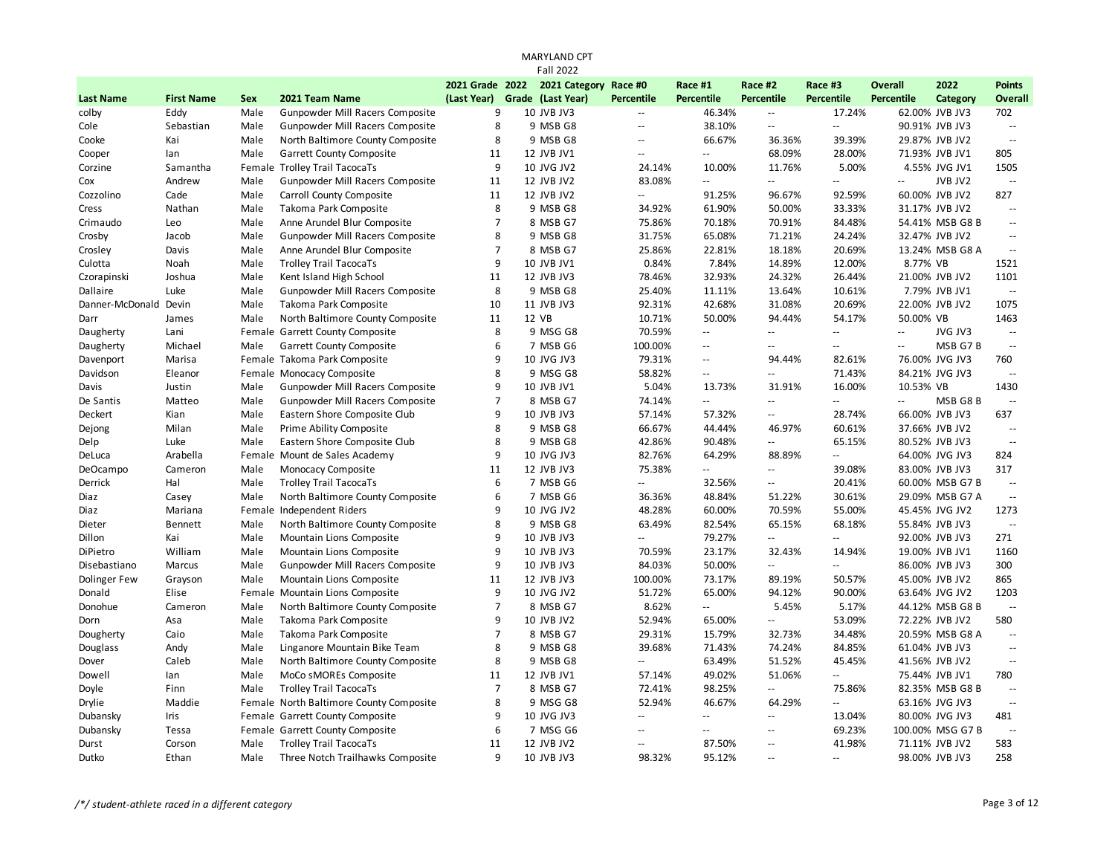|                       |                   |            |                                         |                 | <b>Fall 2022</b>      |                            |                                               |                          |                                               |                          |                  |                |
|-----------------------|-------------------|------------|-----------------------------------------|-----------------|-----------------------|----------------------------|-----------------------------------------------|--------------------------|-----------------------------------------------|--------------------------|------------------|----------------|
|                       |                   |            |                                         | 2021 Grade 2022 | 2021 Category Race #0 |                            | Race #1                                       | Race #2                  | Race #3                                       | <b>Overall</b>           | 2022             | <b>Points</b>  |
| <b>Last Name</b>      | <b>First Name</b> | <b>Sex</b> | 2021 Team Name                          | (Last Year)     | Grade (Last Year)     | <b>Percentile</b>          | <b>Percentile</b>                             | <b>Percentile</b>        | <b>Percentile</b>                             | <b>Percentile</b>        | Category         | <b>Overall</b> |
| colby                 | Eddy              | Male       | Gunpowder Mill Racers Composite         | 9               | 10 JVB JV3            | $\overline{\phantom{a}}$   | 46.34%                                        | Ξ.                       | 17.24%                                        |                          | 62.00% JVB JV3   | 702            |
| Cole                  | Sebastian         | Male       | Gunpowder Mill Racers Composite         | 8               | 9 MSB G8              | $\mathbf{u}$               | 38.10%                                        | $\overline{a}$           | $\Box$                                        |                          | 90.91% JVB JV3   | $\sim$         |
| Cooke                 | Kai               | Male       | North Baltimore County Composite        | 8               | 9 MSB G8              | $\mathbb{Z}^{\mathbb{Z}}$  | 66.67%                                        | 36.36%                   | 39.39%                                        |                          | 29.87% JVB JV2   | $\sim$         |
| Cooper                | lan               | Male       | Garrett County Composite                | 11              | 12 JVB JV1            | $\sim$ $\sim$              | $\overline{a}$                                | 68.09%                   | 28.00%                                        |                          | 71.93% JVB JV1   | 805            |
| Corzine               | Samantha          |            | Female Trolley Trail TacocaTs           | 9               | 10 JVG JV2            | 24.14%                     | 10.00%                                        | 11.76%                   | 5.00%                                         |                          | 4.55% JVG JV1    | 1505           |
| Cox                   | Andrew            | Male       | Gunpowder Mill Racers Composite         | 11              | 12 JVB JV2            | 83.08%                     | Ξ.                                            | ă.                       | $\sim$                                        | $\mathbf{u}$             | JVB JV2          | $\sim$         |
| Cozzolino             | Cade              | Male       | Carroll County Composite                | 11              | 12 JVB JV2            | $\overline{\phantom{a}}$   | 91.25%                                        | 96.67%                   | 92.59%                                        |                          | 60.00% JVB JV2   | 827            |
| Cress                 | Nathan            | Male       | Takoma Park Composite                   | 8               | 9 MSB G8              | 34.92%                     | 61.90%                                        | 50.00%                   | 33.33%                                        |                          | 31.17% JVB JV2   | $\sim$         |
| Crimaudo              | Leo               | Male       | Anne Arundel Blur Composite             | $\overline{7}$  | 8 MSB G7              | 75.86%                     | 70.18%                                        | 70.91%                   | 84.48%                                        |                          | 54.41% MSB G8 B  | $\sim$         |
| Crosby                | Jacob             | Male       | Gunpowder Mill Racers Composite         | 8               | 9 MSB G8              | 31.75%                     | 65.08%                                        | 71.21%                   | 24.24%                                        |                          | 32.47% JVB JV2   | $\sim$ $\sim$  |
| Crosley               | Davis             | Male       | Anne Arundel Blur Composite             | $\overline{7}$  | 8 MSB G7              | 25.86%                     | 22.81%                                        | 18.18%                   | 20.69%                                        |                          | 13.24% MSB G8 A  | $\sim$         |
| Culotta               | Noah              | Male       | <b>Trolley Trail TacocaTs</b>           | 9               | 10 JVB JV1            | 0.84%                      | 7.84%                                         | 14.89%                   | 12.00%                                        | 8.77% VB                 |                  | 1521           |
| Czorapinski           | Joshua            | Male       | Kent Island High School                 | 11              | 12 JVB JV3            | 78.46%                     | 32.93%                                        | 24.32%                   | 26.44%                                        |                          | 21.00% JVB JV2   | 1101           |
| Dallaire              | Luke              | Male       | Gunpowder Mill Racers Composite         | 8               | 9 MSB G8              | 25.40%                     | 11.11%                                        | 13.64%                   | 10.61%                                        |                          | 7.79% JVB JV1    | $\mathbb{Z}^2$ |
| Danner-McDonald Devin |                   | Male       | Takoma Park Composite                   | 10              | 11 JVB JV3            | 92.31%                     | 42.68%                                        | 31.08%                   | 20.69%                                        |                          | 22.00% JVB JV2   | 1075           |
| Darr                  | James             | Male       | North Baltimore County Composite        | 11              | 12 VB                 | 10.71%                     | 50.00%                                        | 94.44%                   | 54.17%                                        | 50.00% VB                |                  | 1463           |
| Daugherty             | Lani              |            | Female Garrett County Composite         | 8               | 9 MSG G8              | 70.59%                     | Ξ.                                            | ă.                       | $\sim$                                        | $\mathbf{u}$             | JVG JV3          | $\sim$         |
| Daugherty             | Michael           | Male       | Garrett County Composite                | 6               | 7 MSB G6              | 100.00%                    | $\mathord{\hspace{1pt}\text{--}\hspace{1pt}}$ | ц,                       | $\sim$                                        | $\overline{\phantom{a}}$ | MSB G7B          | $\mathbb{Z}^2$ |
| Davenport             | Marisa            |            | Female Takoma Park Composite            | 9               | 10 JVG JV3            | 79.31%                     | $\sim$ $\sim$                                 | 94.44%                   | 82.61%                                        |                          | 76.00% JVG JV3   | 760            |
| Davidson              | Eleanor           |            | Female Monocacy Composite               | 8               | 9 MSG G8              | 58.82%                     | $\overline{\phantom{a}}$                      | $\overline{a}$           | 71.43%                                        |                          | 84.21% JVG JV3   | $\sim$         |
| Davis                 | Justin            | Male       | Gunpowder Mill Racers Composite         | 9               | 10 JVB JV1            | 5.04%                      | 13.73%                                        | 31.91%                   | 16.00%                                        | 10.53% VB                |                  | 1430           |
| De Santis             | Matteo            | Male       | Gunpowder Mill Racers Composite         | $\overline{7}$  | 8 MSB G7              | 74.14%                     | $\overline{\phantom{a}}$                      | $-$                      | $\mathord{\hspace{1pt}\text{--}\hspace{1pt}}$ | $-$                      | MSB G8B          | $\sim$         |
| Deckert               | Kian              | Male       | Eastern Shore Composite Club            | 9               | 10 JVB JV3            | 57.14%                     | 57.32%                                        | $\overline{\phantom{a}}$ | 28.74%                                        |                          | 66.00% JVB JV3   | 637            |
| Dejong                | Milan             | Male       | Prime Ability Composite                 | 8               | 9 MSB G8              | 66.67%                     | 44.44%                                        | 46.97%                   | 60.61%                                        |                          | 37.66% JVB JV2   | $\sim$ $\sim$  |
| Delp                  | Luke              | Male       | Eastern Shore Composite Club            | 8               | 9 MSB G8              | 42.86%                     | 90.48%                                        | Ξ.                       | 65.15%                                        |                          | 80.52% JVB JV3   | $\sim$         |
| DeLuca                | Arabella          |            | Female Mount de Sales Academy           | 9               | 10 JVG JV3            | 82.76%                     | 64.29%                                        | 88.89%                   | $\mathbb{L}^{\mathbb{L}}$                     |                          | 64.00% JVG JV3   | 824            |
| DeOcampo              | Cameron           | Male       | Monocacy Composite                      | 11              | 12 JVB JV3            | 75.38%                     | μ.                                            | Ξ.                       | 39.08%                                        |                          | 83.00% JVB JV3   | 317            |
| Derrick               | Hal               | Male       | <b>Trolley Trail TacocaTs</b>           | 6               | 7 MSB G6              | $\mathbf{u}$               | 32.56%                                        | $\mathbb{L}$ .           | 20.41%                                        |                          | 60.00% MSB G7 B  | $\sim$         |
| Diaz                  | Casey             | Male       | North Baltimore County Composite        | 6               | 7 MSB G6              | 36.36%                     | 48.84%                                        | 51.22%                   | 30.61%                                        |                          | 29.09% MSB G7 A  | $\sim$         |
| Diaz                  | Mariana           |            | Female Independent Riders               | 9               | 10 JVG JV2            | 48.28%                     | 60.00%                                        | 70.59%                   | 55.00%                                        |                          | 45.45% JVG JV2   | 1273           |
| Dieter                | Bennett           | Male       | North Baltimore County Composite        | 8               | 9 MSB G8              | 63.49%                     | 82.54%                                        | 65.15%                   | 68.18%                                        |                          | 55.84% JVB JV3   | $\mathbb{Z}^2$ |
| Dillon                | Kai               | Male       | Mountain Lions Composite                | 9               | 10 JVB JV3            | $\mathbf{u}$               | 79.27%                                        | Ξ.                       | $\mathcal{L}_{\mathcal{A}}$                   |                          | 92.00% JVB JV3   | 271            |
| DiPietro              | William           | Male       | Mountain Lions Composite                | 9               | 10 JVB JV3            | 70.59%                     | 23.17%                                        | 32.43%                   | 14.94%                                        |                          | 19.00% JVB JV1   | 1160           |
| Disebastiano          | Marcus            | Male       | Gunpowder Mill Racers Composite         | 9               | 10 JVB JV3            | 84.03%                     | 50.00%                                        | ă.                       | $\mathcal{L}_{\mathcal{F}}$                   |                          | 86.00% JVB JV3   | 300            |
| <b>Dolinger Few</b>   | Grayson           | Male       | Mountain Lions Composite                | 11              | 12 JVB JV3            | 100.00%                    | 73.17%                                        | 89.19%                   | 50.57%                                        |                          | 45.00% JVB JV2   | 865            |
| Donald                | Elise             |            | Female Mountain Lions Composite         | 9               | 10 JVG JV2            | 51.72%                     | 65.00%                                        | 94.12%                   | 90.00%                                        |                          | 63.64% JVG JV2   | 1203           |
| Donohue               | Cameron           | Male       | North Baltimore County Composite        | $\overline{7}$  | 8 MSB G7              | 8.62%                      | Ξ.                                            | 5.45%                    | 5.17%                                         |                          | 44.12% MSB G8 B  | $\sim$         |
| Dorn                  | Asa               | Male       | Takoma Park Composite                   | 9               | 10 JVB JV2            | 52.94%                     | 65.00%                                        | $\overline{a}$           | 53.09%                                        |                          | 72.22% JVB JV2   | 580            |
| Dougherty             | Caio              | Male       | Takoma Park Composite                   | $\overline{7}$  | 8 MSB G7              | 29.31%                     | 15.79%                                        | 32.73%                   | 34.48%                                        |                          | 20.59% MSB G8 A  | $\sim$         |
| Douglass              | Andy              | Male       | Linganore Mountain Bike Team            | 8               | 9 MSB G8              | 39.68%                     | 71.43%                                        | 74.24%                   | 84.85%                                        |                          | 61.04% JVB JV3   | $\sim$ $\sim$  |
| Dover                 | Caleb             | Male       | North Baltimore County Composite        | 8               | 9 MSB G8              | $\overline{\phantom{a}}$   | 63.49%                                        | 51.52%                   | 45.45%                                        |                          | 41.56% JVB JV2   | $\sim$         |
| Dowell                | lan               | Male       | MoCo sMOREs Composite                   | 11              | 12 JVB JV1            | 57.14%                     | 49.02%                                        | 51.06%                   | $\Box$                                        |                          | 75.44% JVB JV1   | 780            |
| Doyle                 | Finn              | Male       | <b>Trolley Trail TacocaTs</b>           | $\overline{7}$  | 8 MSB G7              | 72.41%                     | 98.25%                                        | Ξ.                       | 75.86%                                        |                          | 82.35% MSB G8 B  | $\sim$ $\sim$  |
| Drylie                | Maddie            |            | Female North Baltimore County Composite | 8               | 9 MSG G8              | 52.94%                     | 46.67%                                        | 64.29%                   | $\overline{\phantom{a}}$                      |                          | 63.16% JVG JV3   | $\sim$         |
| Dubansky              | Iris              |            | Female Garrett County Composite         | 9               | 10 JVG JV3            | $\mathcal{L}(\mathcal{L})$ | ۵۵                                            | Ξ.                       | 13.04%                                        |                          | 80.00% JVG JV3   | 481            |
| Dubansky              | Tessa             |            | Female Garrett County Composite         | 6               | 7 MSG G6              | $\mathbf{u}$               | $\overline{\phantom{a}}$                      | --                       | 69.23%                                        |                          | 100.00% MSG G7 B | $\sim$         |
| Durst                 | Corson            | Male       | <b>Trolley Trail TacocaTs</b>           | 11              | 12 JVB JV2            | $\sim$                     | 87.50%                                        | $\sim$ $\sim$            | 41.98%                                        |                          | 71.11% JVB JV2   | 583            |
| Dutko                 | Ethan             | Male       | Three Notch Trailhawks Composite        | $\mathsf{q}$    | 10 JVB JV3            | 98.32%                     | 95.12%                                        | $\sim$                   | $\sim$ $\sim$                                 |                          | 98.00% JVB JV3   | 258            |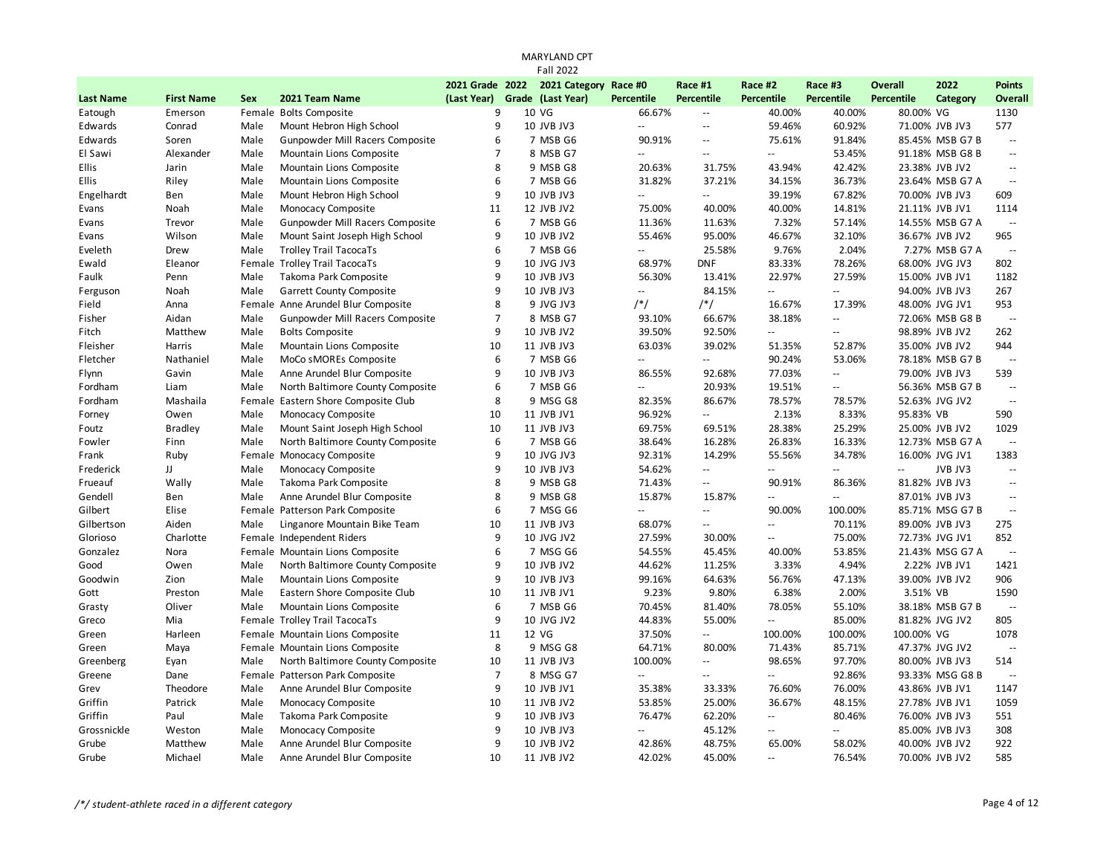|                  |                   |            |                                     |                               | <b>MARYLAND CPT</b>   |                          |                                               |                   |                           |                |                 |                |
|------------------|-------------------|------------|-------------------------------------|-------------------------------|-----------------------|--------------------------|-----------------------------------------------|-------------------|---------------------------|----------------|-----------------|----------------|
|                  |                   |            |                                     |                               | <b>Fall 2022</b>      |                          |                                               |                   |                           |                |                 |                |
|                  |                   |            |                                     | 2021 Grade 2022               | 2021 Category Race #0 |                          | Race #1                                       | Race #2           | Race #3                   | <b>Overall</b> | 2022            | <b>Points</b>  |
| <b>Last Name</b> | <b>First Name</b> | <b>Sex</b> | 2021 Team Name                      | (Last Year) Grade (Last Year) |                       | <b>Percentile</b>        | Percentile                                    | <b>Percentile</b> | <b>Percentile</b>         | Percentile     | Category        | Overall        |
| Eatough          | Emerson           |            | Female Bolts Composite              | 9                             | 10 VG                 | 66.67%                   | $\sim$                                        | 40.00%            | 40.00%                    | 80.00% VG      |                 | 1130           |
| Edwards          | Conrad            | Male       | Mount Hebron High School            | 9                             | 10 JVB JV3            | $\overline{a}$           | $\sim$ $\sim$                                 | 59.46%            | 60.92%                    |                | 71.00% JVB JV3  | 577            |
| Edwards          | Soren             | Male       | Gunpowder Mill Racers Composite     | 6                             | 7 MSB G6              | 90.91%                   | $\mathord{\hspace{1pt}\text{--}\hspace{1pt}}$ | 75.61%            | 91.84%                    |                | 85.45% MSB G7 B | $\sim$         |
| El Sawi          | Alexander         | Male       | Mountain Lions Composite            | $\overline{7}$                | 8 MSB G7              | $\overline{\phantom{a}}$ | $\overline{\phantom{a}}$                      | 44                | 53.45%                    |                | 91.18% MSB G8 B | $\sim$         |
| <b>Ellis</b>     | Jarin             | Male       | Mountain Lions Composite            | 8                             | 9 MSB G8              | 20.63%                   | 31.75%                                        | 43.94%            | 42.42%                    |                | 23.38% JVB JV2  | $\sim$         |
| Ellis            | Riley             | Male       | Mountain Lions Composite            | 6                             | 7 MSB G6              | 31.82%                   | 37.21%                                        | 34.15%            | 36.73%                    |                | 23.64% MSB G7 A | $\sim$         |
| Engelhardt       | Ben               | Male       | Mount Hebron High School            | 9                             | <b>10 JVB JV3</b>     | $\overline{\phantom{a}}$ | $\sim$ $\sim$                                 | 39.19%            | 67.82%                    |                | 70.00% JVB JV3  | 609            |
| Evans            | Noah              | Male       | Monocacy Composite                  | 11                            | 12 JVB JV2            | 75.00%                   | 40.00%                                        | 40.00%            | 14.81%                    |                | 21.11% JVB JV1  | 1114           |
| Evans            | Trevor            | Male       | Gunpowder Mill Racers Composite     | 6                             | 7 MSB G6              | 11.36%                   | 11.63%                                        | 7.32%             | 57.14%                    |                | 14.55% MSB G7 A | $\sim$         |
| Evans            | Wilson            | Male       | Mount Saint Joseph High School      | 9                             | 10 JVB JV2            | 55.46%                   | 95.00%                                        | 46.67%            | 32.10%                    |                | 36.67% JVB JV2  | 965            |
| Eveleth          | Drew              | Male       | <b>Trolley Trail TacocaTs</b>       | 6                             | 7 MSB G6              | $\overline{\phantom{a}}$ | 25.58%                                        | 9.76%             | 2.04%                     |                | 7.27% MSB G7 A  | $\sim$         |
| Ewald            | Eleanor           |            | Female Trolley Trail TacocaTs       | 9                             | 10 JVG JV3            | 68.97%                   | <b>DNF</b>                                    | 83.33%            | 78.26%                    |                | 68.00% JVG JV3  | 802            |
| Faulk            | Penn              | Male       | Takoma Park Composite               | 9                             | 10 JVB JV3            | 56.30%                   | 13.41%                                        | 22.97%            | 27.59%                    |                | 15.00% JVB JV1  | 1182           |
| Ferguson         | Noah              | Male       | Garrett County Composite            | 9                             | 10 JVB JV3            | $\mathbb{Z}^2$           | 84.15%                                        | Ξ.                | $\mathbb{L}^{\mathbb{L}}$ |                | 94.00% JVB JV3  | 267            |
| Field            | Anna              |            | Female Anne Arundel Blur Composite  | 8                             | 9 JVG JV3             | $/*/$                    | $/*/$                                         | 16.67%            | 17.39%                    |                | 48.00% JVG JV1  | 953            |
| Fisher           | Aidan             | Male       | Gunpowder Mill Racers Composite     | $\overline{7}$                | 8 MSB G7              | 93.10%                   | 66.67%                                        | 38.18%            | $\overline{\phantom{a}}$  |                | 72.06% MSB G8 B | $\sim$         |
| Fitch            | Matthew           | Male       | <b>Bolts Composite</b>              | 9                             | 10 JVB JV2            | 39.50%                   | 92.50%                                        | --                | $\overline{\phantom{a}}$  |                | 98.89% JVB JV2  | 262            |
| Fleisher         | Harris            | Male       | Mountain Lions Composite            | 10                            | 11 JVB JV3            | 63.03%                   | 39.02%                                        | 51.35%            | 52.87%                    |                | 35.00% JVB JV2  | 944            |
| Fletcher         | Nathaniel         | Male       | MoCo sMOREs Composite               | 6                             | 7 MSB G6              | $\sim$ $\sim$            | ÷.                                            | 90.24%            | 53.06%                    |                | 78.18% MSB G7 B | $\sim$         |
| Flynn            | Gavin             | Male       | Anne Arundel Blur Composite         | 9                             | 10 JVB JV3            | 86.55%                   | 92.68%                                        | 77.03%            | $\overline{\phantom{a}}$  |                | 79.00% JVB JV3  | 539            |
| Fordham          | Liam              | Male       | North Baltimore County Composite    | 6                             | 7 MSB G6              | u.                       | 20.93%                                        | 19.51%            | $\overline{\phantom{a}}$  |                | 56.36% MSB G7 B | $\sim$         |
| Fordham          | Mashaila          |            | Female Eastern Shore Composite Club | 8                             | 9 MSG G8              | 82.35%                   | 86.67%                                        | 78.57%            | 78.57%                    |                | 52.63% JVG JV2  | $\sim$         |
| Forney           | Owen              | Male       | Monocacy Composite                  | 10                            | 11 JVB JV1            | 96.92%                   | ÷.                                            | 2.13%             | 8.33%                     | 95.83% VB      |                 | 590            |
| Foutz            | <b>Bradley</b>    | Male       | Mount Saint Joseph High School      | 10                            | 11 JVB JV3            | 69.75%                   | 69.51%                                        | 28.38%            | 25.29%                    |                | 25.00% JVB JV2  | 1029           |
| Fowler           | Finn              | Male       | North Baltimore County Composite    | 6                             | 7 MSB G6              | 38.64%                   | 16.28%                                        | 26.83%            | 16.33%                    |                | 12.73% MSB G7 A | $\sim$         |
| Frank            | Ruby              |            | Female Monocacy Composite           | 9                             | 10 JVG JV3            | 92.31%                   | 14.29%                                        | 55.56%            | 34.78%                    |                | 16.00% JVG JV1  | 1383           |
| Frederick        | JJ                | Male       | Monocacy Composite                  | 9                             | 10 JVB JV3            | 54.62%                   | $\sim$ $\sim$                                 | LL.               | $\mathbf{u}$              | L.             | JVB JV3         | $\sim$         |
| Frueauf          | Wally             | Male       | Takoma Park Composite               | 8                             | 9 MSB G8              | 71.43%                   | $\mathbb{L} \mathbb{L}$                       | 90.91%            | 86.36%                    |                | 81.82% JVB JV3  | $\sim$ $\sim$  |
| Gendell          | Ben               | Male       | Anne Arundel Blur Composite         | 8                             | 9 MSB G8              | 15.87%                   | 15.87%                                        | Ξ.                | $\mathbb{L}^{\mathbb{L}}$ |                | 87.01% JVB JV3  | $\sim$         |
| Gilbert          | Elise             |            | Female Patterson Park Composite     | 6                             | 7 MSG G6              | Ξ.                       | $\Box$                                        | 90.00%            | 100.00%                   |                | 85.71% MSG G7 B | $\mathbb{Z}^2$ |
| Gilbertson       | Aiden             | Male       | Linganore Mountain Bike Team        | 10                            | 11 JVB JV3            | 68.07%                   | $\mathbb{L}^{\mathbb{L}}$                     | LL.               | 70.11%                    |                | 89.00% JVB JV3  | 275            |
| Glorioso         | Charlotte         |            | Female Independent Riders           | 9                             | 10 JVG JV2            | 27.59%                   | 30.00%                                        | Ξ.                | 75.00%                    |                | 72.73% JVG JV1  | 852            |
| Gonzalez         | Nora              |            | Female Mountain Lions Composite     | 6                             | 7 MSG G6              | 54.55%                   | 45.45%                                        | 40.00%            | 53.85%                    |                | 21.43% MSG G7 A | $\sim$         |
| Good             | Owen              | Male       | North Baltimore County Composite    | 9                             | 10 JVB JV2            | 44.62%                   | 11.25%                                        | 3.33%             | 4.94%                     |                | 2.22% JVB JV1   | 1421           |
| Goodwin          | Zion              | Male       | Mountain Lions Composite            | 9                             | 10 JVB JV3            | 99.16%                   | 64.63%                                        | 56.76%            | 47.13%                    |                | 39.00% JVB JV2  | 906            |
| Gott             | Preston           | Male       | Eastern Shore Composite Club        | 10                            | 11 JVB JV1            | 9.23%                    | 9.80%                                         | 6.38%             | 2.00%                     | 3.51% VB       |                 | 1590           |
| Grasty           | Oliver            | Male       | Mountain Lions Composite            | 6                             | 7 MSB G6              | 70.45%                   | 81.40%                                        | 78.05%            | 55.10%                    |                | 38.18% MSB G7 B | $\ddotsc$      |
| Greco            | Mia               |            | Female Trolley Trail TacocaTs       | 9                             | 10 JVG JV2            | 44.83%                   | 55.00%                                        | --                | 85.00%                    |                | 81.82% JVG JV2  | 805            |
| Green            | Harleen           |            | Female Mountain Lions Composite     | 11                            | 12 VG                 | 37.50%                   | $\Box$                                        | 100.00%           | 100.00%                   | 100.00% VG     |                 | 1078           |
| Green            | Maya              |            | Female Mountain Lions Composite     | 8                             | 9 MSG G8              | 64.71%                   | 80.00%                                        | 71.43%            | 85.71%                    |                | 47.37% JVG JV2  | $\sim$         |
| Greenberg        | Eyan              | Male       | North Baltimore County Composite    | 10                            | 11 JVB JV3            | 100.00%                  | $\mathbb{L}^{\mathbb{L}}$                     | 98.65%            | 97.70%                    |                | 80.00% JVB JV3  | 514            |
| Greene           | Dane              |            | Female Patterson Park Composite     | $\overline{7}$                | 8 MSG G7              | u.                       | $\mathbf{L}$                                  | --                | 92.86%                    |                | 93.33% MSG G8 B | $\sim$         |
| Grev             | Theodore          | Male       | Anne Arundel Blur Composite         | 9                             | 10 JVB JV1            | 35.38%                   | 33.33%                                        | 76.60%            | 76.00%                    |                | 43.86% JVB JV1  | 1147           |
| Griffin          | Patrick           | Male       | Monocacy Composite                  | 10                            | 11 JVB JV2            | 53.85%                   | 25.00%                                        | 36.67%            | 48.15%                    |                | 27.78% JVB JV1  | 1059           |
| Griffin          | Paul              | Male       | Takoma Park Composite               | 9                             | 10 JVB JV3            | 76.47%                   | 62.20%                                        | Ξ.                | 80.46%                    |                | 76.00% JVB JV3  | 551            |
| Grossnickle      | Weston            | Male       | Monocacy Composite                  | 9                             | 10 JVB JV3            | $\mathbb{L}^2$           | 45.12%                                        | $\overline{a}$    | ÷.                        |                | 85.00% JVB JV3  | 308            |
| Grube            | Matthew           | Male       | Anne Arundel Blur Composite         | 9                             | 10 JVB JV2            | 42.86%                   | 48.75%                                        | 65.00%            | 58.02%                    |                | 40.00% JVB JV2  | 922            |
| Grube            | Michael           | Male       | Anne Arundel Blur Composite         | 10                            | 11 JVB JV2            | 42.02%                   | 45.00%                                        | $\overline{a}$    | 76.54%                    |                | 70.00% JVB JV2  | 585            |
|                  |                   |            |                                     |                               |                       |                          |                                               |                   |                           |                |                 |                |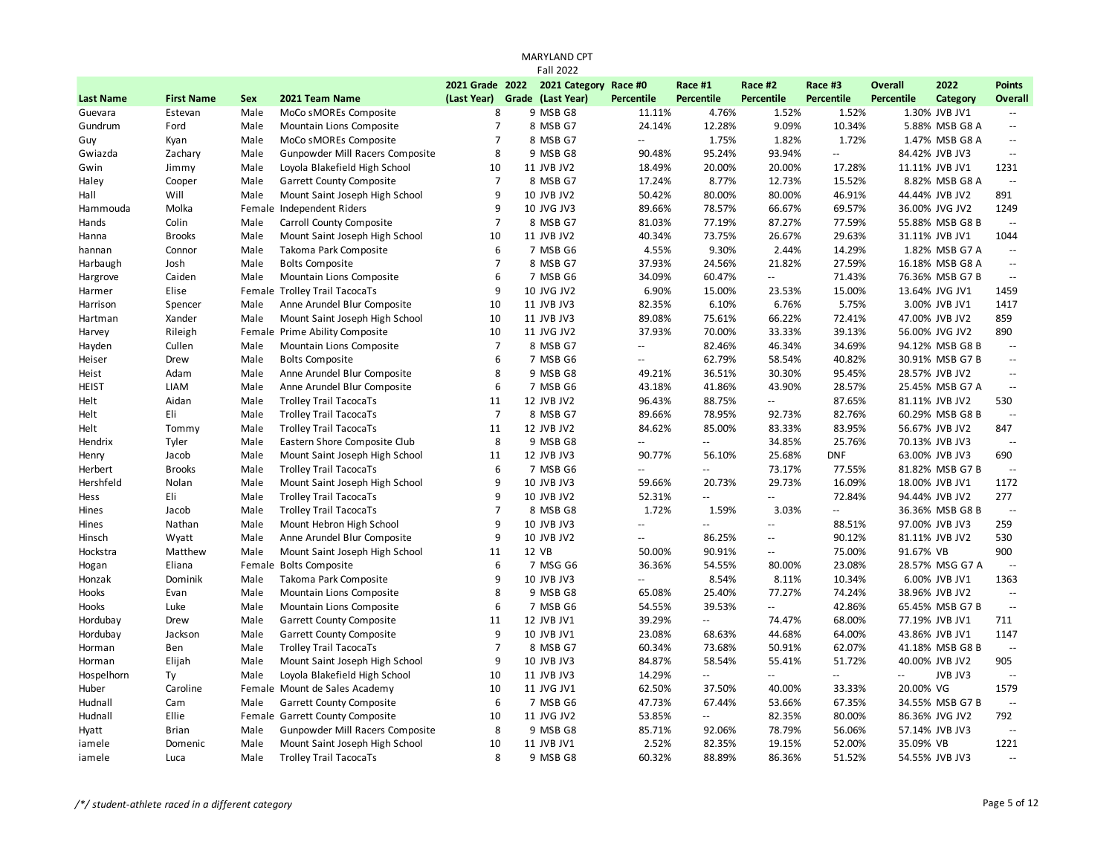|                  |                   |            |                                 |                 | <b>Fall 2022</b>      |                           |                          |                          |                          |            |                 |                |
|------------------|-------------------|------------|---------------------------------|-----------------|-----------------------|---------------------------|--------------------------|--------------------------|--------------------------|------------|-----------------|----------------|
|                  |                   |            |                                 | 2021 Grade 2022 | 2021 Category Race #0 |                           | Race #1                  | Race #2                  | Race #3                  | Overall    | 2022            | <b>Points</b>  |
| <b>Last Name</b> | <b>First Name</b> | <b>Sex</b> | 2021 Team Name                  | (Last Year)     | Grade (Last Year)     | <b>Percentile</b>         | <b>Percentile</b>        | <b>Percentile</b>        | <b>Percentile</b>        | Percentile | Category        | <b>Overall</b> |
| Guevara          | Estevan           | Male       | MoCo sMOREs Composite           | 8               | 9 MSB G8              | 11.11%                    | 4.76%                    | 1.52%                    | 1.52%                    |            | 1.30% JVB JV1   | $\sim$ $\sim$  |
| Gundrum          | Ford              | Male       | Mountain Lions Composite        | $\overline{7}$  | 8 MSB G7              | 24.14%                    | 12.28%                   | 9.09%                    | 10.34%                   |            | 5.88% MSB G8 A  | $\sim$         |
| Guy              | Kyan              | Male       | MoCo sMOREs Composite           | $\overline{7}$  | 8 MSB G7              | $\mathbb{L}^{\mathbb{L}}$ | 1.75%                    | 1.82%                    | 1.72%                    |            | 1.47% MSB G8 A  | $\sim$         |
| Gwiazda          | Zachary           | Male       | Gunpowder Mill Racers Composite | 8               | 9 MSB G8              | 90.48%                    | 95.24%                   | 93.94%                   | $\mathbf{u}$             |            | 84.42% JVB JV3  | $\sim$ $\sim$  |
| Gwin             | Jimmy             | Male       | Loyola Blakefield High School   | 10              | 11 JVB JV2            | 18.49%                    | 20.00%                   | 20.00%                   | 17.28%                   |            | 11.11% JVB JV1  | 1231           |
| Haley            | Cooper            | Male       | Garrett County Composite        | $\overline{7}$  | 8 MSB G7              | 17.24%                    | 8.77%                    | 12.73%                   | 15.52%                   |            | 8.82% MSB G8 A  | $\sim$         |
| Hall             | Will              | Male       | Mount Saint Joseph High School  | 9               | 10 JVB JV2            | 50.42%                    | 80.00%                   | 80.00%                   | 46.91%                   |            | 44.44% JVB JV2  | 891            |
| Hammouda         | Molka             |            | Female Independent Riders       | 9               | 10 JVG JV3            | 89.66%                    | 78.57%                   | 66.67%                   | 69.57%                   |            | 36.00% JVG JV2  | 1249           |
| Hands            | Colin             | Male       | Carroll County Composite        | $\overline{7}$  | 8 MSB G7              | 81.03%                    | 77.19%                   | 87.27%                   | 77.59%                   |            | 55.88% MSB G8 B | $\sim$         |
| Hanna            | <b>Brooks</b>     | Male       | Mount Saint Joseph High School  | 10              | 11 JVB JV2            | 40.34%                    | 73.75%                   | 26.67%                   | 29.63%                   |            | 31.11% JVB JV1  | 1044           |
| hannan           | Connor            | Male       | Takoma Park Composite           | 6               | 7 MSB G6              | 4.55%                     | 9.30%                    | 2.44%                    | 14.29%                   |            | 1.82% MSB G7 A  | $\sim$         |
| Harbaugh         | Josh              | Male       | <b>Bolts Composite</b>          | $\overline{7}$  | 8 MSB G7              | 37.93%                    | 24.56%                   | 21.82%                   | 27.59%                   |            | 16.18% MSB G8 A | $\sim$         |
| Hargrove         | Caiden            | Male       | Mountain Lions Composite        | 6               | 7 MSB G6              | 34.09%                    | 60.47%                   | u.                       | 71.43%                   |            | 76.36% MSB G7 B | $\sim$         |
| Harmer           | Elise             |            | Female Trolley Trail TacocaTs   | 9               | 10 JVG JV2            | 6.90%                     | 15.00%                   | 23.53%                   | 15.00%                   |            | 13.64% JVG JV1  | 1459           |
| Harrison         | Spencer           | Male       | Anne Arundel Blur Composite     | 10              | 11 JVB JV3            | 82.35%                    | 6.10%                    | 6.76%                    | 5.75%                    |            | 3.00% JVB JV1   | 1417           |
| Hartman          | Xander            | Male       | Mount Saint Joseph High School  | 10              | 11 JVB JV3            | 89.08%                    | 75.61%                   | 66.22%                   | 72.41%                   |            | 47.00% JVB JV2  | 859            |
| Harvey           | Rileigh           |            | Female Prime Ability Composite  | 10              | 11 JVG JV2            | 37.93%                    | 70.00%                   | 33.33%                   | 39.13%                   |            | 56.00% JVG JV2  | 890            |
| Hayden           | Cullen            | Male       | Mountain Lions Composite        | $\overline{7}$  | 8 MSB G7              | $\sim$                    | 82.46%                   | 46.34%                   | 34.69%                   |            | 94.12% MSB G8 B | $\sim$         |
| Heiser           | Drew              | Male       | <b>Bolts Composite</b>          | 6               | 7 MSB G6              | $\sim$                    | 62.79%                   | 58.54%                   | 40.82%                   |            | 30.91% MSB G7 B | $\sim$ $\sim$  |
| Heist            | Adam              | Male       | Anne Arundel Blur Composite     | 8               | 9 MSB G8              | 49.21%                    | 36.51%                   | 30.30%                   | 95.45%                   |            | 28.57% JVB JV2  | $\sim$         |
| <b>HEIST</b>     | LIAM              | Male       | Anne Arundel Blur Composite     | 6               | 7 MSB G6              | 43.18%                    | 41.86%                   | 43.90%                   | 28.57%                   |            | 25.45% MSB G7 A | $\sim$         |
| Helt             | Aidan             | Male       | <b>Trolley Trail TacocaTs</b>   | 11              | 12 JVB JV2            | 96.43%                    | 88.75%                   | --                       | 87.65%                   |            | 81.11% JVB JV2  | 530            |
| Helt             | Eli               | Male       | <b>Trolley Trail TacocaTs</b>   | $\overline{7}$  | 8 MSB G7              | 89.66%                    | 78.95%                   | 92.73%                   | 82.76%                   |            | 60.29% MSB G8 B | $\sim$         |
| Helt             | Tommy             | Male       | <b>Trolley Trail TacocaTs</b>   | 11              | 12 JVB JV2            | 84.62%                    | 85.00%                   | 83.33%                   | 83.95%                   |            | 56.67% JVB JV2  | 847            |
| Hendrix          | Tyler             | Male       | Eastern Shore Composite Club    | 8               | 9 MSB G8              | $\mathbb{Z}^{\mathbb{Z}}$ | $\overline{\phantom{a}}$ | 34.85%                   | 25.76%                   |            | 70.13% JVB JV3  | $\sim$         |
| Henry            | Jacob             | Male       | Mount Saint Joseph High School  | 11              | 12 JVB JV3            | 90.77%                    | 56.10%                   | 25.68%                   | DNF                      |            | 63.00% JVB JV3  | 690            |
| Herbert          | <b>Brooks</b>     | Male       | <b>Trolley Trail TacocaTs</b>   | 6               | 7 MSB G6              | $\mathbb{L}^{\mathbb{L}}$ | Ξ.                       | 73.17%                   | 77.55%                   |            | 81.82% MSB G7 B | $\sim$         |
| Hershfeld        | Nolan             | Male       | Mount Saint Joseph High School  | 9               | 10 JVB JV3            | 59.66%                    | 20.73%                   | 29.73%                   | 16.09%                   |            | 18.00% JVB JV1  | 1172           |
| Hess             | Eli               | Male       | <b>Trolley Trail TacocaTs</b>   | 9               | 10 JVB JV2            | 52.31%                    | ÷.                       | --                       | 72.84%                   |            | 94.44% JVB JV2  | 277            |
| Hines            | Jacob             | Male       | <b>Trolley Trail TacocaTs</b>   | $\overline{7}$  | 8 MSB G8              | 1.72%                     | 1.59%                    | 3.03%                    | ă.                       |            | 36.36% MSB G8 B | $\sim$         |
| Hines            | Nathan            | Male       | Mount Hebron High School        | 9               | 10 JVB JV3            | $\overline{\phantom{a}}$  | $\sim$ $\sim$            | --                       | 88.51%                   |            | 97.00% JVB JV3  | 259            |
| Hinsch           | Wyatt             | Male       | Anne Arundel Blur Composite     | 9               | 10 JVB JV2            | $\mathbf{u}$              | 86.25%                   | ۵۵                       | 90.12%                   |            | 81.11% JVB JV2  | 530            |
| Hockstra         | Matthew           | Male       | Mount Saint Joseph High School  | 11              | 12 VB                 | 50.00%                    | 90.91%                   | $\overline{\phantom{a}}$ | 75.00%                   | 91.67% VB  |                 | 900            |
| Hogan            | Eliana            |            | Female Bolts Composite          | 6               | 7 MSG G6              | 36.36%                    | 54.55%                   | 80.00%                   | 23.08%                   |            | 28.57% MSG G7 A | $\sim$ $\sim$  |
| Honzak           | Dominik           | Male       | Takoma Park Composite           | 9               | <b>10 JVB JV3</b>     | $\overline{\phantom{a}}$  | 8.54%                    | 8.11%                    | 10.34%                   |            | 6.00% JVB JV1   | 1363           |
| Hooks            | Evan              | Male       | Mountain Lions Composite        | 8               | 9 MSB G8              | 65.08%                    | 25.40%                   | 77.27%                   | 74.24%                   |            | 38.96% JVB JV2  | $\sim$         |
| Hooks            | Luke              | Male       | Mountain Lions Composite        | 6               | 7 MSB G6              | 54.55%                    | 39.53%                   | Ξ.                       | 42.86%                   |            | 65.45% MSB G7 B | $\sim$         |
| Hordubay         | Drew              | Male       | <b>Garrett County Composite</b> | 11              | 12 JVB JV1            | 39.29%                    | $\overline{\phantom{a}}$ | 74.47%                   | 68.00%                   |            | 77.19% JVB JV1  | 711            |
| Hordubay         | Jackson           | Male       | Garrett County Composite        | 9               | 10 JVB JV1            | 23.08%                    | 68.63%                   | 44.68%                   | 64.00%                   |            | 43.86% JVB JV1  | 1147           |
| Horman           | Ben               | Male       | <b>Trolley Trail TacocaTs</b>   | $\overline{7}$  | 8 MSB G7              | 60.34%                    | 73.68%                   | 50.91%                   | 62.07%                   |            | 41.18% MSB G8 B | $\mathbb{Z}^2$ |
| Horman           | Elijah            | Male       | Mount Saint Joseph High School  | 9               | 10 JVB JV3            | 84.87%                    | 58.54%                   | 55.41%                   | 51.72%                   |            | 40.00% JVB JV2  | 905            |
| Hospelhorn       | Ty                | Male       | Loyola Blakefield High School   | 10              | 11 JVB JV3            | 14.29%                    | $\overline{\phantom{a}}$ | --                       | $\overline{\phantom{a}}$ | $\sim$     | JVB JV3         | $\sim$         |
| Huber            | Caroline          |            | Female Mount de Sales Academy   | 10              | 11 JVG JV1            | 62.50%                    | 37.50%                   | 40.00%                   | 33.33%                   | 20.00% VG  |                 | 1579           |
| Hudnall          | Cam               | Male       | <b>Garrett County Composite</b> | 6               | 7 MSB G6              | 47.73%                    | 67.44%                   | 53.66%                   | 67.35%                   |            | 34.55% MSB G7 B | $\sim$         |
| Hudnall          | Ellie             |            | Female Garrett County Composite | 10              | 11 JVG JV2            | 53.85%                    | $\overline{a}$           | 82.35%                   | 80.00%                   |            | 86.36% JVG JV2  | 792            |
| Hyatt            | <b>Brian</b>      | Male       | Gunpowder Mill Racers Composite | 8               | 9 MSB G8              | 85.71%                    | 92.06%                   | 78.79%                   | 56.06%                   |            | 57.14% JVB JV3  | $\sim$         |
| iamele           | Domenic           | Male       | Mount Saint Joseph High School  | 10              | 11 JVB JV1            | 2.52%                     | 82.35%                   | 19.15%                   | 52.00%                   | 35.09% VB  |                 | 1221           |
| iamele           | Luca              | Male       | <b>Trolley Trail TacocaTs</b>   | 8               | 9 MSB G8              | 60.32%                    | 88.89%                   | 86.36%                   | 51.52%                   |            | 54.55% JVB JV3  | $\sim$ $\sim$  |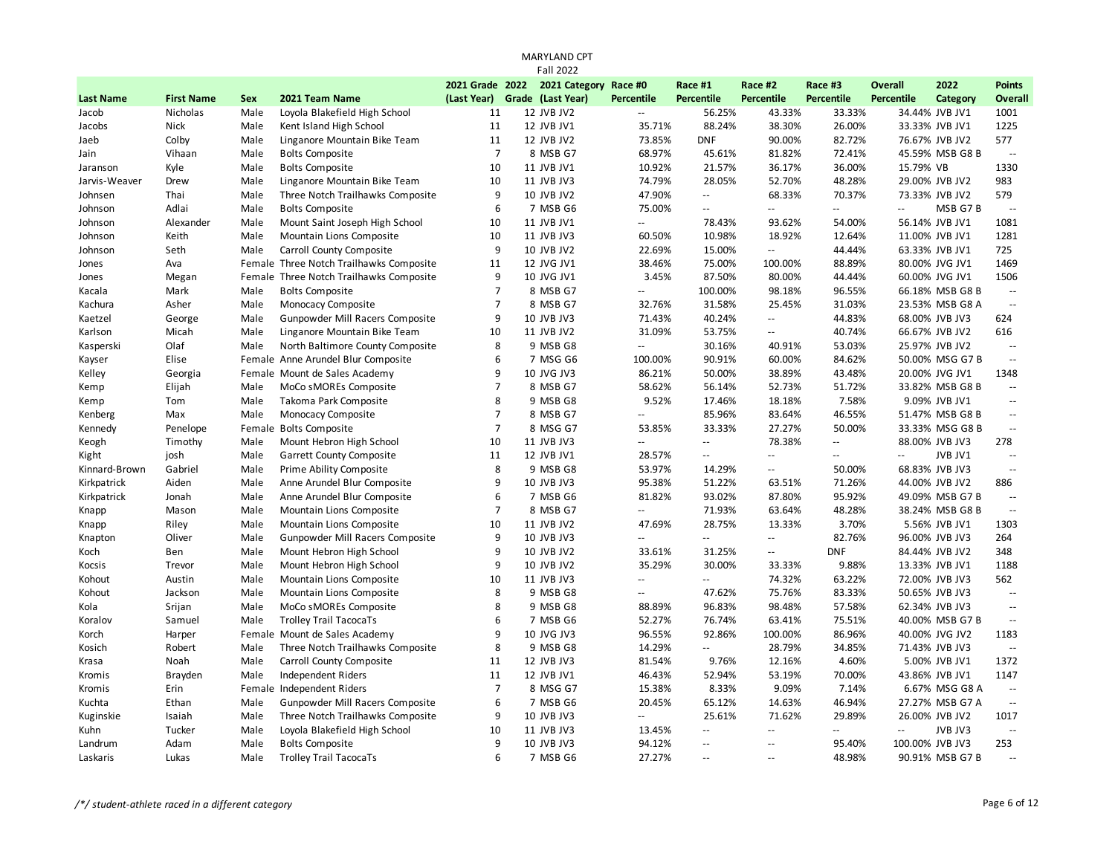|                  |                   |            |                                         |                 | <b>Fall 2022</b>      |                           |                             |                          |                          |                             |                 |                                               |
|------------------|-------------------|------------|-----------------------------------------|-----------------|-----------------------|---------------------------|-----------------------------|--------------------------|--------------------------|-----------------------------|-----------------|-----------------------------------------------|
|                  |                   |            |                                         | 2021 Grade 2022 | 2021 Category Race #0 |                           | Race #1                     | Race #2                  | Race #3                  | <b>Overall</b>              | 2022            | <b>Points</b>                                 |
| <b>Last Name</b> | <b>First Name</b> | <b>Sex</b> | 2021 Team Name                          | (Last Year)     | Grade (Last Year)     | <b>Percentile</b>         | <b>Percentile</b>           | Percentile               | <b>Percentile</b>        | <b>Percentile</b>           | Category        | Overall                                       |
| Jacob            | Nicholas          | Male       | Loyola Blakefield High School           | 11              | 12 JVB JV2            | --                        | 56.25%                      | 43.33%                   | 33.33%                   |                             | 34.44% JVB JV1  | 1001                                          |
| Jacobs           | Nick              | Male       | Kent Island High School                 | 11              | 12 JVB JV1            | 35.71%                    | 88.24%                      | 38.30%                   | 26.00%                   |                             | 33.33% JVB JV1  | 1225                                          |
| Jaeb             | Colby             | Male       | Linganore Mountain Bike Team            | 11              | 12 JVB JV2            | 73.85%                    | <b>DNF</b>                  | 90.00%                   | 82.72%                   |                             | 76.67% JVB JV2  | 577                                           |
| Jain             | Vihaan            | Male       | <b>Bolts Composite</b>                  | $\overline{7}$  | 8 MSB G7              | 68.97%                    | 45.61%                      | 81.82%                   | 72.41%                   |                             | 45.59% MSB G8 B | $\overline{\phantom{a}}$                      |
| Jaranson         | Kyle              | Male       | <b>Bolts Composite</b>                  | 10              | 11 JVB JV1            | 10.92%                    | 21.57%                      | 36.17%                   | 36.00%                   | 15.79% VB                   |                 | 1330                                          |
| Jarvis-Weaver    | Drew              | Male       | Linganore Mountain Bike Team            | 10              | 11 JVB JV3            | 74.79%                    | 28.05%                      | 52.70%                   | 48.28%                   |                             | 29.00% JVB JV2  | 983                                           |
| Johnsen          | Thai              | Male       | Three Notch Trailhawks Composite        | 9               | 10 JVB JV2            | 47.90%                    | $\overline{\phantom{a}}$    | 68.33%                   | 70.37%                   |                             | 73.33% JVB JV2  | 579                                           |
| Johnson          | Adlai             | Male       | <b>Bolts Composite</b>                  | 6               | 7 MSB G6              | 75.00%                    | $\overline{\phantom{a}}$    | Щ.                       | $\overline{a}$           | $\mathcal{L}_{\mathcal{A}}$ | MSB G7B         | $\sim$                                        |
| Johnson          | Alexander         | Male       | Mount Saint Joseph High School          | 10              | 11 JVB JV1            | $\mathbf{u}$              | 78.43%                      | 93.62%                   | 54.00%                   |                             | 56.14% JVB JV1  | 1081                                          |
| Johnson          | Keith             | Male       | Mountain Lions Composite                | 10              | 11 JVB JV3            | 60.50%                    | 10.98%                      | 18.92%                   | 12.64%                   |                             | 11.00% JVB JV1  | 1281                                          |
| Johnson          | Seth              | Male       | Carroll County Composite                | 9               | 10 JVB JV2            | 22.69%                    | 15.00%                      | $\overline{\phantom{a}}$ | 44.44%                   |                             | 63.33% JVB JV1  | 725                                           |
| Jones            | Ava               |            | Female Three Notch Trailhawks Composite | 11              | 12 JVG JV1            | 38.46%                    | 75.00%                      | 100.00%                  | 88.89%                   |                             | 80.00% JVG JV1  | 1469                                          |
| Jones            | Megan             |            | Female Three Notch Trailhawks Composite | 9               | 10 JVG JV1            | 3.45%                     | 87.50%                      | 80.00%                   | 44.44%                   |                             | 60.00% JVG JV1  | 1506                                          |
| Kacala           | Mark              | Male       | <b>Bolts Composite</b>                  | $\overline{7}$  | 8 MSB G7              | Ξ.                        | 100.00%                     | 98.18%                   | 96.55%                   |                             | 66.18% MSB G8 B | $\overline{\phantom{a}}$                      |
| Kachura          | Asher             | Male       | Monocacy Composite                      | $\overline{7}$  | 8 MSB G7              | 32.76%                    | 31.58%                      | 25.45%                   | 31.03%                   |                             | 23.53% MSB G8 A | $\overline{\phantom{a}}$                      |
| Kaetzel          | George            | Male       | Gunpowder Mill Racers Composite         | 9               | 10 JVB JV3            | 71.43%                    | 40.24%                      | Ξ.                       | 44.83%                   |                             | 68.00% JVB JV3  | 624                                           |
| Karlson          | Micah             | Male       | Linganore Mountain Bike Team            | 10              | 11 JVB JV2            | 31.09%                    | 53.75%                      | $\mathbb{L}$ .           | 40.74%                   |                             | 66.67% JVB JV2  | 616                                           |
| Kasperski        | Olaf              | Male       | North Baltimore County Composite        | 8               | 9 MSB G8              | μ.                        | 30.16%                      | 40.91%                   | 53.03%                   |                             | 25.97% JVB JV2  | $\mathord{\hspace{1pt}\text{--}\hspace{1pt}}$ |
| Kayser           | Elise             |            | Female Anne Arundel Blur Composite      | 6               | 7 MSG G6              | 100.00%                   | 90.91%                      | 60.00%                   | 84.62%                   |                             | 50.00% MSG G7 B | $\mathcal{L}^{\mathcal{L}}$                   |
| Kelley           | Georgia           |            | Female Mount de Sales Academy           | 9               | 10 JVG JV3            | 86.21%                    | 50.00%                      | 38.89%                   | 43.48%                   |                             | 20.00% JVG JV1  | 1348                                          |
| Kemp             | Elijah            | Male       | MoCo sMOREs Composite                   | $\overline{7}$  | 8 MSB G7              | 58.62%                    | 56.14%                      | 52.73%                   | 51.72%                   |                             | 33.82% MSB G8 B | $\overline{\phantom{a}}$                      |
| Kemp             | Tom               | Male       | Takoma Park Composite                   | 8               | 9 MSB G8              | 9.52%                     | 17.46%                      | 18.18%                   | 7.58%                    |                             | 9.09% JVB JV1   | $\mathord{\hspace{1pt}\text{--}\hspace{1pt}}$ |
| Kenberg          | Max               | Male       | Monocacy Composite                      | $\overline{7}$  | 8 MSB G7              | $\overline{\phantom{a}}$  | 85.96%                      | 83.64%                   | 46.55%                   |                             | 51.47% MSB G8 B | $\mathord{\hspace{1pt}\text{--}\hspace{1pt}}$ |
| Kennedy          | Penelope          |            | Female Bolts Composite                  | $\overline{7}$  | 8 MSG G7              | 53.85%                    | 33.33%                      | 27.27%                   | 50.00%                   |                             | 33.33% MSG G8 B | $\sim$ $\sim$                                 |
| Keogh            | Timothy           | Male       | Mount Hebron High School                | 10              | 11 JVB JV3            | $\mathbf{u}$              | $\mathcal{L}^{\mathcal{L}}$ | 78.38%                   | $\overline{\phantom{a}}$ |                             | 88.00% JVB JV3  | 278                                           |
| Kight            | josh              | Male       | Garrett County Composite                | 11              | 12 JVB JV1            | 28.57%                    | $\mathbb{Z}^{\mathbb{Z}}$   | $\mathbb{L}$ .           | $\sim$                   | $\mathbb{Z}^{\mathbb{Z}}$   | JVB JV1         | $\sim$                                        |
| Kinnard-Brown    | Gabriel           | Male       | Prime Ability Composite                 | 8               | 9 MSB G8              | 53.97%                    | 14.29%                      | $\mathbb{Z}^2$           | 50.00%                   |                             | 68.83% JVB JV3  | $\overline{\phantom{a}}$                      |
| Kirkpatrick      | Aiden             | Male       | Anne Arundel Blur Composite             | 9               | 10 JVB JV3            | 95.38%                    | 51.22%                      | 63.51%                   | 71.26%                   |                             | 44.00% JVB JV2  | 886                                           |
| Kirkpatrick      | Jonah             | Male       | Anne Arundel Blur Composite             | 6               | 7 MSB G6              | 81.82%                    | 93.02%                      | 87.80%                   | 95.92%                   |                             | 49.09% MSB G7 B | $\mathbb{L}^{\mathbb{L}}$                     |
| Knapp            | Mason             | Male       | Mountain Lions Composite                | $\overline{7}$  | 8 MSB G7              | Ξ.                        | 71.93%                      | 63.64%                   | 48.28%                   |                             | 38.24% MSB G8 B | $\mathcal{L}^{\mathcal{L}}$                   |
| Knapp            | Riley             | Male       | Mountain Lions Composite                | 10              | 11 JVB JV2            | 47.69%                    | 28.75%                      | 13.33%                   | 3.70%                    |                             | 5.56% JVB JV1   | 1303                                          |
| Knapton          | Oliver            | Male       | Gunpowder Mill Racers Composite         | 9               | 10 JVB JV3            | $\mathbf{u}$              | $\mathcal{L} =$             | $\overline{a}$           | 82.76%                   |                             | 96.00% JVB JV3  | 264                                           |
| Koch             | Ben               | Male       | Mount Hebron High School                | 9               | 10 JVB JV2            | 33.61%                    | 31.25%                      | --                       | <b>DNF</b>               |                             | 84.44% JVB JV2  | 348                                           |
| Kocsis           | Trevor            | Male       | Mount Hebron High School                | 9               | 10 JVB JV2            | 35.29%                    | 30.00%                      | 33.33%                   | 9.88%                    |                             | 13.33% JVB JV1  | 1188                                          |
| Kohout           | Austin            | Male       | Mountain Lions Composite                | 10              | 11 JVB JV3            | $\overline{\phantom{a}}$  | $\mathbb{Z}^{\mathbb{Z}}$   | 74.32%                   | 63.22%                   |                             | 72.00% JVB JV3  | 562                                           |
| Kohout           | Jackson           | Male       | Mountain Lions Composite                | 8               | 9 MSB G8              | $\mathbb{Z}^{\mathbb{Z}}$ | 47.62%                      | 75.76%                   | 83.33%                   |                             | 50.65% JVB JV3  | $\mathcal{L}^{\mathcal{L}}$                   |
| Kola             | Srijan            | Male       | MoCo sMOREs Composite                   | 8               | 9 MSB G8              | 88.89%                    | 96.83%                      | 98.48%                   | 57.58%                   |                             | 62.34% JVB JV3  | $\mathord{\hspace{1pt}\text{--}\hspace{1pt}}$ |
| Koralov          | Samuel            | Male       | <b>Trolley Trail TacocaTs</b>           | 6               | 7 MSB G6              | 52.27%                    | 76.74%                      | 63.41%                   | 75.51%                   |                             | 40.00% MSB G7 B | $\mathord{\hspace{1pt}\text{--}\hspace{1pt}}$ |
| Korch            | Harper            |            | Female Mount de Sales Academy           | 9               | 10 JVG JV3            | 96.55%                    | 92.86%                      | 100.00%                  | 86.96%                   |                             | 40.00% JVG JV2  | 1183                                          |
| Kosich           | Robert            | Male       | Three Notch Trailhawks Composite        | 8               | 9 MSB G8              | 14.29%                    | $\Box$                      | 28.79%                   | 34.85%                   |                             | 71.43% JVB JV3  | $\sim$                                        |
| Krasa            | Noah              | Male       | Carroll County Composite                | 11              | 12 JVB JV3            | 81.54%                    | 9.76%                       | 12.16%                   | 4.60%                    |                             | 5.00% JVB JV1   | 1372                                          |
| Kromis           | Brayden           | Male       | <b>Independent Riders</b>               | 11              | 12 JVB JV1            | 46.43%                    | 52.94%                      | 53.19%                   | 70.00%                   |                             | 43.86% JVB JV1  | 1147                                          |
| Kromis           | Erin              |            | Female Independent Riders               | $\overline{7}$  | 8 MSG G7              | 15.38%                    | 8.33%                       | 9.09%                    | 7.14%                    |                             | 6.67% MSG G8 A  | $\overline{\phantom{a}}$                      |
| Kuchta           | Ethan             | Male       | Gunpowder Mill Racers Composite         | 6               | 7 MSB G6              | 20.45%                    | 65.12%                      | 14.63%                   | 46.94%                   |                             | 27.27% MSB G7 A | $\mathord{\hspace{1pt}\text{--}\hspace{1pt}}$ |
| Kuginskie        | Isaiah            | Male       | Three Notch Trailhawks Composite        | 9               | 10 JVB JV3            | Ξ.                        | 25.61%                      | 71.62%                   | 29.89%                   |                             | 26.00% JVB JV2  | 1017                                          |
| Kuhn             | Tucker            | Male       | Loyola Blakefield High School           | 10              | 11 JVB JV3            | 13.45%                    | $\mathbb{L}^{\mathbb{L}}$   | --                       | $\overline{\phantom{a}}$ | $\overline{\phantom{a}}$    | JVB JV3         | $\mathbb{L}^{\mathbb{L}}$                     |
| Landrum          | Adam              | Male       | <b>Bolts Composite</b>                  | 9               | 10 JVB JV3            | 94.12%                    | $\mathbb{Z}^{\mathbb{Z}}$   | $\sim$                   | 95.40%                   | 100.00% JVB JV3             |                 | 253                                           |
| Laskaris         | Lukas             | Male       | <b>Trolley Trail TacocaTs</b>           | 6               | 7 MSB G6              | 27.27%                    | $\sim$ $\sim$               | $\overline{a}$           | 48.98%                   |                             | 90.91% MSB G7 B | $\sim$                                        |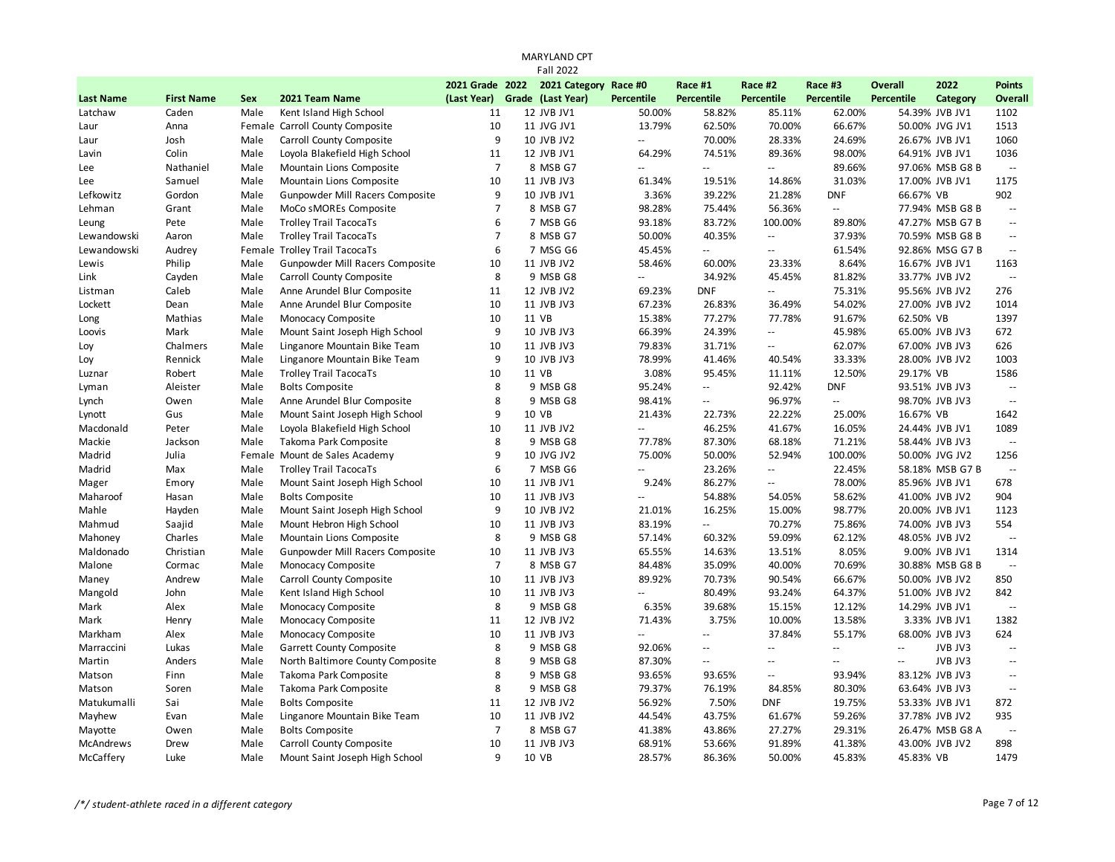|                  |                   |            |                                  |                               | <b>MARYLAND CPT</b>   |                          |                          |                          |                          |                |                 |                                               |
|------------------|-------------------|------------|----------------------------------|-------------------------------|-----------------------|--------------------------|--------------------------|--------------------------|--------------------------|----------------|-----------------|-----------------------------------------------|
|                  |                   |            |                                  |                               | <b>Fall 2022</b>      |                          |                          |                          |                          |                |                 |                                               |
|                  |                   |            |                                  | 2021 Grade 2022               | 2021 Category Race #0 |                          | Race #1                  | Race #2                  | Race #3                  | <b>Overall</b> | 2022            | <b>Points</b>                                 |
| <b>Last Name</b> | <b>First Name</b> | <b>Sex</b> | 2021 Team Name                   | (Last Year) Grade (Last Year) |                       | <b>Percentile</b>        | <b>Percentile</b>        | <b>Percentile</b>        | <b>Percentile</b>        | Percentile     | Category        | Overall                                       |
| Latchaw          | Caden             | Male       | Kent Island High School          | 11                            | 12 JVB JV1            | 50.00%                   | 58.82%                   | 85.11%                   | 62.00%                   |                | 54.39% JVB JV1  | 1102                                          |
| Laur             | Anna              |            | Female Carroll County Composite  | 10                            | 11 JVG JV1            | 13.79%                   | 62.50%                   | 70.00%                   | 66.67%                   |                | 50.00% JVG JV1  | 1513                                          |
| Laur             | Josh              | Male       | Carroll County Composite         | 9                             | 10 JVB JV2            | --                       | 70.00%                   | 28.33%                   | 24.69%                   |                | 26.67% JVB JV1  | 1060                                          |
| Lavin            | Colin             | Male       | Loyola Blakefield High School    | 11                            | 12 JVB JV1            | 64.29%                   | 74.51%                   | 89.36%                   | 98.00%                   |                | 64.91% JVB JV1  | 1036                                          |
| Lee              | Nathaniel         | Male       | Mountain Lions Composite         | $\overline{7}$                | 8 MSB G7              | $\overline{\phantom{a}}$ | $\overline{\phantom{a}}$ | ÷.                       | 89.66%                   |                | 97.06% MSB G8 B | $\Box$                                        |
| Lee              | Samuel            | Male       | Mountain Lions Composite         | 10                            | 11 JVB JV3            | 61.34%                   | 19.51%                   | 14.86%                   | 31.03%                   |                | 17.00% JVB JV1  | 1175                                          |
| Lefkowitz        | Gordon            | Male       | Gunpowder Mill Racers Composite  | 9                             | 10 JVB JV1            | 3.36%                    | 39.22%                   | 21.28%                   | <b>DNF</b>               | 66.67% VB      |                 | 902                                           |
| Lehman           | Grant             | Male       | MoCo sMOREs Composite            | $\overline{7}$                | 8 MSB G7              | 98.28%                   | 75.44%                   | 56.36%                   | $\overline{\phantom{a}}$ |                | 77.94% MSB G8 B | $\overline{\phantom{a}}$                      |
| Leung            | Pete              | Male       | <b>Trolley Trail TacocaTs</b>    | 6                             | 7 MSB G6              | 93.18%                   | 83.72%                   | 100.00%                  | 89.80%                   |                | 47.27% MSB G7 B | $\overline{\phantom{a}}$                      |
| Lewandowski      | Aaron             | Male       | <b>Trolley Trail TacocaTs</b>    | $\overline{7}$                | 8 MSB G7              | 50.00%                   | 40.35%                   | ÷.                       | 37.93%                   |                | 70.59% MSB G8 B | $\sim$ $\sim$                                 |
| Lewandowski      | Audrey            |            | Female Trolley Trail TacocaTs    | 6                             | 7 MSG G6              | 45.45%                   | $\mathbf{u}$             | $\overline{a}$           | 61.54%                   |                | 92.86% MSG G7 B | $\overline{\phantom{a}}$                      |
| Lewis            | Philip            | Male       | Gunpowder Mill Racers Composite  | 10                            | 11 JVB JV2            | 58.46%                   | 60.00%                   | 23.33%                   | 8.64%                    |                | 16.67% JVB JV1  | 1163                                          |
| Link             | Cayden            | Male       | Carroll County Composite         | 8                             | 9 MSB G8              | Ξ.                       | 34.92%                   | 45.45%                   | 81.82%                   |                | 33.77% JVB JV2  | $\overline{\phantom{a}}$                      |
| Listman          | Caleb             | Male       | Anne Arundel Blur Composite      | 11                            | 12 JVB JV2            | 69.23%                   | <b>DNF</b>               | Ξ.                       | 75.31%                   |                | 95.56% JVB JV2  | 276                                           |
| Lockett          | Dean              | Male       | Anne Arundel Blur Composite      | 10                            | 11 JVB JV3            | 67.23%                   | 26.83%                   | 36.49%                   | 54.02%                   |                | 27.00% JVB JV2  | 1014                                          |
| Long             | Mathias           | Male       | Monocacy Composite               | 10                            | 11 VB                 | 15.38%                   | 77.27%                   | 77.78%                   | 91.67%                   | 62.50% VB      |                 | 1397                                          |
| Loovis           | Mark              | Male       | Mount Saint Joseph High School   | 9                             | 10 JVB JV3            | 66.39%                   | 24.39%                   | Ξ.                       | 45.98%                   |                | 65.00% JVB JV3  | 672                                           |
| Loy              | Chalmers          | Male       | Linganore Mountain Bike Team     | 10                            | 11 JVB JV3            | 79.83%                   | 31.71%                   | --                       | 62.07%                   |                | 67.00% JVB JV3  | 626                                           |
| Loy              | Rennick           | Male       | Linganore Mountain Bike Team     | 9                             | 10 JVB JV3            | 78.99%                   | 41.46%                   | 40.54%                   | 33.33%                   |                | 28.00% JVB JV2  | 1003                                          |
| Luznar           | Robert            | Male       | <b>Trolley Trail TacocaTs</b>    | 10                            | 11 VB                 | 3.08%                    | 95.45%                   | 11.11%                   | 12.50%                   | 29.17% VB      |                 | 1586                                          |
| Lyman            | Aleister          | Male       | <b>Bolts Composite</b>           | 8                             | 9 MSB G8              | 95.24%                   | $\overline{\phantom{a}}$ | 92.42%                   | <b>DNF</b>               |                | 93.51% JVB JV3  | $\overline{\phantom{a}}$                      |
| Lynch            | Owen              | Male       | Anne Arundel Blur Composite      | 8                             | 9 MSB G8              | 98.41%                   | $\overline{\phantom{a}}$ | 96.97%                   | $\overline{a}$           |                | 98.70% JVB JV3  | $\mathbb{L}^{\mathbb{L}}$                     |
| Lynott           | Gus               | Male       | Mount Saint Joseph High School   | 9                             | 10 VB                 | 21.43%                   | 22.73%                   | 22.22%                   | 25.00%                   | 16.67% VB      |                 | 1642                                          |
| Macdonald        | Peter             | Male       | Loyola Blakefield High School    | 10                            | 11 JVB JV2            | $\sim$ $\sim$            | 46.25%                   | 41.67%                   | 16.05%                   |                | 24.44% JVB JV1  | 1089                                          |
| Mackie           | Jackson           | Male       | Takoma Park Composite            | 8                             | 9 MSB G8              | 77.78%                   | 87.30%                   | 68.18%                   | 71.21%                   |                | 58.44% JVB JV3  | $\sim$                                        |
| Madrid           | Julia             |            | Female Mount de Sales Academy    | 9                             | 10 JVG JV2            | 75.00%                   | 50.00%                   | 52.94%                   | 100.00%                  |                | 50.00% JVG JV2  | 1256                                          |
| Madrid           | Max               | Male       | <b>Trolley Trail TacocaTs</b>    | 6                             | 7 MSB G6              | $\mathbb{L}$ .           | 23.26%                   | $\overline{\phantom{a}}$ | 22.45%                   |                | 58.18% MSB G7 B | $\overline{\phantom{a}}$                      |
| Mager            | Emory             | Male       | Mount Saint Joseph High School   | 10                            | 11 JVB JV1            | 9.24%                    | 86.27%                   | Ξ.                       | 78.00%                   |                | 85.96% JVB JV1  | 678                                           |
| Maharoof         | Hasan             | Male       | <b>Bolts Composite</b>           | 10                            | 11 JVB JV3            | $\mathbf{u}$             | 54.88%                   | 54.05%                   | 58.62%                   |                | 41.00% JVB JV2  | 904                                           |
| Mahle            | Hayden            | Male       | Mount Saint Joseph High School   | 9                             | 10 JVB JV2            | 21.01%                   | 16.25%                   | 15.00%                   | 98.77%                   |                | 20.00% JVB JV1  | 1123                                          |
| Mahmud           | Saajid            | Male       | Mount Hebron High School         | 10                            | 11 JVB JV3            | 83.19%                   | $\mathbf{u}$             | 70.27%                   | 75.86%                   |                | 74.00% JVB JV3  | 554                                           |
| Mahoney          | Charles           | Male       | Mountain Lions Composite         | 8                             | 9 MSB G8              | 57.14%                   | 60.32%                   | 59.09%                   | 62.12%                   |                | 48.05% JVB JV2  | $\mathord{\hspace{1pt}\text{--}\hspace{1pt}}$ |
| Maldonado        | Christian         | Male       | Gunpowder Mill Racers Composite  | 10                            | 11 JVB JV3            | 65.55%                   | 14.63%                   | 13.51%                   | 8.05%                    |                | 9.00% JVB JV1   | 1314                                          |
| Malone           | Cormac            | Male       | Monocacy Composite               | $\overline{7}$                | 8 MSB G7              | 84.48%                   | 35.09%                   | 40.00%                   | 70.69%                   |                | 30.88% MSB G8 B | $\mathcal{L}^{\mathcal{L}}$                   |
| Maney            | Andrew            | Male       | Carroll County Composite         | 10                            | 11 JVB JV3            | 89.92%                   | 70.73%                   | 90.54%                   | 66.67%                   |                | 50.00% JVB JV2  | 850                                           |
| Mangold          | John              | Male       | Kent Island High School          | 10                            | 11 JVB JV3            | $\mathbb{L}$ .           | 80.49%                   | 93.24%                   | 64.37%                   |                | 51.00% JVB JV2  | 842                                           |
| Mark             | Alex              | Male       | Monocacy Composite               | 8                             | 9 MSB G8              | 6.35%                    | 39.68%                   | 15.15%                   | 12.12%                   |                | 14.29% JVB JV1  | $\sim$                                        |
| Mark             | Henry             | Male       | Monocacy Composite               | 11                            | 12 JVB JV2            | 71.43%                   | 3.75%                    | 10.00%                   | 13.58%                   |                | 3.33% JVB JV1   | 1382                                          |
| Markham          | Alex              | Male       | Monocacy Composite               | 10                            | 11 JVB JV3            | Ξ.                       | $\overline{\phantom{a}}$ | 37.84%                   | 55.17%                   |                | 68.00% JVB JV3  | 624                                           |
| Marraccini       | Lukas             | Male       | <b>Garrett County Composite</b>  | 8                             | 9 MSB G8              | 92.06%                   | $\sim$ $\sim$            | ă.                       | $\overline{a}$           | $\mathbf{u}$   | JVB JV3         | $\mathcal{L}^{\mathcal{L}}$                   |
| Martin           | Anders            | Male       | North Baltimore County Composite | 8                             | 9 MSB G8              | 87.30%                   | $\overline{\phantom{a}}$ | $\overline{a}$           | $\overline{a}$           | $\sim$         | JVB JV3         | $\mathord{\hspace{1pt}\text{--}\hspace{1pt}}$ |
| Matson           | Finn              | Male       | Takoma Park Composite            | 8                             | 9 MSB G8              | 93.65%                   | 93.65%                   | $\overline{a}$           | 93.94%                   |                | 83.12% JVB JV3  | $\mathord{\hspace{1pt}\text{--}\hspace{1pt}}$ |
| Matson           | Soren             | Male       | Takoma Park Composite            | 8                             | 9 MSB G8              | 79.37%                   | 76.19%                   | 84.85%                   | 80.30%                   |                | 63.64% JVB JV3  | $\sim$ $\sim$                                 |
| Matukumalli      | Sai               | Male       | <b>Bolts Composite</b>           | 11                            | 12 JVB JV2            | 56.92%                   | 7.50%                    | <b>DNF</b>               | 19.75%                   |                | 53.33% JVB JV1  | 872                                           |
| Mayhew           | Evan              | Male       | Linganore Mountain Bike Team     | 10                            | 11 JVB JV2            | 44.54%                   | 43.75%                   | 61.67%                   | 59.26%                   |                | 37.78% JVB JV2  | 935                                           |
| Mayotte          | Owen              | Male       | <b>Bolts Composite</b>           | $\overline{7}$                | 8 MSB G7              | 41.38%                   | 43.86%                   | 27.27%                   | 29.31%                   |                | 26.47% MSB G8 A | $\overline{\phantom{a}}$                      |
| <b>McAndrews</b> | Drew              | Male       | Carroll County Composite         | 10                            | 11 JVB JV3            | 68.91%                   | 53.66%                   | 91.89%                   | 41.38%                   |                | 43.00% JVB JV2  | 898                                           |
| McCaffery        | Luke              | Male       | Mount Saint Joseph High School   | $\mathbf{q}$                  | 10 VB                 | 28.57%                   | 86.36%                   | 50.00%                   | 45.83%                   | 45.83% VB      |                 | 1479                                          |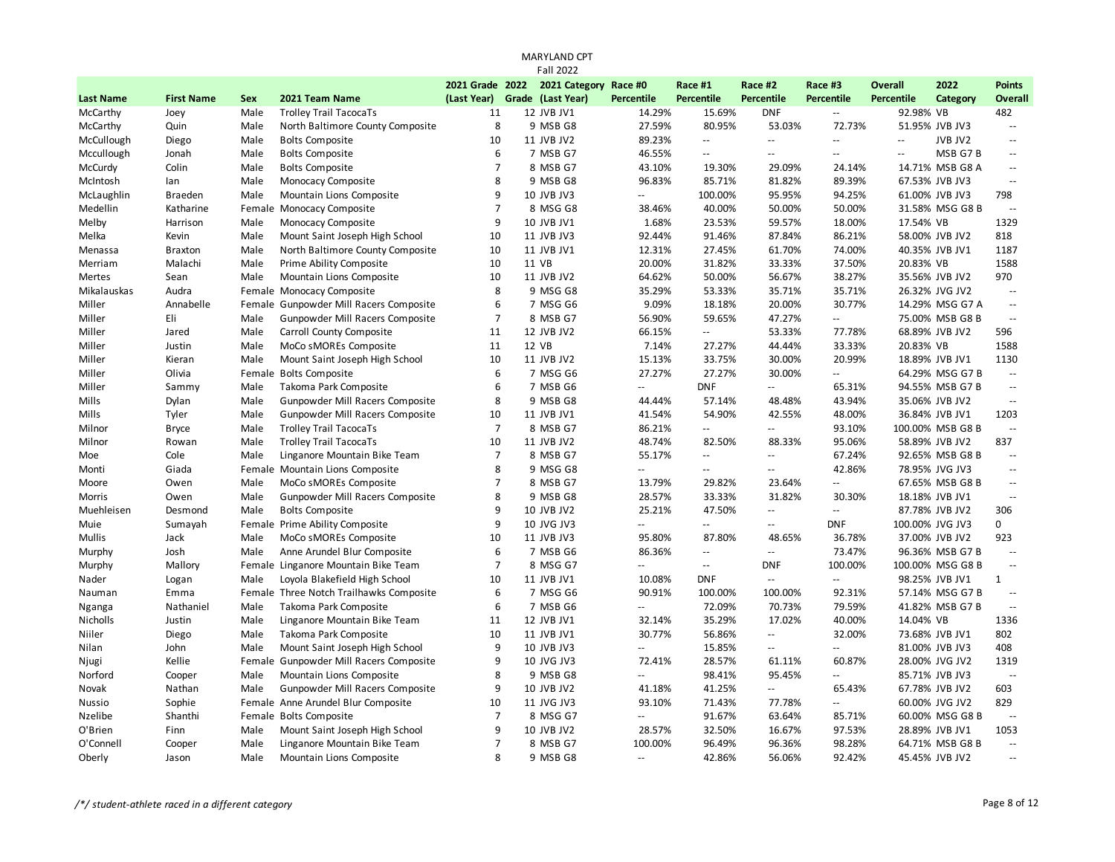|                  |                   |            |                                         |                 | <b>MARYLAND CPT</b>           |                                               |                   |                          |                             |                          |                  |                          |
|------------------|-------------------|------------|-----------------------------------------|-----------------|-------------------------------|-----------------------------------------------|-------------------|--------------------------|-----------------------------|--------------------------|------------------|--------------------------|
|                  |                   |            |                                         |                 | <b>Fall 2022</b>              |                                               |                   |                          |                             |                          |                  |                          |
|                  |                   |            |                                         | 2021 Grade 2022 | 2021 Category Race #0         |                                               | Race #1           | Race #2                  | Race #3                     | <b>Overall</b>           | 2022             | <b>Points</b>            |
| <b>Last Name</b> | <b>First Name</b> | <b>Sex</b> | 2021 Team Name                          |                 | (Last Year) Grade (Last Year) | <b>Percentile</b>                             | <b>Percentile</b> | <b>Percentile</b>        | Percentile                  | <b>Percentile</b>        | Category         | <b>Overall</b>           |
| McCarthy         | Joey              | Male       | <b>Trolley Trail TacocaTs</b>           | 11              | 12 JVB JV1                    | 14.29%                                        | 15.69%            | <b>DNF</b>               | $\mathcal{L}_{\mathcal{A}}$ | 92.98% VB                |                  | 482                      |
| McCarthy         | Quin              | Male       | North Baltimore County Composite        | 8               | 9 MSB G8                      | 27.59%                                        | 80.95%            | 53.03%                   | 72.73%                      |                          | 51.95% JVB JV3   | $\sim$                   |
| McCullough       | Diego             | Male       | <b>Bolts Composite</b>                  | 10              | 11 JVB JV2                    | 89.23%                                        | $\ddotsc$         | ÷.                       | $\sim$ $\sim$               | $\mathbb{L}$ .           | JVB JV2          | $\sim$                   |
| Mccullough       | Jonah             | Male       | <b>Bolts Composite</b>                  | 6               | 7 MSB G7                      | 46.55%                                        | --                | $\overline{\phantom{a}}$ | $\mathbf{u}$                | $\overline{\phantom{a}}$ | MSB G7B          | $\overline{\phantom{a}}$ |
| McCurdy          | Colin             | Male       | <b>Bolts Composite</b>                  | $\overline{7}$  | 8 MSB G7                      | 43.10%                                        | 19.30%            | 29.09%                   | 24.14%                      |                          | 14.71% MSB G8 A  | $\overline{\phantom{a}}$ |
| McIntosh         | lan               | Male       | Monocacy Composite                      | 8               | 9 MSB G8                      | 96.83%                                        | 85.71%            | 81.82%                   | 89.39%                      |                          | 67.53% JVB JV3   | $\sim$ $\sim$            |
| McLaughlin       | Braeden           | Male       | Mountain Lions Composite                | 9               | 10 JVB JV3                    | $\sim$ $\sim$                                 | 100.00%           | 95.95%                   | 94.25%                      |                          | 61.00% JVB JV3   | 798                      |
| Medellin         | Katharine         |            | Female Monocacy Composite               | $\overline{7}$  | 8 MSG G8                      | 38.46%                                        | 40.00%            | 50.00%                   | 50.00%                      |                          | 31.58% MSG G8 B  | $\sim$                   |
| Melby            | Harrison          | Male       | Monocacy Composite                      | 9               | 10 JVB JV1                    | 1.68%                                         | 23.53%            | 59.57%                   | 18.00%                      | 17.54% VB                |                  | 1329                     |
| Melka            | Kevin             | Male       | Mount Saint Joseph High School          | 10              | 11 JVB JV3                    | 92.44%                                        | 91.46%            | 87.84%                   | 86.21%                      |                          | 58.00% JVB JV2   | 818                      |
| Menassa          | <b>Braxton</b>    | Male       | North Baltimore County Composite        | 10              | 11 JVB JV1                    | 12.31%                                        | 27.45%            | 61.70%                   | 74.00%                      |                          | 40.35% JVB JV1   | 1187                     |
| Merriam          | Malachi           | Male       | Prime Ability Composite                 | 10              | 11 VB                         | 20.00%                                        | 31.82%            | 33.33%                   | 37.50%                      | 20.83% VB                |                  | 1588                     |
| Mertes           | Sean              | Male       | Mountain Lions Composite                | 10              | 11 JVB JV2                    | 64.62%                                        | 50.00%            | 56.67%                   | 38.27%                      |                          | 35.56% JVB JV2   | 970                      |
| Mikalauskas      | Audra             |            | Female Monocacy Composite               | 8               | 9 MSG G8                      | 35.29%                                        | 53.33%            | 35.71%                   | 35.71%                      |                          | 26.32% JVG JV2   | $\sim$                   |
| Miller           | Annabelle         |            | Female Gunpowder Mill Racers Composite  | 6               | 7 MSG G6                      | 9.09%                                         | 18.18%            | 20.00%                   | 30.77%                      |                          | 14.29% MSG G7 A  | $\sim$                   |
| Miller           | Eli               | Male       | Gunpowder Mill Racers Composite         | $\overline{7}$  | 8 MSB G7                      | 56.90%                                        | 59.65%            | 47.27%                   | $\sim$                      |                          | 75.00% MSB G8 B  | $\sim$                   |
| Miller           | Jared             | Male       | Carroll County Composite                | 11              | 12 JVB JV2                    | 66.15%                                        | Ξ.                | 53.33%                   | 77.78%                      |                          | 68.89% JVB JV2   | 596                      |
| Miller           | Justin            | Male       | MoCo sMOREs Composite                   | 11              | 12 VB                         | 7.14%                                         | 27.27%            | 44.44%                   | 33.33%                      | 20.83% VB                |                  | 1588                     |
| Miller           | Kieran            | Male       | Mount Saint Joseph High School          | 10              | 11 JVB JV2                    | 15.13%                                        | 33.75%            | 30.00%                   | 20.99%                      |                          | 18.89% JVB JV1   | 1130                     |
| Miller           | Olivia            |            | Female Bolts Composite                  | 6               | 7 MSG G6                      | 27.27%                                        | 27.27%            | 30.00%                   | $\sim$                      |                          | 64.29% MSG G7 B  | $\sim$                   |
| Miller           | Sammy             | Male       | Takoma Park Composite                   | 6               | 7 MSB G6                      | $\mathord{\hspace{1pt}\text{--}\hspace{1pt}}$ | <b>DNF</b>        | Ξ.                       | 65.31%                      |                          | 94.55% MSB G7 B  | $\sim$                   |
| Mills            | Dylan             | Male       | Gunpowder Mill Racers Composite         | 8               | 9 MSB G8                      | 44.44%                                        | 57.14%            | 48.48%                   | 43.94%                      |                          | 35.06% JVB JV2   | $\sim$ $\sim$            |
| Mills            | Tyler             | Male       | Gunpowder Mill Racers Composite         | 10              | 11 JVB JV1                    | 41.54%                                        | 54.90%            | 42.55%                   | 48.00%                      |                          | 36.84% JVB JV1   | 1203                     |
| Milnor           | <b>Bryce</b>      | Male       | <b>Trolley Trail TacocaTs</b>           | $\overline{7}$  | 8 MSB G7                      | 86.21%                                        | 44                | $\overline{a}$           | 93.10%                      |                          | 100.00% MSB G8 B | $\mathbb{Z}^2$           |
| Milnor           | Rowan             | Male       | <b>Trolley Trail TacocaTs</b>           | 10              | 11 JVB JV2                    | 48.74%                                        | 82.50%            | 88.33%                   | 95.06%                      |                          | 58.89% JVB JV2   | 837                      |
| Moe              | Cole              | Male       | Linganore Mountain Bike Team            | $\overline{7}$  | 8 MSB G7                      | 55.17%                                        | Ξ.                | $\mathbf{u}$             | 67.24%                      |                          | 92.65% MSB G8 B  | $\overline{\phantom{a}}$ |
| Monti            | Giada             |            | Female Mountain Lions Composite         | 8               | 9 MSG G8                      | $\sim$ $\sim$                                 | $-$               | $\overline{a}$           | 42.86%                      |                          | 78.95% JVG JV3   | $\sim$ $\sim$            |
| Moore            | Owen              | Male       | MoCo sMOREs Composite                   | $\overline{7}$  | 8 MSB G7                      | 13.79%                                        | 29.82%            | 23.64%                   | $\sim$                      |                          | 67.65% MSB G8 B  | $\sim$ $\sim$            |
| Morris           | Owen              | Male       | Gunpowder Mill Racers Composite         | 8               | 9 MSB G8                      | 28.57%                                        | 33.33%            | 31.82%                   | 30.30%                      |                          | 18.18% JVB JV1   | $\sim$                   |
| Muehleisen       | Desmond           | Male       | <b>Bolts Composite</b>                  | 9               | 10 JVB JV2                    | 25.21%                                        | 47.50%            | Ξ.                       | $\mathcal{L}_{\mathcal{A}}$ |                          | 87.78% JVB JV2   | 306                      |
| Muie             | Sumayah           |            | Female Prime Ability Composite          | 9               | 10 JVG JV3                    | $\mathbf{u}$                                  | 44                | $\overline{a}$           | <b>DNF</b>                  |                          | 100.00% JVG JV3  | 0                        |
| Mullis           | Jack              | Male       | MoCo sMOREs Composite                   | 10              | 11 JVB JV3                    | 95.80%                                        | 87.80%            | 48.65%                   | 36.78%                      |                          | 37.00% JVB JV2   | 923                      |
| Murphy           | Josh              | Male       | Anne Arundel Blur Composite             | 6               | 7 MSB G6                      | 86.36%                                        | Ξ.                | Ξ.                       | 73.47%                      |                          | 96.36% MSB G7 B  | $\sim$ $\sim$            |
| Murphy           | Mallory           |            | Female Linganore Mountain Bike Team     | $\overline{7}$  | 8 MSG G7                      | $\overline{\phantom{a}}$                      | $\sim$ $\sim$     | <b>DNF</b>               | 100.00%                     |                          | 100.00% MSG G8 B | $\sim$ $\sim$            |
| Nader            | Logan             | Male       | Loyola Blakefield High School           | 10              | 11 JVB JV1                    | 10.08%                                        | <b>DNF</b>        | $\sim$ $\sim$            | $\sim$                      |                          | 98.25% JVB JV1   | $\mathbf{1}$             |
| Nauman           | Emma              |            | Female Three Notch Trailhawks Composite | 6               | 7 MSG G6                      | 90.91%                                        | 100.00%           | 100.00%                  | 92.31%                      |                          | 57.14% MSG G7 B  | $\sim$ $\sim$            |
| Nganga           | Nathaniel         | Male       | Takoma Park Composite                   | 6               | 7 MSB G6                      | $\sim$                                        | 72.09%            | 70.73%                   | 79.59%                      |                          | 41.82% MSB G7 B  | $\sim$                   |
| Nicholls         | Justin            | Male       | Linganore Mountain Bike Team            | 11              | 12 JVB JV1                    | 32.14%                                        | 35.29%            | 17.02%                   | 40.00%                      | 14.04% VB                |                  | 1336                     |
| Niiler           | Diego             | Male       | Takoma Park Composite                   | 10              | 11 JVB JV1                    | 30.77%                                        | 56.86%            | н.                       | 32.00%                      |                          | 73.68% JVB JV1   | 802                      |
| Nilan            | John              | Male       | Mount Saint Joseph High School          | 9               | 10 JVB JV3                    | $\mathbb{L}^{\mathbb{L}}$                     | 15.85%            | $\mathbf{u}$             | $\mathbf{u}$                |                          | 81.00% JVB JV3   | 408                      |
| Njugi            | Kellie            |            | Female Gunpowder Mill Racers Composite  | 9               | 10 JVG JV3                    | 72.41%                                        | 28.57%            | 61.11%                   | 60.87%                      |                          | 28.00% JVG JV2   | 1319                     |
| Norford          | Cooper            | Male       | Mountain Lions Composite                | 8               | 9 MSB G8                      | $\overline{\phantom{a}}$                      | 98.41%            | 95.45%                   | $\overline{\phantom{a}}$    |                          | 85.71% JVB JV3   | $\sim$                   |
| Novak            | Nathan            | Male       | Gunpowder Mill Racers Composite         | 9               | 10 JVB JV2                    | 41.18%                                        | 41.25%            | $\sim$                   | 65.43%                      |                          | 67.78% JVB JV2   | 603                      |
| Nussio           | Sophie            |            | Female Anne Arundel Blur Composite      | 10              | 11 JVG JV3                    | 93.10%                                        | 71.43%            | 77.78%                   | $\mathbb{L}^2$              |                          | 60.00% JVG JV2   | 829                      |
| Nzelibe          | Shanthi           |            | Female Bolts Composite                  | $\overline{7}$  | 8 MSG G7                      | $\sim$                                        | 91.67%            | 63.64%                   | 85.71%                      |                          | 60.00% MSG G8 B  | $\sim$                   |
| O'Brien          | Finn              | Male       | Mount Saint Joseph High School          | 9               | 10 JVB JV2                    | 28.57%                                        | 32.50%            | 16.67%                   | 97.53%                      |                          | 28.89% JVB JV1   | 1053                     |
| O'Connell        | Cooper            | Male       | Linganore Mountain Bike Team            | $\overline{7}$  | 8 MSB G7                      | 100.00%                                       | 96.49%            | 96.36%                   | 98.28%                      |                          | 64.71% MSB G8 B  | $\mathbb{L}^2$           |
| Oberly           | Jason             | Male       | Mountain Lions Composite                | 8               | 9 MSB G8                      | $\sim$                                        | 42.86%            | 56.06%                   | 92.42%                      |                          | 45.45% JVB JV2   | $\sim$ $\sim$            |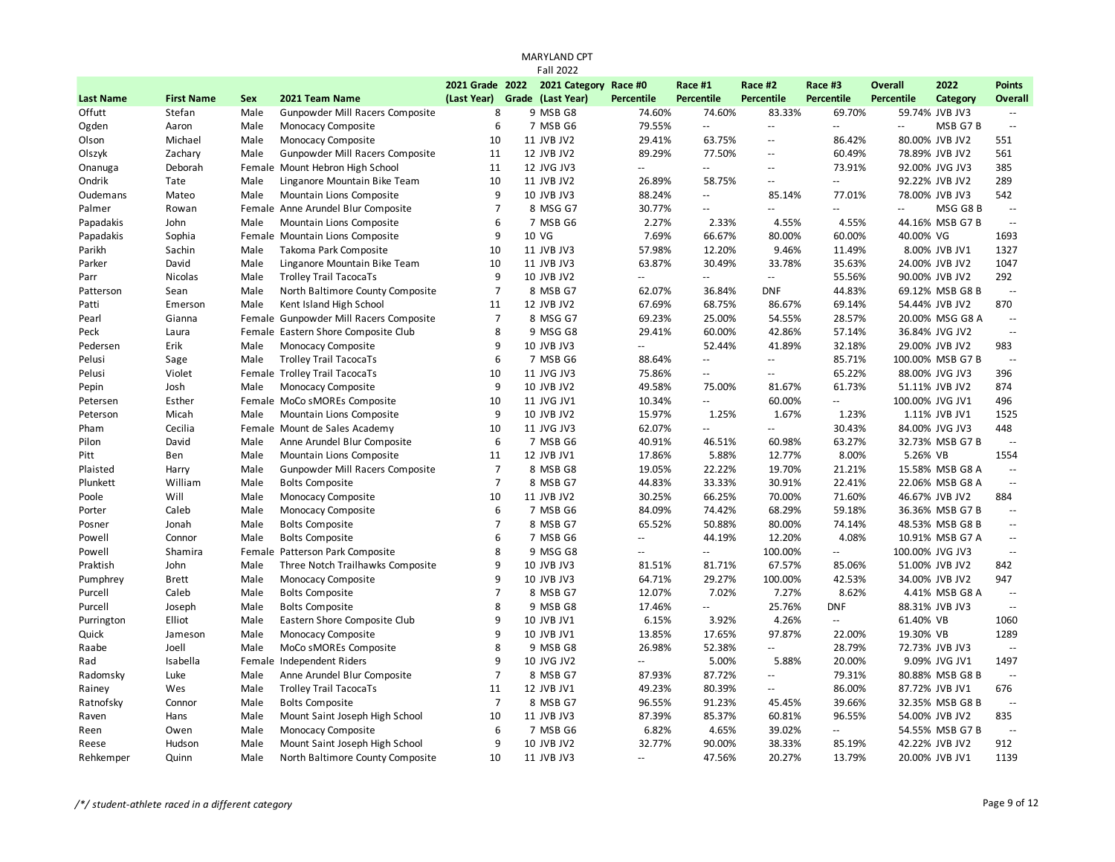|                  |                   |      |                                        |                 | <b>Fall 2022</b>      |                           |                                               |                                               |                          |                |                  |                     |
|------------------|-------------------|------|----------------------------------------|-----------------|-----------------------|---------------------------|-----------------------------------------------|-----------------------------------------------|--------------------------|----------------|------------------|---------------------|
|                  |                   |      |                                        | 2021 Grade 2022 | 2021 Category Race #0 |                           | Race #1                                       | Race #2                                       | Race #3                  | Overall        | 2022             | <b>Points</b>       |
| <b>Last Name</b> | <b>First Name</b> | Sex  | 2021 Team Name                         | (Last Year)     | Grade (Last Year)     | <b>Percentile</b>         | <b>Percentile</b>                             | <b>Percentile</b>                             | <b>Percentile</b>        | Percentile     | Category         | Overall             |
| Offutt           | Stefan            | Male | Gunpowder Mill Racers Composite        | 8               | 9 MSB G8              | 74.60%                    | 74.60%                                        | 83.33%                                        | 69.70%                   |                | 59.74% JVB JV3   |                     |
| Ogden            | Aaron             | Male | Monocacy Composite                     | 6               | 7 MSB G6              | 79.55%                    | ă.                                            | ă.                                            | $\ddotsc$                | $\mathbf{u}$   | MSB G7B          | $\sim$ $\sim$       |
| Olson            | Michael           | Male | Monocacy Composite                     | 10              | 11 JVB JV2            | 29.41%                    | 63.75%                                        | $\overline{\phantom{a}}$                      | 86.42%                   |                | 80.00% JVB JV2   | 551                 |
| Olszyk           | Zachary           | Male | Gunpowder Mill Racers Composite        | 11              | 12 JVB JV2            | 89.29%                    | 77.50%                                        | $\overline{\phantom{a}}$                      | 60.49%                   |                | 78.89% JVB JV2   | 561                 |
| Onanuga          | Deborah           |      | Female Mount Hebron High School        | 11              | 12 JVG JV3            | $\overline{\phantom{a}}$  | $\sim$ $\sim$                                 | $\sim$ $\sim$                                 | 73.91%                   |                | 92.00% JVG JV3   | 385                 |
| Ondrik           | Tate              | Male | Linganore Mountain Bike Team           | 10              | 11 JVB JV2            | 26.89%                    | 58.75%                                        | $\mathord{\hspace{1pt}\text{--}\hspace{1pt}}$ | $\sim$                   |                | 92.22% JVB JV2   | 289                 |
| Oudemans         | Mateo             | Male | Mountain Lions Composite               | 9               | 10 JVB JV3            | 88.24%                    | $\sim$ $\sim$                                 | 85.14%                                        | 77.01%                   |                | 78.00% JVB JV3   | 542                 |
| Palmer           | Rowan             |      | Female Anne Arundel Blur Composite     | $\overline{7}$  | 8 MSG G7              | 30.77%                    | $\mathord{\hspace{1pt}\text{--}\hspace{1pt}}$ | u.                                            | ÷.                       | $\overline{a}$ | MSG G8B          | $\sim$ $\sim$       |
| Papadakis        | John              | Male | Mountain Lions Composite               | 6               | 7 MSB G6              | 2.27%                     | 2.33%                                         | 4.55%                                         | 4.55%                    |                | 44.16% MSB G7 B  | $\sim$              |
| Papadakis        | Sophia            |      | Female Mountain Lions Composite        | 9               | 10 VG                 | 7.69%                     | 66.67%                                        | 80.00%                                        | 60.00%                   | 40.00% VG      |                  | 1693                |
| Parikh           | Sachin            | Male | Takoma Park Composite                  | 10              | 11 JVB JV3            | 57.98%                    | 12.20%                                        | 9.46%                                         | 11.49%                   |                | 8.00% JVB JV1    | 1327                |
| Parker           | David             | Male | Linganore Mountain Bike Team           | 10              | 11 JVB JV3            | 63.87%                    | 30.49%                                        | 33.78%                                        | 35.63%                   |                | 24.00% JVB JV2   | 1047                |
| Parr             | Nicolas           | Male | <b>Trolley Trail TacocaTs</b>          | 9               | 10 JVB JV2            | $\mathbb{L}^{\mathbb{L}}$ | $\overline{a}$                                | $\mathcal{L} =$                               | 55.56%                   |                | 90.00% JVB JV2   | 292                 |
| Patterson        | Sean              | Male | North Baltimore County Composite       | $\overline{7}$  | 8 MSB G7              | 62.07%                    | 36.84%                                        | <b>DNF</b>                                    | 44.83%                   |                | 69.12% MSB G8 B  | $\sim$              |
| Patti            | Emerson           | Male | Kent Island High School                | 11              | 12 JVB JV2            | 67.69%                    | 68.75%                                        | 86.67%                                        | 69.14%                   |                | 54.44% JVB JV2   | 870                 |
| Pearl            | Gianna            |      | Female Gunpowder Mill Racers Composite | $\overline{7}$  | 8 MSG G7              | 69.23%                    | 25.00%                                        | 54.55%                                        | 28.57%                   |                | 20.00% MSG G8 A  | $\sim$ $\sim$       |
| Peck             | Laura             |      | Female Eastern Shore Composite Club    | 8               | 9 MSG G8              | 29.41%                    | 60.00%                                        | 42.86%                                        | 57.14%                   |                | 36.84% JVG JV2   | $\sim$              |
| Pedersen         | Erik              | Male | Monocacy Composite                     | 9               | 10 JVB JV3            | ωü,                       | 52.44%                                        | 41.89%                                        | 32.18%                   |                | 29.00% JVB JV2   | 983                 |
| Pelusi           | Sage              | Male | <b>Trolley Trail TacocaTs</b>          | 6               | 7 MSB G6              | 88.64%                    | Ξ.                                            | Ξ.                                            | 85.71%                   |                | 100.00% MSB G7 B | $\sim$              |
| Pelusi           | Violet            |      | Female Trolley Trail TacocaTs          | 10              | 11 JVG JV3            | 75.86%                    | $\overline{\phantom{a}}$                      | Ξ.                                            | 65.22%                   |                | 88.00% JVG JV3   | 396                 |
| Pepin            | Josh              | Male | Monocacy Composite                     | 9               | 10 JVB JV2            | 49.58%                    | 75.00%                                        | 81.67%                                        | 61.73%                   |                | 51.11% JVB JV2   | 874                 |
| Petersen         | Esther            |      | Female MoCo sMOREs Composite           | 10              | 11 JVG JV1            | 10.34%                    | $\sim$ $\sim$                                 | 60.00%                                        | $\sim$ $\sim$            |                | 100.00% JVG JV1  | 496                 |
| Peterson         | Micah             | Male | Mountain Lions Composite               | 9               | 10 JVB JV2            | 15.97%                    | 1.25%                                         | 1.67%                                         | 1.23%                    |                | 1.11% JVB JV1    | 1525                |
| Pham             | Cecilia           |      | Female Mount de Sales Academy          | 10              | 11 JVG JV3            | 62.07%                    | $\mathbb{L}$ .                                | u.                                            | 30.43%                   |                | 84.00% JVG JV3   | 448                 |
| Pilon            | David             | Male | Anne Arundel Blur Composite            | 6               | 7 MSB G6              | 40.91%                    | 46.51%                                        | 60.98%                                        | 63.27%                   |                | 32.73% MSB G7 B  | $\sim$              |
| Pitt             | Ben               | Male | Mountain Lions Composite               | 11              | 12 JVB JV1            | 17.86%                    | 5.88%                                         | 12.77%                                        | 8.00%                    | 5.26% VB       |                  | 1554                |
| Plaisted         | Harry             | Male | Gunpowder Mill Racers Composite        | $\overline{7}$  | 8 MSB G8              | 19.05%                    | 22.22%                                        | 19.70%                                        | 21.21%                   |                | 15.58% MSB G8 A  | $\bar{\phantom{a}}$ |
| Plunkett         | William           | Male | <b>Bolts Composite</b>                 | $\overline{7}$  | 8 MSB G7              | 44.83%                    | 33.33%                                        | 30.91%                                        | 22.41%                   |                | 22.06% MSB G8 A  | $\sim$              |
| Poole            | Will              | Male | Monocacy Composite                     | 10              | 11 JVB JV2            | 30.25%                    | 66.25%                                        | 70.00%                                        | 71.60%                   |                | 46.67% JVB JV2   | 884                 |
| Porter           | Caleb             | Male | Monocacy Composite                     | 6               | 7 MSB G6              | 84.09%                    | 74.42%                                        | 68.29%                                        | 59.18%                   |                | 36.36% MSB G7 B  | $\sim$              |
| Posner           | Jonah             | Male | <b>Bolts Composite</b>                 | $\overline{7}$  | 8 MSB G7              | 65.52%                    | 50.88%                                        | 80.00%                                        | 74.14%                   |                | 48.53% MSB G8 B  | $\sim$              |
| Powell           | Connor            | Male | <b>Bolts Composite</b>                 | 6               | 7 MSB G6              | $\mathcal{L} =$           | 44.19%                                        | 12.20%                                        | 4.08%                    |                | 10.91% MSB G7 A  | $\sim$ $\sim$       |
| Powell           | Shamira           |      | Female Patterson Park Composite        | 8               | 9 MSG G8              | $\mathbf{u}$              | $\overline{\phantom{a}}$                      | 100.00%                                       | $\overline{\phantom{a}}$ |                | 100.00% JVG JV3  | $\sim$              |
| Praktish         | John              | Male | Three Notch Trailhawks Composite       | 9               | 10 JVB JV3            | 81.51%                    | 81.71%                                        | 67.57%                                        | 85.06%                   |                | 51.00% JVB JV2   | 842                 |
| Pumphrey         | <b>Brett</b>      | Male | Monocacy Composite                     | 9               | 10 JVB JV3            | 64.71%                    | 29.27%                                        | 100.00%                                       | 42.53%                   |                | 34.00% JVB JV2   | 947                 |
| Purcell          | Caleb             | Male | <b>Bolts Composite</b>                 | $\overline{7}$  | 8 MSB G7              | 12.07%                    | 7.02%                                         | 7.27%                                         | 8.62%                    |                | 4.41% MSB G8 A   | $\sim$              |
| Purcell          | Joseph            | Male | <b>Bolts Composite</b>                 | 8               | 9 MSB G8              | 17.46%                    | $\overline{a}$                                | 25.76%                                        | <b>DNF</b>               |                | 88.31% JVB JV3   | $\sim$              |
| Purrington       | Elliot            | Male | Eastern Shore Composite Club           | 9               | 10 JVB JV1            | 6.15%                     | 3.92%                                         | 4.26%                                         | ÷.                       | 61.40% VB      |                  | 1060                |
| Quick            | Jameson           | Male | Monocacy Composite                     | 9               | 10 JVB JV1            | 13.85%                    | 17.65%                                        | 97.87%                                        | 22.00%                   | 19.30% VB      |                  | 1289                |
| Raabe            | Joell             | Male | MoCo sMOREs Composite                  | 8               | 9 MSB G8              | 26.98%                    | 52.38%                                        | Ξ.                                            | 28.79%                   |                | 72.73% JVB JV3   | $\sim$              |
| Rad              | Isabella          |      | Female Independent Riders              | 9               | 10 JVG JV2            | $\mathbb{L}^{\mathbb{L}}$ | 5.00%                                         | 5.88%                                         | 20.00%                   |                | 9.09% JVG JV1    | 1497                |
| Radomsky         | Luke              | Male | Anne Arundel Blur Composite            | $\overline{7}$  | 8 MSB G7              | 87.93%                    | 87.72%                                        | $\overline{\phantom{a}}$                      | 79.31%                   |                | 80.88% MSB G8 B  | $\sim$              |
| Rainey           | Wes               | Male | <b>Trolley Trail TacocaTs</b>          | 11              | 12 JVB JV1            | 49.23%                    | 80.39%                                        | $\overline{a}$                                | 86.00%                   |                | 87.72% JVB JV1   | 676                 |
| Ratnofsky        | Connor            | Male | <b>Bolts Composite</b>                 | $\overline{7}$  | 8 MSB G7              | 96.55%                    | 91.23%                                        | 45.45%                                        | 39.66%                   |                | 32.35% MSB G8 B  | $\sim$              |
| Raven            | Hans              | Male | Mount Saint Joseph High School         | 10              | 11 JVB JV3            | 87.39%                    | 85.37%                                        | 60.81%                                        | 96.55%                   |                | 54.00% JVB JV2   | 835                 |
| Reen             | Owen              | Male | Monocacy Composite                     | 6               | 7 MSB G6              | 6.82%                     | 4.65%                                         | 39.02%                                        | $\overline{\phantom{a}}$ |                | 54.55% MSB G7 B  | $\sim$              |
| Reese            | Hudson            | Male | Mount Saint Joseph High School         | 9               | 10 JVB JV2            | 32.77%                    | 90.00%                                        | 38.33%                                        | 85.19%                   |                | 42.22% JVB JV2   | 912                 |
| Rehkemper        | Quinn             | Male | North Baltimore County Composite       | 10              | 11 JVB JV3            | $\sim$ $\sim$             | 47.56%                                        | 20.27%                                        | 13.79%                   |                | 20.00% JVB JV1   | 1139                |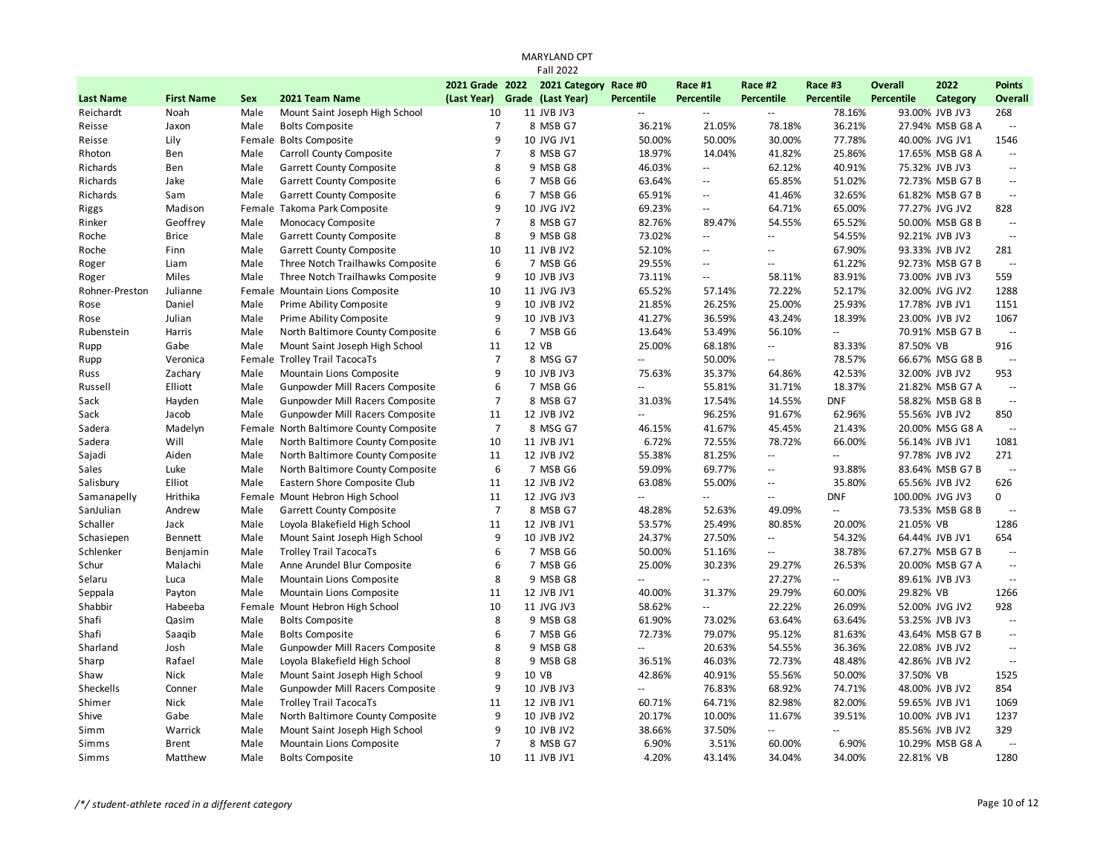|                  |                   |            |                                         |                  | <b>Fall 2022</b>      |                            |                                               |                          |                          |                   |                 |                |
|------------------|-------------------|------------|-----------------------------------------|------------------|-----------------------|----------------------------|-----------------------------------------------|--------------------------|--------------------------|-------------------|-----------------|----------------|
|                  |                   |            |                                         | 2021 Grade 2022  | 2021 Category Race #0 |                            | Race #1                                       | Race #2                  | Race #3                  | <b>Overall</b>    | 2022            | <b>Points</b>  |
| <b>Last Name</b> | <b>First Name</b> | <b>Sex</b> | 2021 Team Name                          | (Last Year)      | Grade (Last Year)     | <b>Percentile</b>          | <b>Percentile</b>                             | <b>Percentile</b>        | <b>Percentile</b>        | <b>Percentile</b> | Category        | Overall        |
| Reichardt        | Noah              | Male       | Mount Saint Joseph High School          | 10               | 11 JVB JV3            |                            | ۵۵                                            | $\overline{a}$           | 78.16%                   |                   | 93.00% JVB JV3  | 268            |
| Reisse           | Jaxon             | Male       | <b>Bolts Composite</b>                  | $\overline{7}$   | 8 MSB G7              | 36.21%                     | 21.05%                                        | 78.18%                   | 36.21%                   |                   | 27.94% MSB G8 A | $\sim$         |
| Reisse           | Lily              |            | Female Bolts Composite                  | 9                | 10 JVG JV1            | 50.00%                     | 50.00%                                        | 30.00%                   | 77.78%                   |                   | 40.00% JVG JV1  | 1546           |
| Rhoton           | Ben               | Male       | Carroll County Composite                | $\overline{7}$   | 8 MSB G7              | 18.97%                     | 14.04%                                        | 41.82%                   | 25.86%                   |                   | 17.65% MSB G8 A | $\sim$         |
| Richards         | Ben               | Male       | Garrett County Composite                | 8                | 9 MSB G8              | 46.03%                     | $\mathbb{L}^{\mathbb{L}}$                     | 62.12%                   | 40.91%                   |                   | 75.32% JVB JV3  | $\sim$         |
| Richards         | Jake              | Male       | <b>Garrett County Composite</b>         | 6                | 7 MSB G6              | 63.64%                     | $\mathord{\hspace{1pt}\text{--}\hspace{1pt}}$ | 65.85%                   | 51.02%                   |                   | 72.73% MSB G7 B | $\sim$         |
| Richards         | Sam               | Male       | Garrett County Composite                | $6\phantom{1}6$  | 7 MSB G6              | 65.91%                     | $\overline{\phantom{a}}$                      | 41.46%                   | 32.65%                   |                   | 61.82% MSB G7 B | $\sim$         |
| Riggs            | Madison           |            | Female Takoma Park Composite            | 9                | 10 JVG JV2            | 69.23%                     | $\mathord{\hspace{1pt}\text{--}\hspace{1pt}}$ | 64.71%                   | 65.00%                   |                   | 77.27% JVG JV2  | 828            |
| Rinker           | Geoffrey          | Male       | Monocacy Composite                      | $\overline{7}$   | 8 MSB G7              | 82.76%                     | 89.47%                                        | 54.55%                   | 65.52%                   |                   | 50.00% MSB G8 B | $\sim$         |
| Roche            | <b>Brice</b>      | Male       | Garrett County Composite                | 8                | 9 MSB G8              | 73.02%                     | $\sim$ $\sim$                                 | $\overline{a}$           | 54.55%                   |                   | 92.21% JVB JV3  | $\sim$ $\sim$  |
| Roche            | Finn              | Male       | <b>Garrett County Composite</b>         | 10               | 11 JVB JV2            | 52.10%                     | $\sim$ $\sim$                                 | $\mathbb{L}$ .           | 67.90%                   |                   | 93.33% JVB JV2  | 281            |
| Roger            | Liam              | Male       | Three Notch Trailhawks Composite        | 6                | 7 MSB G6              | 29.55%                     | $\sim$ $\sim$                                 | $\overline{a}$           | 61.22%                   |                   | 92.73% MSB G7 B | $\mathbb{Z}^2$ |
| Roger            | Miles             | Male       | Three Notch Trailhawks Composite        | 9                | 10 JVB JV3            | 73.11%                     | $\overline{\phantom{a}}$                      | 58.11%                   | 83.91%                   |                   | 73.00% JVB JV3  | 559            |
| Rohner-Preston   | Julianne          |            | Female Mountain Lions Composite         | 10               | 11 JVG JV3            | 65.52%                     | 57.14%                                        | 72.22%                   | 52.17%                   |                   | 32.00% JVG JV2  | 1288           |
| Rose             | Daniel            | Male       | Prime Ability Composite                 | 9                | 10 JVB JV2            | 21.85%                     | 26.25%                                        | 25.00%                   | 25.93%                   |                   | 17.78% JVB JV1  | 1151           |
| Rose             | Julian            | Male       | Prime Ability Composite                 | 9                | 10 JVB JV3            | 41.27%                     | 36.59%                                        | 43.24%                   | 18.39%                   |                   | 23.00% JVB JV2  | 1067           |
| Rubenstein       | Harris            | Male       | North Baltimore County Composite        | 6                | 7 MSB G6              | 13.64%                     | 53.49%                                        | 56.10%                   | $\mathbf{u}$             |                   | 70.91% MSB G7 B | $\sim$         |
| Rupp             | Gabe              | Male       | Mount Saint Joseph High School          | 11               | 12 VB                 | 25.00%                     | 68.18%                                        | $\overline{\phantom{a}}$ | 83.33%                   | 87.50% VB         |                 | 916            |
| Rupp             | Veronica          |            | Female Trolley Trail TacocaTs           | $\overline{7}$   | 8 MSG G7              | Щ.                         | 50.00%                                        | $\mathbf{u}$             | 78.57%                   |                   | 66.67% MSG G8 B | $\sim$         |
| Russ             | Zachary           | Male       | Mountain Lions Composite                | 9                | 10 JVB JV3            | 75.63%                     | 35.37%                                        | 64.86%                   | 42.53%                   |                   | 32.00% JVB JV2  | 953            |
| Russell          | Elliott           | Male       | Gunpowder Mill Racers Composite         | $\boldsymbol{6}$ | 7 MSB G6              | $\mathcal{L} =$            | 55.81%                                        | 31.71%                   | 18.37%                   |                   | 21.82% MSB G7 A | $\sim$         |
| Sack             | Hayden            | Male       | Gunpowder Mill Racers Composite         | $\overline{7}$   | 8 MSB G7              | 31.03%                     | 17.54%                                        | 14.55%                   | <b>DNF</b>               |                   | 58.82% MSB G8 B | $\sim$         |
| Sack             | Jacob             | Male       | Gunpowder Mill Racers Composite         | 11               | 12 JVB JV2            | $\mathcal{L}(\mathcal{L})$ | 96.25%                                        | 91.67%                   | 62.96%                   |                   | 55.56% JVB JV2  | 850            |
| Sadera           | Madelyn           |            | Female North Baltimore County Composite | $\overline{7}$   | 8 MSG G7              | 46.15%                     | 41.67%                                        | 45.45%                   | 21.43%                   |                   | 20.00% MSG G8 A | $\sim$         |
| Sadera           | Will              | Male       | North Baltimore County Composite        | 10               | 11 JVB JV1            | 6.72%                      | 72.55%                                        | 78.72%                   | 66.00%                   |                   | 56.14% JVB JV1  | 1081           |
| Sajadi           | Aiden             | Male       | North Baltimore County Composite        | 11               | 12 JVB JV2            | 55.38%                     | 81.25%                                        | $\mathbb{L}$ .           | $\sim$ $\sim$            |                   | 97.78% JVB JV2  | 271            |
| Sales            | Luke              | Male       | North Baltimore County Composite        | 6                | 7 MSB G6              | 59.09%                     | 69.77%                                        | Ξ.                       | 93.88%                   |                   | 83.64% MSB G7 B | $\sim$         |
| Salisbury        | Elliot            | Male       | Eastern Shore Composite Club            | 11               | 12 JVB JV2            | 63.08%                     | 55.00%                                        | $\overline{\phantom{a}}$ | 35.80%                   |                   | 65.56% JVB JV2  | 626            |
| Samanapelly      | Hrithika          |            | Female Mount Hebron High School         | 11               | 12 JVG JV3            | $\mathbb{L}^2$             | Ξ.                                            | Ξ.                       | <b>DNF</b>               | 100.00% JVG JV3   |                 | $\mathbf 0$    |
| SanJulian        | Andrew            | Male       | Garrett County Composite                | $\overline{7}$   | 8 MSB G7              | 48.28%                     | 52.63%                                        | 49.09%                   | Ξ.                       |                   | 73.53% MSB G8 B | $\sim$         |
| Schaller         | Jack              | Male       | Loyola Blakefield High School           | 11               | 12 JVB JV1            | 53.57%                     | 25.49%                                        | 80.85%                   | 20.00%                   | 21.05% VB         |                 | 1286           |
| Schasiepen       | <b>Bennett</b>    | Male       | Mount Saint Joseph High School          | 9                | 10 JVB JV2            | 24.37%                     | 27.50%                                        | Ξ.                       | 54.32%                   |                   | 64.44% JVB JV1  | 654            |
| Schlenker        | Benjamin          | Male       | <b>Trolley Trail TacocaTs</b>           | 6                | 7 MSB G6              | 50.00%                     | 51.16%                                        | --                       | 38.78%                   |                   | 67.27% MSB G7 B | $\sim$ $\sim$  |
| Schur            | Malachi           | Male       | Anne Arundel Blur Composite             | 6                | 7 MSB G6              | 25.00%                     | 30.23%                                        | 29.27%                   | 26.53%                   |                   | 20.00% MSB G7 A | $\sim$ $\sim$  |
| Selaru           | Luca              | Male       | Mountain Lions Composite                | 8                | 9 MSB G8              | $\overline{\phantom{a}}$   | $\overline{\phantom{a}}$                      | 27.27%                   | $\overline{\phantom{a}}$ |                   | 89.61% JVB JV3  | $\sim$         |
| Seppala          | Payton            | Male       | Mountain Lions Composite                | 11               | 12 JVB JV1            | 40.00%                     | 31.37%                                        | 29.79%                   | 60.00%                   | 29.82% VB         |                 | 1266           |
| Shabbir          | Habeeba           |            | Female Mount Hebron High School         | 10               | 11 JVG JV3            | 58.62%                     | $\overline{\phantom{a}}$                      | 22.22%                   | 26.09%                   |                   | 52.00% JVG JV2  | 928            |
| Shafi            | Qasim             | Male       | <b>Bolts Composite</b>                  | 8                | 9 MSB G8              | 61.90%                     | 73.02%                                        | 63.64%                   | 63.64%                   |                   | 53.25% JVB JV3  | $\sim$         |
| Shafi            | Saaqib            | Male       | <b>Bolts Composite</b>                  | 6                | 7 MSB G6              | 72.73%                     | 79.07%                                        | 95.12%                   | 81.63%                   |                   | 43.64% MSB G7 B | $\sim$ $\sim$  |
| Sharland         | Josh              | Male       | Gunpowder Mill Racers Composite         | 8                | 9 MSB G8              | $\overline{\phantom{a}}$   | 20.63%                                        | 54.55%                   | 36.36%                   |                   | 22.08% JVB JV2  | $\sim$         |
| Sharp            | Rafael            | Male       | Loyola Blakefield High School           | 8                | 9 MSB G8              | 36.51%                     | 46.03%                                        | 72.73%                   | 48.48%                   |                   | 42.86% JVB JV2  | $\sim$ $\sim$  |
| Shaw             | Nick              | Male       | Mount Saint Joseph High School          | 9                | 10 VB                 | 42.86%                     | 40.91%                                        | 55.56%                   | 50.00%                   | 37.50% VB         |                 | 1525           |
| Sheckells        | Conner            | Male       | Gunpowder Mill Racers Composite         | 9                | 10 JVB JV3            | $\overline{\phantom{a}}$   | 76.83%                                        | 68.92%                   | 74.71%                   |                   | 48.00% JVB JV2  | 854            |
| Shimer           | Nick              | Male       | <b>Trolley Trail TacocaTs</b>           | 11               | 12 JVB JV1            | 60.71%                     | 64.71%                                        | 82.98%                   | 82.00%                   |                   | 59.65% JVB JV1  | 1069           |
| Shive            | Gabe              | Male       | North Baltimore County Composite        | 9                | 10 JVB JV2            | 20.17%                     | 10.00%                                        | 11.67%                   | 39.51%                   |                   | 10.00% JVB JV1  | 1237           |
| Simm             | Warrick           | Male       | Mount Saint Joseph High School          | 9                | 10 JVB JV2            | 38.66%                     | 37.50%                                        | Ξ.                       | $\sim$ $\sim$            |                   | 85.56% JVB JV2  | 329            |
| Simms            | <b>Brent</b>      | Male       | Mountain Lions Composite                | $\overline{7}$   | 8 MSB G7              | 6.90%                      | 3.51%                                         | 60.00%                   | 6.90%                    |                   | 10.29% MSB G8 A | $\sim$         |
| Simms            | Matthew           | Male       | <b>Bolts Composite</b>                  | 10               | 11 JVB JV1            | 4.20%                      | 43.14%                                        | 34.04%                   | 34.00%                   | 22.81% VB         |                 | 1280           |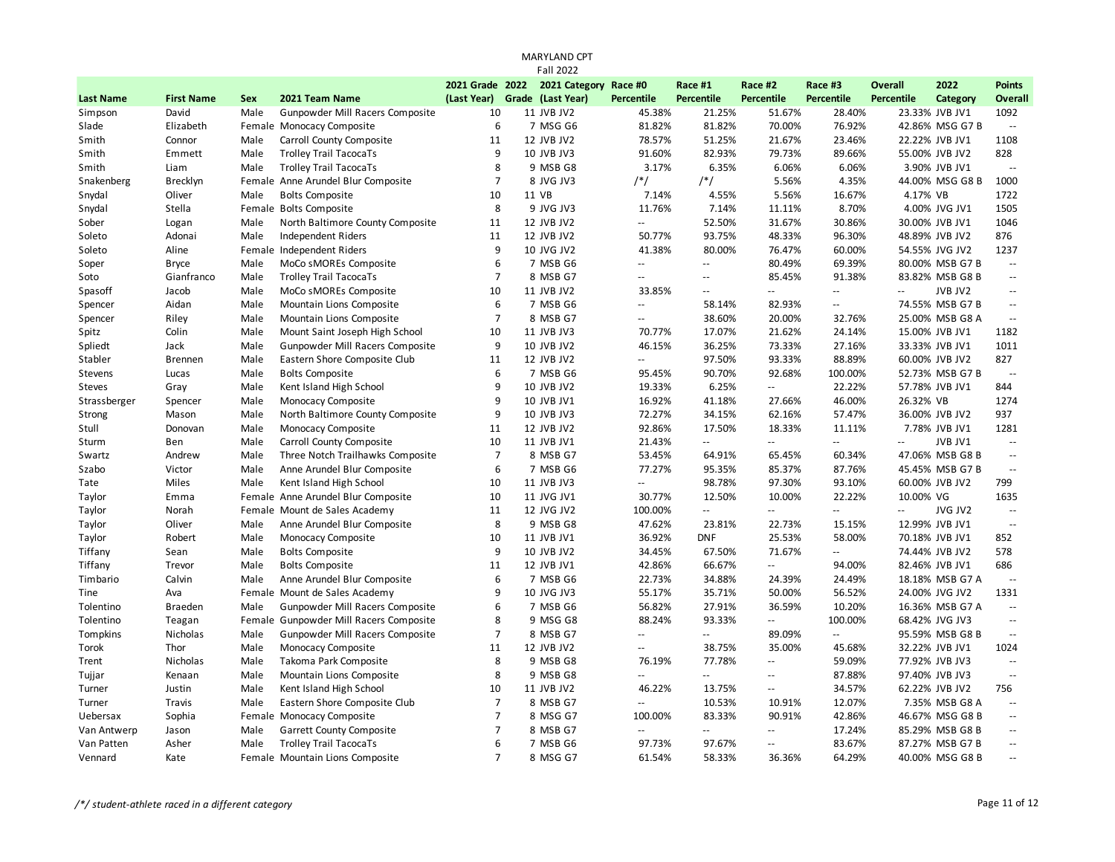|                  |                   |      |                                        |                 | <b>Fall 2022</b>      |                           |                          |                          |                             |                          |                 |                          |
|------------------|-------------------|------|----------------------------------------|-----------------|-----------------------|---------------------------|--------------------------|--------------------------|-----------------------------|--------------------------|-----------------|--------------------------|
|                  |                   |      |                                        | 2021 Grade 2022 | 2021 Category Race #0 |                           | Race #1                  | Race #2                  | Race #3                     | <b>Overall</b>           | 2022            | <b>Points</b>            |
| <b>Last Name</b> | <b>First Name</b> | Sex  | 2021 Team Name                         | (Last Year)     | Grade (Last Year)     | <b>Percentile</b>         | <b>Percentile</b>        | <b>Percentile</b>        | <b>Percentile</b>           | <b>Percentile</b>        | Category        | Overall                  |
| Simpson          | David             | Male | Gunpowder Mill Racers Composite        | 10              | 11 JVB JV2            | 45.38%                    | 21.25%                   | 51.67%                   | 28.40%                      |                          | 23.33% JVB JV1  | 1092                     |
| Slade            | Elizabeth         |      | Female Monocacy Composite              | 6               | 7 MSG G6              | 81.82%                    | 81.82%                   | 70.00%                   | 76.92%                      |                          | 42.86% MSG G7 B | $\sim$                   |
| Smith            | Connor            | Male | Carroll County Composite               | 11              | 12 JVB JV2            | 78.57%                    | 51.25%                   | 21.67%                   | 23.46%                      |                          | 22.22% JVB JV1  | 1108                     |
| Smith            | Emmett            | Male | <b>Trolley Trail TacocaTs</b>          | 9               | 10 JVB JV3            | 91.60%                    | 82.93%                   | 79.73%                   | 89.66%                      |                          | 55.00% JVB JV2  | 828                      |
| Smith            | Liam              | Male | <b>Trolley Trail TacocaTs</b>          | 8               | 9 MSB G8              | 3.17%                     | 6.35%                    | 6.06%                    | 6.06%                       |                          | 3.90% JVB JV1   | $\sim$                   |
| Snakenberg       | Brecklyn          |      | Female Anne Arundel Blur Composite     | $\overline{7}$  | 8 JVG JV3             | $/*/$                     | $/*/$                    | 5.56%                    | 4.35%                       |                          | 44.00% MSG G8 B | 1000                     |
| Snydal           | Oliver            | Male | <b>Bolts Composite</b>                 | 10              | 11 VB                 | 7.14%                     | 4.55%                    | 5.56%                    | 16.67%                      | 4.17% VB                 |                 | 1722                     |
| Snydal           | Stella            |      | Female Bolts Composite                 | 8               | 9 JVG JV3             | 11.76%                    | 7.14%                    | 11.11%                   | 8.70%                       |                          | 4.00% JVG JV1   | 1505                     |
| Sober            | Logan             | Male | North Baltimore County Composite       | 11              | 12 JVB JV2            | $\mathbb{L}^{\mathbb{L}}$ | 52.50%                   | 31.67%                   | 30.86%                      |                          | 30.00% JVB JV1  | 1046                     |
| Soleto           | Adonai            | Male | Independent Riders                     | 11              | 12 JVB JV2            | 50.77%                    | 93.75%                   | 48.33%                   | 96.30%                      |                          | 48.89% JVB JV2  | 876                      |
| Soleto           | Aline             |      | Female Independent Riders              | 9               | 10 JVG JV2            | 41.38%                    | 80.00%                   | 76.47%                   | 60.00%                      |                          | 54.55% JVG JV2  | 1237                     |
| Soper            | <b>Bryce</b>      | Male | MoCo sMOREs Composite                  | 6               | 7 MSB G6              | $\mathbb{L}^{\mathbb{L}}$ | $\overline{\phantom{a}}$ | 80.49%                   | 69.39%                      |                          | 80.00% MSB G7 B | Ξ.                       |
| Soto             | Gianfranco        | Male | <b>Trolley Trail TacocaTs</b>          | $\overline{7}$  | 8 MSB G7              | $\mathbb{L}^{\mathbb{L}}$ | $-$                      | 85.45%                   | 91.38%                      |                          | 83.82% MSB G8 B | ÷.                       |
| Spasoff          | Jacob             | Male | MoCo sMOREs Composite                  | 10              | 11 JVB JV2            | 33.85%                    | Ξ.                       | Ξ.                       | $\overline{\phantom{a}}$    | $\overline{\phantom{a}}$ | JVB JV2         | ÷.                       |
| Spencer          | Aidan             | Male | Mountain Lions Composite               | 6               | 7 MSB G6              | $\mathbb{Z}^2$            | 58.14%                   | 82.93%                   | $\mathbb{L}^2$              |                          | 74.55% MSB G7 B | $\Box$                   |
| Spencer          | Riley             | Male | Mountain Lions Composite               | $\overline{7}$  | 8 MSB G7              | $\overline{\phantom{a}}$  | 38.60%                   | 20.00%                   | 32.76%                      |                          | 25.00% MSB G8 A | $\sim$                   |
| Spitz            | Colin             | Male | Mount Saint Joseph High School         | 10              | 11 JVB JV3            | 70.77%                    | 17.07%                   | 21.62%                   | 24.14%                      |                          | 15.00% JVB JV1  | 1182                     |
| Spliedt          | Jack              | Male | Gunpowder Mill Racers Composite        | 9               | 10 JVB JV2            | 46.15%                    | 36.25%                   | 73.33%                   | 27.16%                      |                          | 33.33% JVB JV1  | 1011                     |
| Stabler          | <b>Brennen</b>    | Male | Eastern Shore Composite Club           | 11              | 12 JVB JV2            | Щ.                        | 97.50%                   | 93.33%                   | 88.89%                      |                          | 60.00% JVB JV2  | 827                      |
| Stevens          | Lucas             | Male | <b>Bolts Composite</b>                 | 6               | 7 MSB G6              | 95.45%                    | 90.70%                   | 92.68%                   | 100.00%                     |                          | 52.73% MSB G7 B | $\sim$                   |
| <b>Steves</b>    | Gray              | Male | Kent Island High School                | 9               | 10 JVB JV2            | 19.33%                    | 6.25%                    | Ξ.                       | 22.22%                      |                          | 57.78% JVB JV1  | 844                      |
| Strassberger     | Spencer           | Male | Monocacy Composite                     | 9               | 10 JVB JV1            | 16.92%                    | 41.18%                   | 27.66%                   | 46.00%                      | 26.32% VB                |                 | 1274                     |
| Strong           | Mason             | Male | North Baltimore County Composite       | 9               | 10 JVB JV3            | 72.27%                    | 34.15%                   | 62.16%                   | 57.47%                      |                          | 36.00% JVB JV2  | 937                      |
| Stull            | Donovan           | Male | Monocacy Composite                     | 11              | 12 JVB JV2            | 92.86%                    | 17.50%                   | 18.33%                   | 11.11%                      |                          | 7.78% JVB JV1   | 1281                     |
| Sturm            | Ben               | Male | Carroll County Composite               | 10              | 11 JVB JV1            | 21.43%                    | Ξ.                       | Ξ.                       | $\overline{\phantom{a}}$    | $\overline{\phantom{a}}$ | JVB JV1         | $\sim$                   |
| Swartz           | Andrew            | Male | Three Notch Trailhawks Composite       | $\overline{7}$  | 8 MSB G7              | 53.45%                    | 64.91%                   | 65.45%                   | 60.34%                      |                          | 47.06% MSB G8 B | $\sim$ $\sim$            |
| Szabo            | Victor            | Male | Anne Arundel Blur Composite            | 6               | 7 MSB G6              | 77.27%                    | 95.35%                   | 85.37%                   | 87.76%                      |                          | 45.45% MSB G7 B | $\sim$                   |
| Tate             | Miles             | Male | Kent Island High School                | 10              | 11 JVB JV3            | $\mathbb{L}^{\mathbb{L}}$ | 98.78%                   | 97.30%                   | 93.10%                      |                          | 60.00% JVB JV2  | 799                      |
| Taylor           | Emma              |      | Female Anne Arundel Blur Composite     | 10              | 11 JVG JV1            | 30.77%                    | 12.50%                   | 10.00%                   | 22.22%                      | 10.00% VG                |                 | 1635                     |
| Taylor           | Norah             |      | Female Mount de Sales Academy          | 11              | 12 JVG JV2            | 100.00%                   | Ξ.                       | Ξ.                       | $\mathbb{L}^2$              | $\mathbf{u}$             | JVG JV2         | $\sim$                   |
| Taylor           | Oliver            | Male | Anne Arundel Blur Composite            | 8               | 9 MSB G8              | 47.62%                    | 23.81%                   | 22.73%                   | 15.15%                      |                          | 12.99% JVB JV1  | $\sim$                   |
| Taylor           | Robert            | Male | Monocacy Composite                     | 10              | 11 JVB JV1            | 36.92%                    | <b>DNF</b>               | 25.53%                   | 58.00%                      |                          | 70.18% JVB JV1  | 852                      |
| Tiffany          | Sean              | Male | <b>Bolts Composite</b>                 | 9               | 10 JVB JV2            | 34.45%                    | 67.50%                   | 71.67%                   | $\mathcal{L}_{\mathcal{A}}$ |                          | 74.44% JVB JV2  | 578                      |
| Tiffany          | Trevor            | Male | <b>Bolts Composite</b>                 | 11              | 12 JVB JV1            | 42.86%                    | 66.67%                   | ÷.                       | 94.00%                      |                          | 82.46% JVB JV1  | 686                      |
| Timbario         | Calvin            | Male | Anne Arundel Blur Composite            | 6               | 7 MSB G6              | 22.73%                    | 34.88%                   | 24.39%                   | 24.49%                      |                          | 18.18% MSB G7 A | $\sim$                   |
| Tine             | Ava               |      | Female Mount de Sales Academy          | 9               | 10 JVG JV3            | 55.17%                    | 35.71%                   | 50.00%                   | 56.52%                      |                          | 24.00% JVG JV2  | 1331                     |
| Tolentino        | <b>Braeden</b>    | Male | Gunpowder Mill Racers Composite        | 6               | 7 MSB G6              | 56.82%                    | 27.91%                   | 36.59%                   | 10.20%                      |                          | 16.36% MSB G7 A | $\sim$                   |
| Tolentino        | Teagan            |      | Female Gunpowder Mill Racers Composite | 8               | 9 MSG G8              | 88.24%                    | 93.33%                   | Ξ.                       | 100.00%                     |                          | 68.42% JVG JV3  | $\sim$                   |
| Tompkins         | Nicholas          | Male | Gunpowder Mill Racers Composite        | $\overline{7}$  | 8 MSB G7              | $\sim$                    | $\overline{a}$           | 89.09%                   | $\sim$ $\sim$               |                          | 95.59% MSB G8 B | $\sim$                   |
| Torok            | Thor              | Male | Monocacy Composite                     | 11              | 12 JVB JV2            | $\sim$ $\sim$             | 38.75%                   | 35.00%                   | 45.68%                      |                          | 32.22% JVB JV1  | 1024                     |
| Trent            | Nicholas          | Male | Takoma Park Composite                  | 8               | 9 MSB G8              | 76.19%                    | 77.78%                   | $\overline{a}$           | 59.09%                      |                          | 77.92% JVB JV3  | $\sim$ $\sim$            |
| Tujjar           | Kenaan            | Male | Mountain Lions Composite               | 8               | 9 MSB G8              | $\overline{\phantom{a}}$  | $\overline{\phantom{a}}$ | $\overline{\phantom{a}}$ | 87.88%                      |                          | 97.40% JVB JV3  | $\sim$                   |
| Turner           | Justin            | Male | Kent Island High School                | 10              | 11 JVB JV2            | 46.22%                    | 13.75%                   | $\overline{a}$           | 34.57%                      |                          | 62.22% JVB JV2  | 756                      |
| Turner           | Travis            | Male | Eastern Shore Composite Club           | $\overline{7}$  | 8 MSB G7              | $\overline{\phantom{a}}$  | 10.53%                   | 10.91%                   | 12.07%                      |                          | 7.35% MSB G8 A  | $\overline{\phantom{a}}$ |
| Uebersax         | Sophia            |      | Female Monocacy Composite              | $\overline{7}$  | 8 MSG G7              | 100.00%                   | 83.33%                   | 90.91%                   | 42.86%                      |                          | 46.67% MSG G8 B | $\overline{\phantom{a}}$ |
| Van Antwerp      | Jason             | Male | Garrett County Composite               | $\overline{7}$  | 8 MSB G7              | $\overline{\phantom{a}}$  | Ξ.                       | $\overline{\phantom{a}}$ | 17.24%                      |                          | 85.29% MSB G8 B | $\overline{\phantom{a}}$ |
| Van Patten       | Asher             | Male | <b>Trolley Trail TacocaTs</b>          | 6               | 7 MSB G6              | 97.73%                    | 97.67%                   | $\overline{a}$           | 83.67%                      |                          | 87.27% MSB G7 B | $\mathbb{L}$             |
| Vennard          | Kate              |      | Female Mountain Lions Composite        | $\overline{7}$  | 8 MSG G7              | 61.54%                    | 58.33%                   | 36.36%                   | 64.29%                      |                          | 40.00% MSG G8 B | $\sim$ $\sim$            |